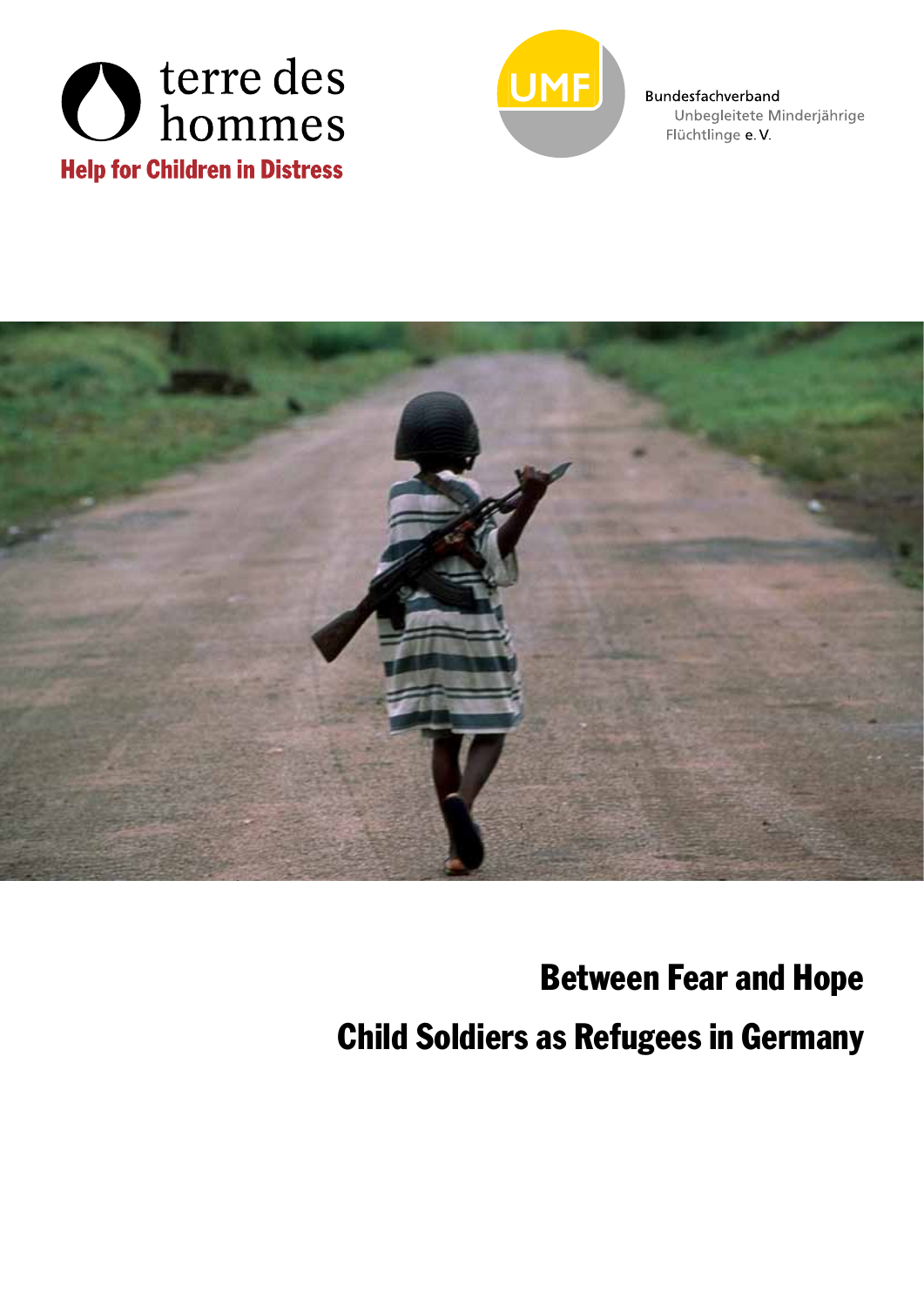



Bundesfachverband Unbegleitete Minderjährige Flüchtlinge e.V.



Between Fear and Hope Child Soldiers as Refugees in Germany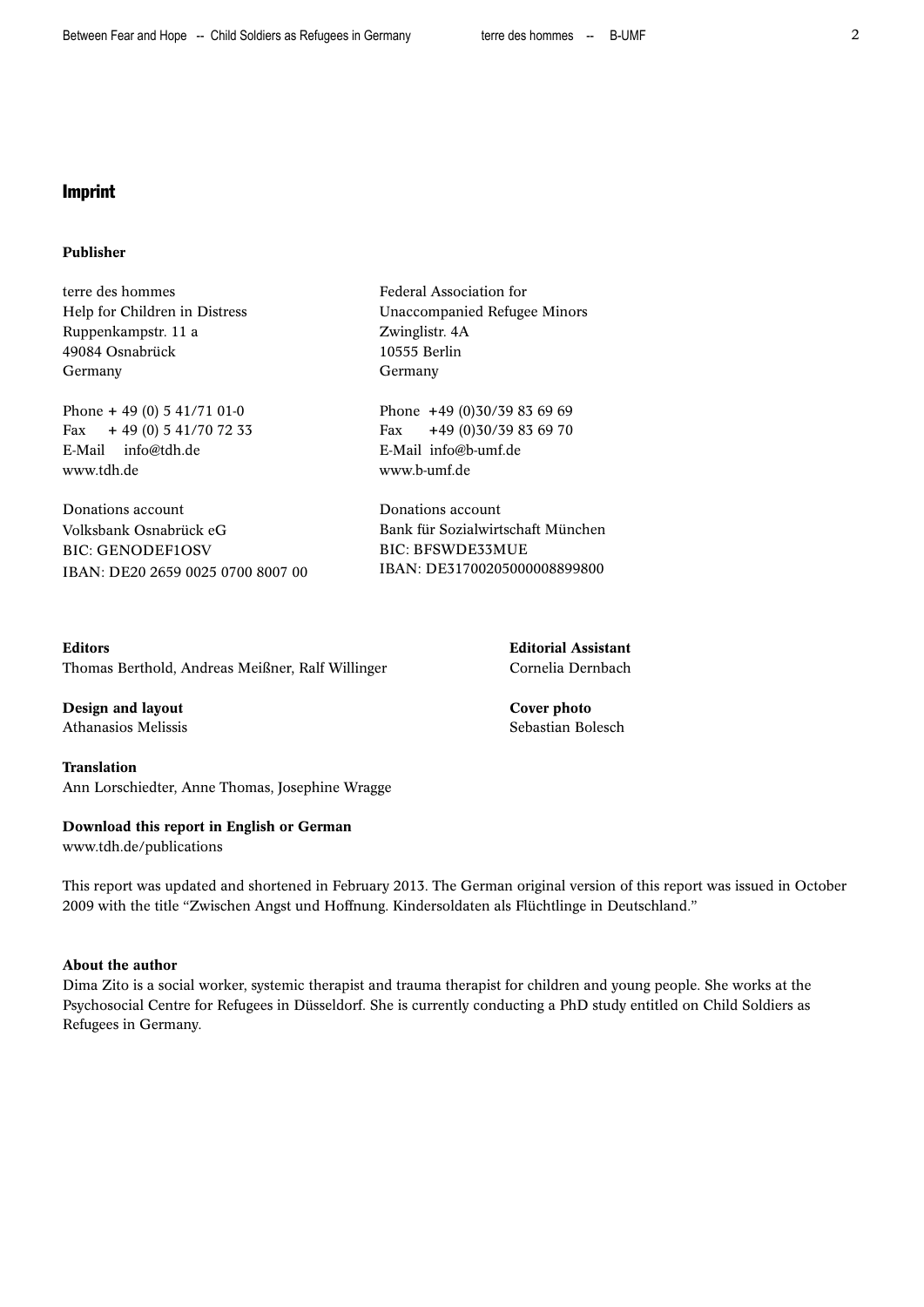# Imprint

### Publisher

terre des hommes Help for Children in Distress Ruppenkampstr. 11 a 49084 Osnabrück Germany

Phone + 49 (0)  $5\,41/71\,01-0$ Fax  $+ 49 (0) 5 41/70 72 33$ E-Mail info@tdh.de www.tdh.de

Donations account Volksbank Osnabrück eG BIC: GENODEF1OSV IBAN: DE20 2659 0025 0700 8007 00

Editors Editorial Assistant Thomas Berthold, Andreas Meißner, Ralf Willinger Cornelia Dernbach

Design and layout Cover photo Athanasios Melissis Sebastian Bolesch (Sebastian Bolesch Sebastian Bolesch Sebastian Bolesch Sebastian Bolesch

Translation Ann Lorschiedter, Anne Thomas, Josephine Wragge

# Download this report in English or German

www.tdh.de/publications

This report was updated and shortened in February 2013. The German original version of this report was issued in October 2009 with the title "Zwischen Angst und Hoffnung. Kindersoldaten als Flüchtlinge in Deutschland."

Federal Association for

Zwinglistr. 4A 10555 Berlin Germany

www.b-umf.de

Unaccompanied Refugee Minors

Phone +49 (0)30/39 83 69 69 Fax +49 (0)30/39 83 69 70

Bank für Sozialwirtschaft München

IBAN: DE31700205000008899800

E-Mail info@b-umf.de

Donations account

BIC: BFSWDE33MUE

### About the author

Dima Zito is a social worker, systemic therapist and trauma therapist for children and young people. She works at the Psychosocial Centre for Refugees in Düsseldorf. She is currently conducting a PhD study entitled on Child Soldiers as Refugees in Germany.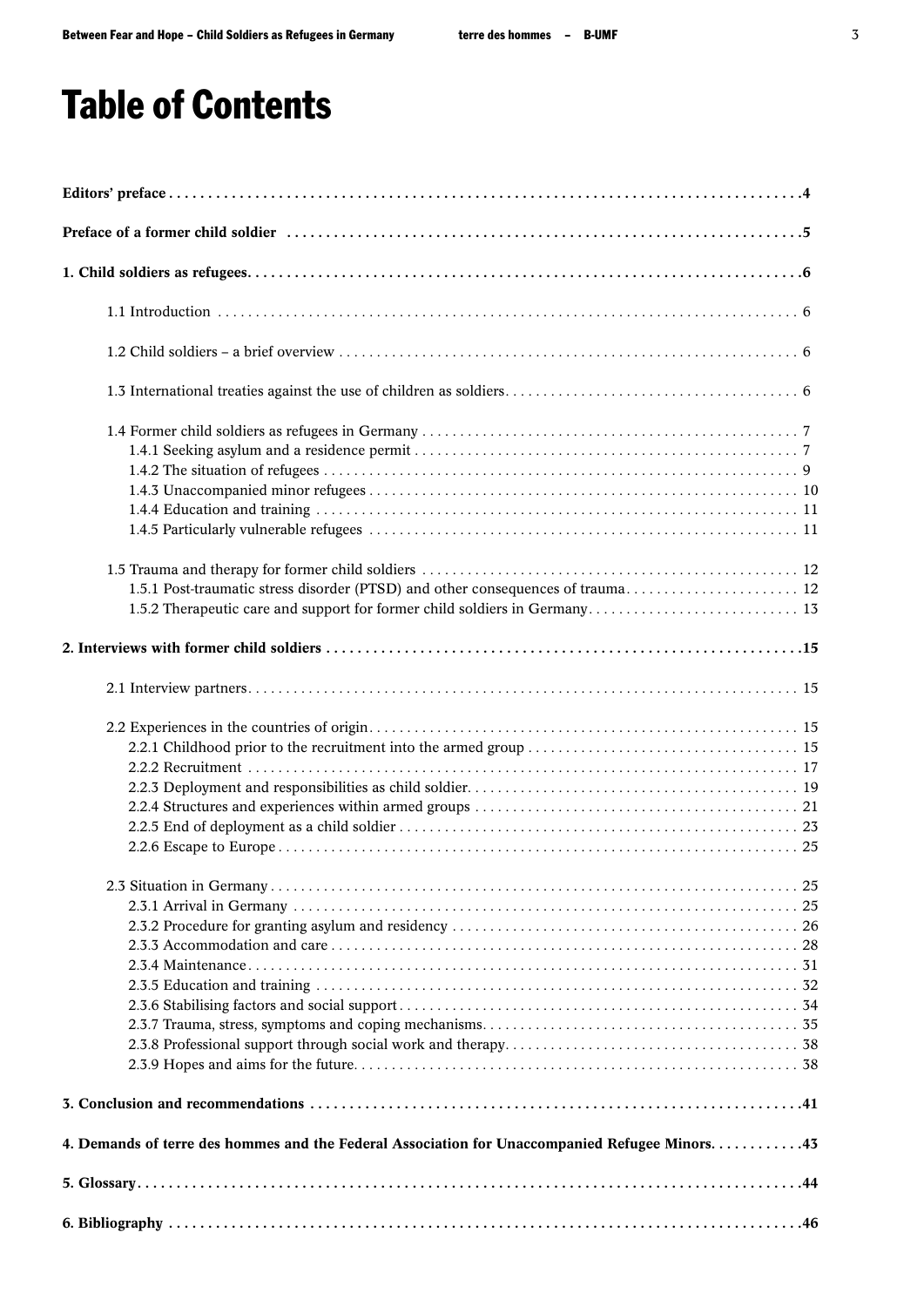# Table of Contents

| 1.5.1 Post-traumatic stress disorder (PTSD) and other consequences of trauma 12                 |
|-------------------------------------------------------------------------------------------------|
|                                                                                                 |
|                                                                                                 |
|                                                                                                 |
|                                                                                                 |
|                                                                                                 |
| 4. Demands of terre des hommes and the Federal Association for Unaccompanied Refugee Minors. 43 |
|                                                                                                 |
|                                                                                                 |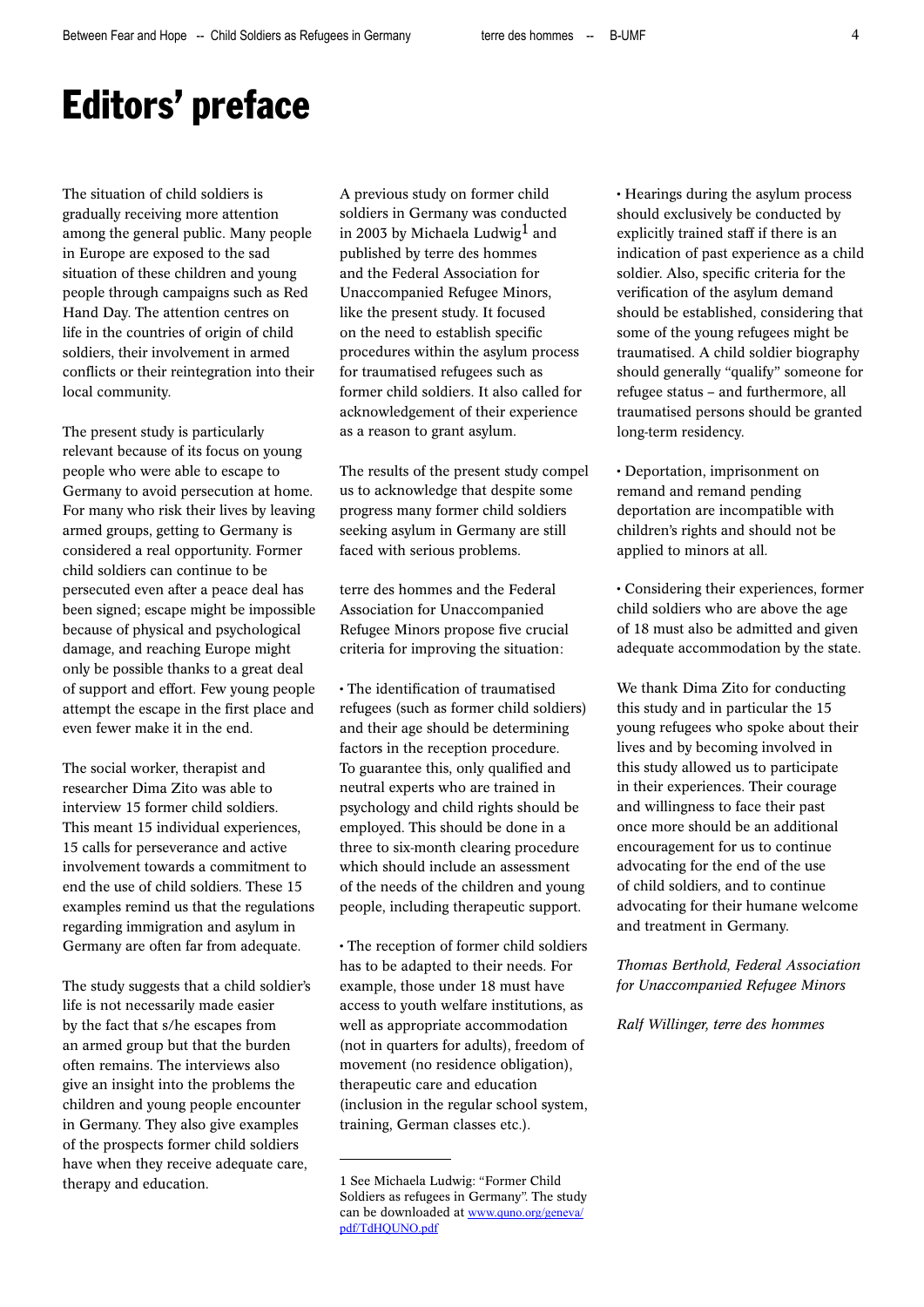# Editors' preface

The situation of child soldiers is gradually receiving more attention among the general public. Many people in Europe are exposed to the sad situation of these children and young people through campaigns such as Red Hand Day. The attention centres on life in the countries of origin of child soldiers, their involvement in armed conflicts or their reintegration into their local community.

The present study is particularly relevant because of its focus on young people who were able to escape to Germany to avoid persecution at home. For many who risk their lives by leaving armed groups, getting to Germany is considered a real opportunity. Former child soldiers can continue to be persecuted even after a peace deal has been signed; escape might be impossible because of physical and psychological damage, and reaching Europe might only be possible thanks to a great deal of support and effort. Few young people attempt the escape in the first place and even fewer make it in the end.

The social worker, therapist and researcher Dima Zito was able to interview 15 former child soldiers. This meant 15 individual experiences, 15 calls for perseverance and active involvement towards a commitment to end the use of child soldiers. These 15 examples remind us that the regulations regarding immigration and asylum in Germany are often far from adequate.

The study suggests that a child soldier's life is not necessarily made easier by the fact that s/he escapes from an armed group but that the burden often remains. The interviews also give an insight into the problems the children and young people encounter in Germany. They also give examples of the prospects former child soldiers have when they receive adequate care, therapy and education.

A previous study on former child soldiers in Germany was conducted in 2003 by Michaela Ludwig<sup>1</sup> and published by terre des hommes and the Federal Association for Unaccompanied Refugee Minors, like the present study. It focused on the need to establish specific procedures within the asylum process for traumatised refugees such as former child soldiers. It also called for acknowledgement of their experience as a reason to grant asylum.

The results of the present study compel us to acknowledge that despite some progress many former child soldiers seeking asylum in Germany are still faced with serious problems.

terre des hommes and the Federal Association for Unaccompanied Refugee Minors propose five crucial criteria for improving the situation:

• The identification of traumatised refugees (such as former child soldiers) and their age should be determining factors in the reception procedure. To guarantee this, only qualified and neutral experts who are trained in psychology and child rights should be employed. This should be done in a three to six-month clearing procedure which should include an assessment of the needs of the children and young people, including therapeutic support.

• The reception of former child soldiers has to be adapted to their needs. For example, those under 18 must have access to youth welfare institutions, as well as appropriate accommodation (not in quarters for adults), freedom of movement (no residence obligation), therapeutic care and education (inclusion in the regular school system, training, German classes etc.).

• Hearings during the asylum process should exclusively be conducted by explicitly trained staff if there is an indication of past experience as a child soldier. Also, specific criteria for the verification of the asylum demand should be established, considering that some of the young refugees might be traumatised. A child soldier biography should generally "qualify" someone for refugee status – and furthermore, all traumatised persons should be granted long-term residency.

• Deportation, imprisonment on remand and remand pending deportation are incompatible with children's rights and should not be applied to minors at all.

• Considering their experiences, former child soldiers who are above the age of 18 must also be admitted and given adequate accommodation by the state.

We thank Dima Zito for conducting this study and in particular the 15 young refugees who spoke about their lives and by becoming involved in this study allowed us to participate in their experiences. Their courage and willingness to face their past once more should be an additional encouragement for us to continue advocating for the end of the use of child soldiers, and to continue advocating for their humane welcome and treatment in Germany.

*Thomas Berthold, Federal Association for Unaccompanied Refugee Minors*

*Ralf Willinger, terre des hommes*

<sup>1</sup> See Michaela Ludwig: "Former Child Soldiers as refugees in Germany". The study [can be downloaded at](http://www.quno.org/geneva/pdf/TdHQUNO.pdf) www.quno.org/geneva/ pdf/TdHQUNO.pdf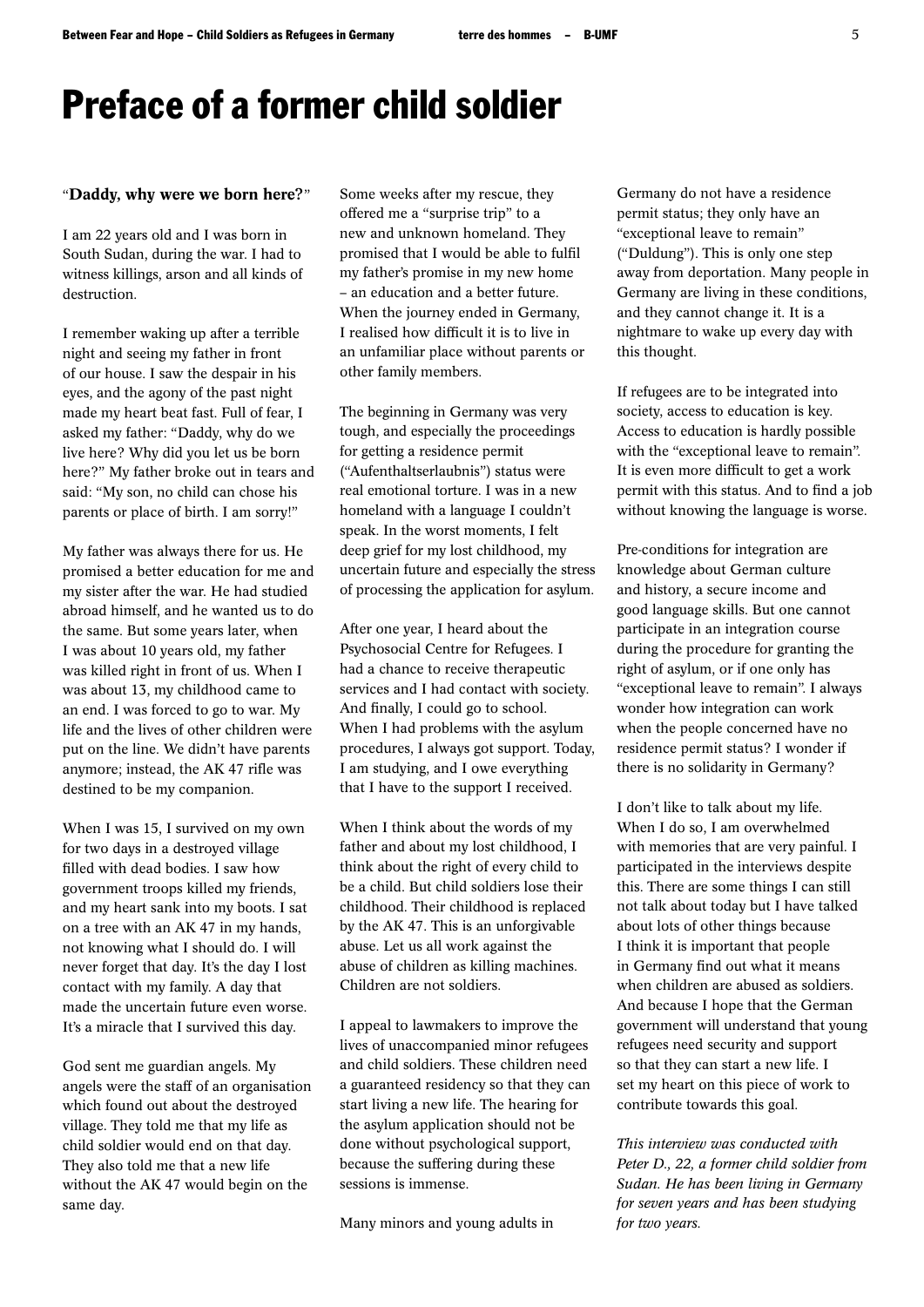# Preface of a former child soldier

## "Daddy, why were we born here?"

I am 22 years old and I was born in South Sudan, during the war. I had to witness killings, arson and all kinds of destruction.

I remember waking up after a terrible night and seeing my father in front of our house. I saw the despair in his eyes, and the agony of the past night made my heart beat fast. Full of fear, I asked my father: "Daddy, why do we live here? Why did you let us be born here?" My father broke out in tears and said: "My son, no child can chose his parents or place of birth. I am sorry!"

My father was always there for us. He promised a better education for me and my sister after the war. He had studied abroad himself, and he wanted us to do the same. But some years later, when I was about 10 years old, my father was killed right in front of us. When I was about 13, my childhood came to an end. I was forced to go to war. My life and the lives of other children were put on the line. We didn't have parents anymore; instead, the AK 47 rifle was destined to be my companion.

When I was 15, I survived on my own for two days in a destroyed village filled with dead bodies. I saw how government troops killed my friends, and my heart sank into my boots. I sat on a tree with an AK 47 in my hands, not knowing what I should do. I will never forget that day. It's the day I lost contact with my family. A day that made the uncertain future even worse. It's a miracle that I survived this day.

God sent me guardian angels. My angels were the staff of an organisation which found out about the destroyed village. They told me that my life as child soldier would end on that day. They also told me that a new life without the AK 47 would begin on the same day.

Some weeks after my rescue, they offered me a "surprise trip" to a new and unknown homeland. They promised that I would be able to fulfil my father's promise in my new home – an education and a better future. When the journey ended in Germany, I realised how difficult it is to live in an unfamiliar place without parents or other family members.

The beginning in Germany was very tough, and especially the proceedings for getting a residence permit ("Aufenthaltserlaubnis") status were real emotional torture. I was in a new homeland with a language I couldn't speak. In the worst moments, I felt deep grief for my lost childhood, my uncertain future and especially the stress of processing the application for asylum.

After one year, I heard about the Psychosocial Centre for Refugees. I had a chance to receive therapeutic services and I had contact with society. And finally, I could go to school. When I had problems with the asylum procedures, I always got support. Today, I am studying, and I owe everything that I have to the support I received.

When I think about the words of my father and about my lost childhood, I think about the right of every child to be a child. But child soldiers lose their childhood. Their childhood is replaced by the AK 47. This is an unforgivable abuse. Let us all work against the abuse of children as killing machines. Children are not soldiers.

I appeal to lawmakers to improve the lives of unaccompanied minor refugees and child soldiers. These children need a guaranteed residency so that they can start living a new life. The hearing for the asylum application should not be done without psychological support, because the suffering during these sessions is immense.

Many minors and young adults in

Germany do not have a residence permit status; they only have an "exceptional leave to remain" ("Duldung"). This is only one step away from deportation. Many people in Germany are living in these conditions, and they cannot change it. It is a nightmare to wake up every day with this thought.

If refugees are to be integrated into society, access to education is key. Access to education is hardly possible with the "exceptional leave to remain". It is even more difficult to get a work permit with this status. And to find a job without knowing the language is worse.

Pre-conditions for integration are knowledge about German culture and history, a secure income and good language skills. But one cannot participate in an integration course during the procedure for granting the right of asylum, or if one only has "exceptional leave to remain". I always wonder how integration can work when the people concerned have no residence permit status? I wonder if there is no solidarity in Germany?

I don't like to talk about my life. When I do so, I am overwhelmed with memories that are very painful. I participated in the interviews despite this. There are some things I can still not talk about today but I have talked about lots of other things because I think it is important that people in Germany find out what it means when children are abused as soldiers. And because I hope that the German government will understand that young refugees need security and support so that they can start a new life. I set my heart on this piece of work to contribute towards this goal.

*This interview was conducted with Peter D., 22, a former child soldier from Sudan. He has been living in Germany for seven years and has been studying for two years.*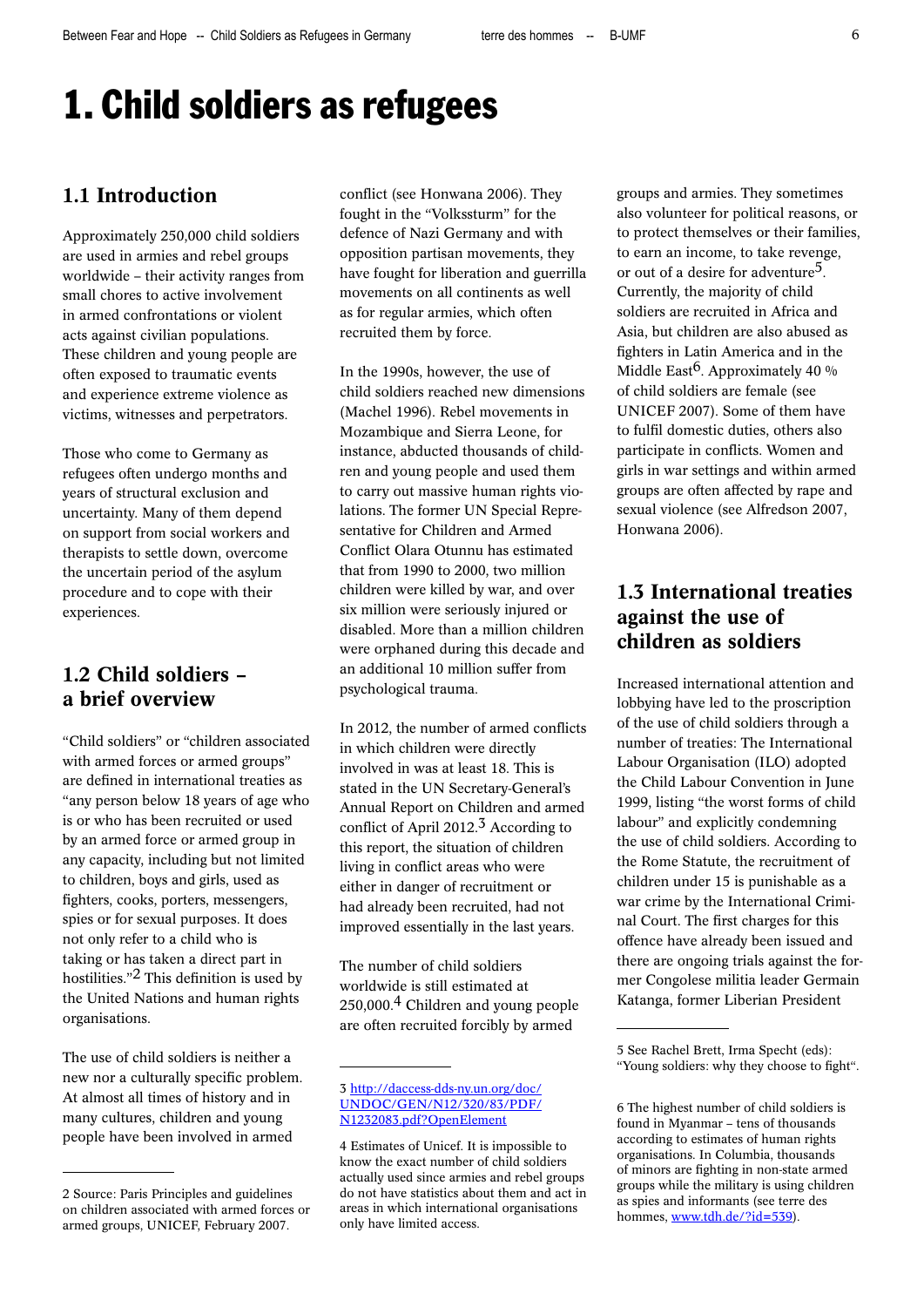# 1. Child soldiers as refugees

# 1.1 Introduction

Approximately 250,000 child soldiers are used in armies and rebel groups worldwide – their activity ranges from small chores to active involvement in armed confrontations or violent acts against civilian populations. These children and young people are often exposed to traumatic events and experience extreme violence as victims, witnesses and perpetrators.

Those who come to Germany as refugees often undergo months and years of structural exclusion and uncertainty. Many of them depend on support from social workers and therapists to settle down, overcome the uncertain period of the asylum procedure and to cope with their experiences.

# 1.2 Child soldiers – a brief overview

"Child soldiers" or "children associated with armed forces or armed groups" are defined in international treaties as "any person below 18 years of age who is or who has been recruited or used by an armed force or armed group in any capacity, including but not limited to children, boys and girls, used as fighters, cooks, porters, messengers, spies or for sexual purposes. It does not only refer to a child who is taking or has taken a direct part in hostilities."2 This definition is used by the United Nations and human rights organisations.

The use of child soldiers is neither a new nor a culturally specific problem. At almost all times of history and in many cultures, children and young people have been involved in armed

conflict (see Honwana 2006). They fought in the "Volkssturm" for the defence of Nazi Germany and with opposition partisan movements, they have fought for liberation and guerrilla movements on all continents as well as for regular armies, which often recruited them by force.

In the 1990s, however, the use of child soldiers reached new dimensions (Machel 1996). Rebel movements in Mozambique and Sierra Leone, for instance, abducted thousands of children and young people and used them to carry out massive human rights violations. The former UN Special Representative for Children and Armed Conflict Olara Otunnu has estimated that from 1990 to 2000, two million children were killed by war, and over six million were seriously injured or disabled. More than a million children were orphaned during this decade and an additional 10 million suffer from psychological trauma.

In 2012, the number of armed conflicts in which children were directly involved in was at least 18. This is stated in the UN Secretary-General's Annual Report on Children and armed conflict of April 2012.3 According to this report, the situation of children living in conflict areas who were either in danger of recruitment or had already been recruited, had not improved essentially in the last years.

The number of child soldiers worldwide is still estimated at 250,000.4 Children and young people are often recruited forcibly by armed

groups and armies. They sometimes also volunteer for political reasons, or to protect themselves or their families, to earn an income, to take revenge, or out of a desire for adventure5. Currently, the majority of child soldiers are recruited in Africa and Asia, but children are also abused as fighters in Latin America and in the Middle East $6$ . Approximately 40 % of child soldiers are female (see UNICEF 2007). Some of them have to fulfil domestic duties, others also participate in conflicts. Women and girls in war settings and within armed groups are often affected by rape and sexual violence (see Alfredson 2007, Honwana 2006).

# 1.3 International treaties against the use of children as soldiers

Increased international attention and lobbying have led to the proscription of the use of child soldiers through a number of treaties: The International Labour Organisation (ILO) adopted the Child Labour Convention in June 1999, listing "the worst forms of child labour" and explicitly condemning the use of child soldiers. According to the Rome Statute, the recruitment of children under 15 is punishable as a war crime by the International Criminal Court. The first charges for this offence have already been issued and there are ongoing trials against the former Congolese militia leader Germain Katanga, former Liberian President

<sup>2</sup> Source: Paris Principles and guidelines on children associated with armed forces or armed groups, UNICEF, February 2007.

<sup>3</sup> http://daccess-dds-ny.un.org/doc/ [UNDOC/GEN/N12/320/83/PDF/](http://daccess-dds-ny.un.org/doc/UNDOC/GEN/N12/320/83/PDF/N1232083.pdf?OpenElement) N1232083.pdf?OpenElement

<sup>4</sup> Estimates of Unicef. It is impossible to know the exact number of child soldiers actually used since armies and rebel groups do not have statistics about them and act in areas in which international organisations only have limited access.

<sup>5</sup> See Rachel Brett, Irma Specht (eds): "Young soldiers: why they choose to fight".

<sup>6</sup> The highest number of child soldiers is found in Myanmar – tens of thousands according to estimates of human rights organisations. In Columbia, thousands of minors are fighting in non-state armed groups while the military is using children as spies and informants (see terre des hommes, www.tdh.de/?id=539).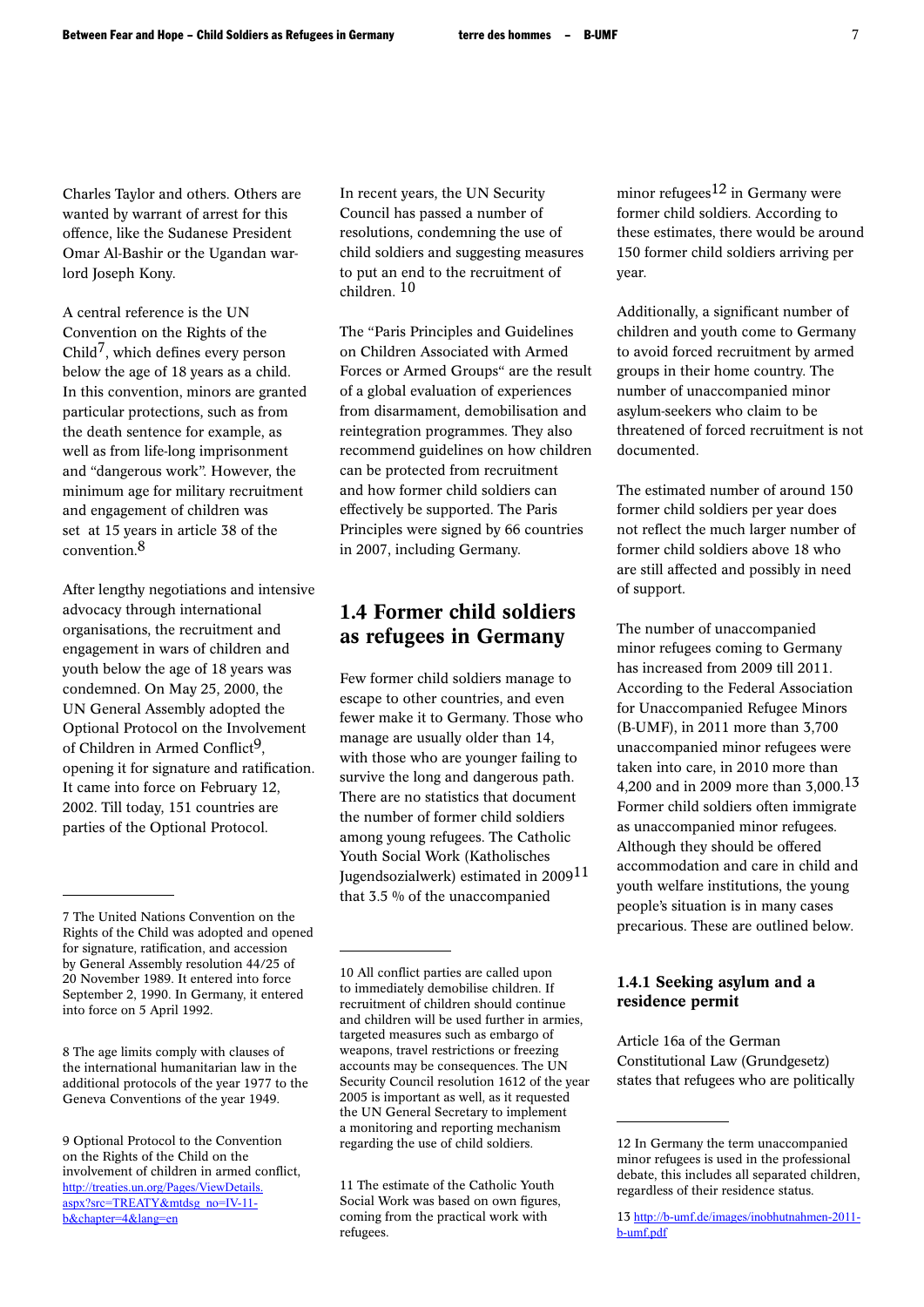Charles Taylor and others. Others are wanted by warrant of arrest for this offence, like the Sudanese President Omar Al-Bashir or the Ugandan warlord Joseph Kony.

A central reference is the UN Convention on the Rights of the Child<sup>7</sup>, which defines every person below the age of 18 years as a child. In this convention, minors are granted particular protections, such as from the death sentence for example, as well as from life-long imprisonment and "dangerous work". However, the minimum age for military recruitment and engagement of children was set at 15 years in article 38 of the convention.8

After lengthy negotiations and intensive advocacy through international organisations, the recruitment and engagement in wars of children and youth below the age of 18 years was condemned. On May 25, 2000, the UN General Assembly adopted the Optional Protocol on the Involvement of Children in Armed Conflict<sup>9</sup>. opening it for signature and ratification. It came into force on February 12, 2002. Till today, 151 countries are parties of the Optional Protocol.

8 The age limits comply with clauses of the international humanitarian law in the additional protocols of the year 1977 to the Geneva Conventions of the year 1949.

9 Optional Protocol to the Convention on the Rights of the Child on the involvement of children in armed conflict, [http://treaties.un.org/Pages/ViewDetails.](http://treaties.un.org/Pages/ViewDetails.aspx?src=TREATY&mtdsg_no=IV-11-b&chapter=4&lang=en) aspx?src=TREATY&mtdsg\_no=IV-11 b&chapter=4&lang=en

In recent years, the UN Security Council has passed a number of resolutions, condemning the use of child soldiers and suggesting measures to put an end to the recruitment of children. 10

The "Paris Principles and Guidelines on Children Associated with Armed Forces or Armed Groups" are the result of a global evaluation of experiences from disarmament, demobilisation and reintegration programmes. They also recommend guidelines on how children can be protected from recruitment and how former child soldiers can effectively be supported. The Paris Principles were signed by 66 countries in 2007, including Germany.

# 1.4 Former child soldiers as refugees in Germany

Few former child soldiers manage to escape to other countries, and even fewer make it to Germany. Those who manage are usually older than 14, with those who are younger failing to survive the long and dangerous path. There are no statistics that document the number of former child soldiers among young refugees. The Catholic Youth Social Work (Katholisches Jugendsozialwerk) estimated in 200911 that 3.5 % of the unaccompanied

minor refugees<sup>12</sup> in Germany were former child soldiers. According to these estimates, there would be around 150 former child soldiers arriving per year.

Additionally, a significant number of children and youth come to Germany to avoid forced recruitment by armed groups in their home country. The number of unaccompanied minor asylum-seekers who claim to be threatened of forced recruitment is not documented.

The estimated number of around 150 former child soldiers per year does not reflect the much larger number of former child soldiers above 18 who are still affected and possibly in need of support.

The number of unaccompanied minor refugees coming to Germany has increased from 2009 till 2011. According to the Federal Association for Unaccompanied Refugee Minors (B-UMF), in 2011 more than 3,700 unaccompanied minor refugees were taken into care, in 2010 more than 4,200 and in 2009 more than 3,000.13 Former child soldiers often immigrate as unaccompanied minor refugees. Although they should be offered accommodation and care in child and youth welfare institutions, the young people's situation is in many cases precarious. These are outlined below.

# 1.4.1 Seeking asylum and a residence permit

Article 16a of the German Constitutional Law (Grundgesetz) states that refugees who are politically

<sup>7</sup> The United Nations Convention on the Rights of the Child was adopted and opened for signature, ratification, and accession by General Assembly resolution 44/25 of 20 November 1989. It entered into force September 2, 1990. In Germany, it entered into force on 5 April 1992.

<sup>10</sup> All conflict parties are called upon to immediately demobilise children. If recruitment of children should continue and children will be used further in armies, targeted measures such as embargo of weapons, travel restrictions or freezing accounts may be consequences. The UN Security Council resolution 1612 of the year 2005 is important as well, as it requested the UN General Secretary to implement a monitoring and reporting mechanism regarding the use of child soldiers.

<sup>11</sup> The estimate of the Catholic Youth Social Work was based on own figures, coming from the practical work with refugees.

<sup>12</sup> In Germany the term unaccompanied minor refugees is used in the professional debate, this includes all separated children, regardless of their residence status.

<sup>13</sup> http://b-umf.de/images/inobhutnahmen-2011 b-umf.pdf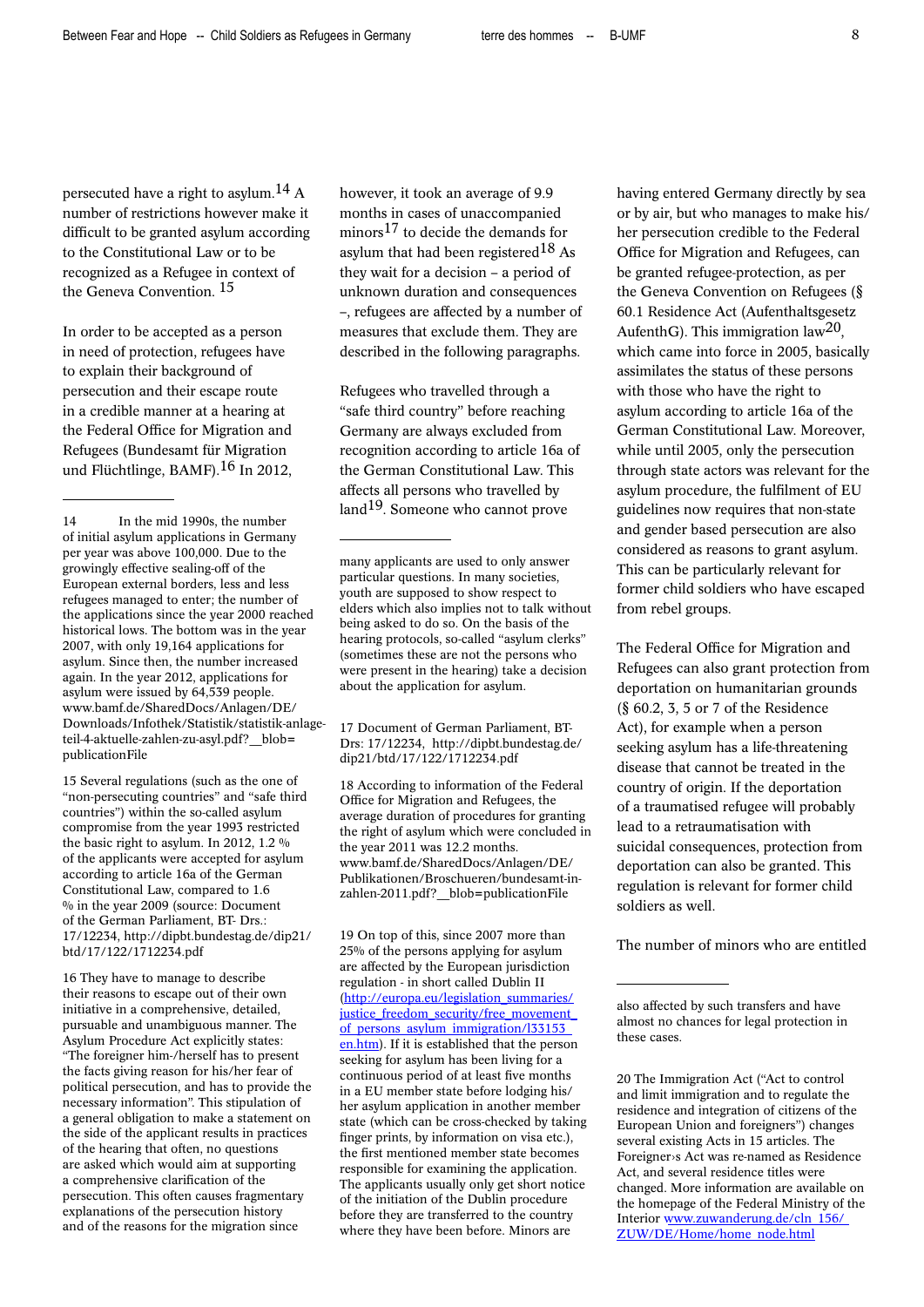persecuted have a right to asylum.<sup>14</sup> A number of restrictions however make it difficult to be granted asylum according to the Constitutional Law or to be recognized as a Refugee in context of the Geneva Convention. 15

In order to be accepted as a person in need of protection, refugees have to explain their background of persecution and their escape route in a credible manner at a hearing at the Federal Office for Migration and Refugees (Bundesamt für Migration und Flüchtlinge, BAMF).16 In 2012,

14 In the mid 1990s, the number of initial asylum applications in Germany per year was above 100,000. Due to the growingly effective sealing-off of the European external borders, less and less refugees managed to enter; the number of the applications since the year 2000 reached historical lows. The bottom was in the year 2007, with only 19,164 applications for asylum. Since then, the number increased again. In the year 2012, applications for asylum were issued by 64,539 people. www.bamf.de/SharedDocs/Anlagen/DE/ [Downloads/Infothek/Statistik/statistik-anl](http://www.bamf.de/SharedDocs/Anlagen/DE/Downloads/Infothek/Statistik/statistik-anlage-teil-4-aktuelle-zahlen-zu-asyl.pdf?__blob=publicationFile)ageteil-4-aktuelle-zahlen-zu-asyl.pdf?\_\_blob= publicationFile

15 Several regulations (such as the one of "non-persecuting countries" and "safe third countries") within the so-called asylum compromise from the year 1993 restricted the basic right to asylum. In 2012, 1.2 % of the applicants were accepted for asylum according to article 16a of the German Constitutional Law, compared to 1.6 % in the year 2009 (source: Document of the German Parliament, BT- Drs.: [17/12234, http://dipbt.bundestag.de/dip21/](http://dipbt.bundestag.de/dip21/btd/17/122/1712234.pdf) btd/17/122/1712234.pdf

16 They have to manage to describe their reasons to escape out of their own initiative in a comprehensive, detailed, pursuable and unambiguous manner. The Asylum Procedure Act explicitly states: "The foreigner him-/herself has to present the facts giving reason for his/her fear of political persecution, and has to provide the necessary information". This stipulation of a general obligation to make a statement on the side of the applicant results in practices of the hearing that often, no questions are asked which would aim at supporting a comprehensive clarification of the persecution. This often causes fragmentary explanations of the persecution history and of the reasons for the migration since

however, it took an average of 9.9 months in cases of unaccompanied minors17 to decide the demands for asylum that had been registered<sup>18</sup> As they wait for a decision – a period of unknown duration and consequences –, refugees are affected by a number of measures that exclude them. They are described in the following paragraphs.

Refugees who travelled through a "safe third country" before reaching Germany are always excluded from recognition according to article 16a of the German Constitutional Law. This affects all persons who travelled by land19. Someone who cannot prove

17 Document of German Parliament, BT-[Drs: 17/12234, http://dipbt.bundestag.de/](http://dipbt.bundestag.de/dip21/btd/17/122/1712234.pdf) dip21/btd/17/122/1712234.pdf

18 According to information of the Federal Office for Migration and Refugees, the average duration of procedures for granting the right of asylum which were concluded in the year 2011 was 12.2 months. www.bamf.de/SharedDocs/Anlagen/DE/ [Publikationen/Broschueren/bundesamt-in](http://www.bamf.de/SharedDocs/Anlagen/DE/Publikationen/Broschueren/bundesamt-in-zahlen-2011.pdf?__blob=publicationFile)zahlen-2011.pdf?\_\_blob=publicationFile

19 On top of this, since 2007 more than 25% of the persons applying for asylum are affected by the European jurisdiction regulation - in short called Dublin II (http://europa.eu/legislation\_summaries/ justice freedom\_security/free\_movement of persons asylum immigration/l33153 en.htm). If it is established that the person seeking for asylum has been living for a continuous period of at least five months in a EU member state before lodging his/ her asylum application in another member state (which can be cross-checked by taking finger prints, by information on visa etc.), the first mentioned member state becomes responsible for examining the application. The applicants usually only get short notice of the initiation of the Dublin procedure before they are transferred to the country where they have been before. Minors are

having entered Germany directly by sea or by air, but who manages to make his/ her persecution credible to the Federal Office for Migration and Refugees, can be granted refugee-protection, as per the Geneva Convention on Refugees (§ 60.1 Residence Act (Aufenthaltsgesetz AufenthG). This immigration law<sup>20</sup>, which came into force in 2005, basically assimilates the status of these persons with those who have the right to asylum according to article 16a of the German Constitutional Law. Moreover, while until 2005, only the persecution through state actors was relevant for the asylum procedure, the fulfilment of EU guidelines now requires that non-state and gender based persecution are also considered as reasons to grant asylum. This can be particularly relevant for former child soldiers who have escaped from rebel groups.

The Federal Office for Migration and Refugees can also grant protection from deportation on humanitarian grounds (§ 60.2, 3, 5 or 7 of the Residence Act), for example when a person seeking asylum has a life-threatening disease that cannot be treated in the country of origin. If the deportation of a traumatised refugee will probably lead to a retraumatisation with suicidal consequences, protection from deportation can also be granted. This regulation is relevant for former child soldiers as well.

The number of minors who are entitled

20 The Immigration Act ("Act to control and limit immigration and to regulate the residence and integration of citizens of the European Union and foreigners") changes several existing Acts in 15 articles. The Foreigner›s Act was re-named as Residence Act, and several residence titles were changed. More information are available on the homepage of the Federal Ministry of the [Interior www.zuwanderung.de/cln\\_156/](http://www.zuwanderung.de/cln_156/ZUW/DE/Home/home_node.html) ZUW/DE/Home/home\_node.html

many applicants are used to only answer particular questions. In many societies, youth are supposed to show respect to elders which also implies not to talk without being asked to do so. On the basis of the hearing protocols, so-called "asylum clerks" (sometimes these are not the persons who were present in the hearing) take a decision about the application for asylum.

also affected by such transfers and have almost no chances for legal protection in these cases.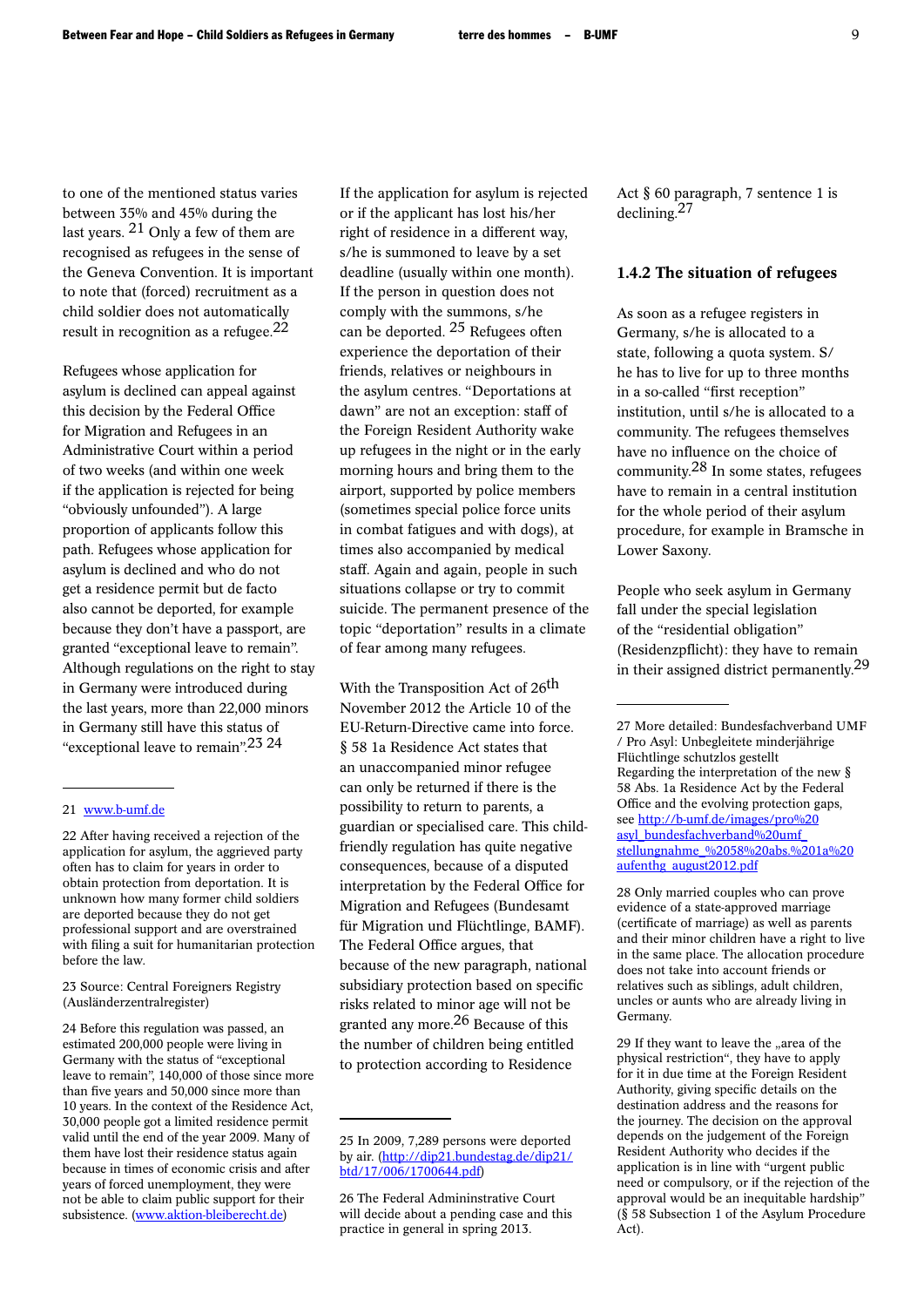to one of the mentioned status varies between 35% and 45% during the last years. 21 Only a few of them are recognised as refugees in the sense of the Geneva Convention. It is important to note that (forced) recruitment as a child soldier does not automatically result in recognition as a refugee.22

Refugees whose application for asylum is declined can appeal against this decision by the Federal Office for Migration and Refugees in an Administrative Court within a period of two weeks (and within one week if the application is rejected for being "obviously unfounded"). A large proportion of applicants follow this path. Refugees whose application for asylum is declined and who do not get a residence permit but de facto also cannot be deported, for example because they don't have a passport, are granted "exceptional leave to remain". Although regulations on the right to stay in Germany were introduced during the last years, more than 22,000 minors in Germany still have this status of "exceptional leave to remain".<sup>23</sup> 24

#### 21 www.b-umf.de

22 After having received a rejection of the application for asylum, the aggrieved party often has to claim for years in order to obtain protection from deportation. It is unknown how many former child soldiers are deported because they do not get professional support and are overstrained with filing a suit for humanitarian protection before the law.

23 Source: Central Foreigners Registry (Ausländerzentralregister)

24 Before this regulation was passed, an estimated 200,000 people were living in Germany with the status of "exceptional leave to remain", 140,000 of those since more than five years and 50,000 since more than 10 years. In the context of the Residence Act, 30,000 people got a limited residence permit valid until the end of the year 2009. Many of them have lost their residence status again because in times of economic crisis and after years of forced unemployment, they were not be able to claim public support for their subsistence. (www.aktion-bleiberecht.de)

If the application for asylum is rejected or if the applicant has lost his/her right of residence in a different way, s/he is summoned to leave by a set deadline (usually within one month). If the person in question does not comply with the summons, s/he can be deported. 25 Refugees often experience the deportation of their friends, relatives or neighbours in the asylum centres. "Deportations at dawn" are not an exception: staff of the Foreign Resident Authority wake up refugees in the night or in the early morning hours and bring them to the airport, supported by police members (sometimes special police force units in combat fatigues and with dogs), at times also accompanied by medical staff. Again and again, people in such situations collapse or try to commit suicide. The permanent presence of the topic "deportation" results in a climate of fear among many refugees.

With the Transposition Act of 26<sup>th</sup> November 2012 the Article 10 of the EU-Return-Directive came into force. § 58 1a Residence Act states that an unaccompanied minor refugee can only be returned if there is the possibility to return to parents, a guardian or specialised care. This childfriendly regulation has quite negative consequences, because of a disputed interpretation by the Federal Office for Migration and Refugees (Bundesamt für Migration und Flüchtlinge, BAMF). The Federal Office argues, that because of the new paragraph, national subsidiary protection based on specific risks related to minor age will not be granted any more.<sup>26</sup> Because of this the number of children being entitled to protection according to Residence

Act § 60 paragraph, 7 sentence 1 is declining.27

#### 1.4.2 The situation of refugees

As soon as a refugee registers in Germany, s/he is allocated to a state, following a quota system. S/ he has to live for up to three months in a so-called "first reception" institution, until s/he is allocated to a community. The refugees themselves have no influence on the choice of community.28 In some states, refugees have to remain in a central institution for the whole period of their asylum procedure, for example in Bramsche in Lower Saxony.

People who seek asylum in Germany fall under the special legislation of the "residential obligation" (Residenzpflicht): they have to remain in their assigned district permanently.29

28 Only married couples who can prove evidence of a state-approved marriage (certificate of marriage) as well as parents and their minor children have a right to live in the same place. The allocation procedure does not take into account friends or relatives such as siblings, adult children, uncles or aunts who are already living in Germany.

29 If they want to leave the "area of the physical restriction", they have to apply for it in due time at the Foreign Resident Authority, giving specific details on the destination address and the reasons for the journey. The decision on the approval depends on the judgement of the Foreign Resident Authority who decides if the application is in line with "urgent public need or compulsory, or if the rejection of the approval would be an inequitable hardship" (§ 58 Subsection 1 of the Asylum Procedure Act).

<sup>25</sup> In 2009, 7,289 persons were deported by air. (http://dip21.bundestag.de/dip21/ btd/17/006/1700644.pdf)

<sup>26</sup> The Federal Admininstrative Court will decide about a pending case and this practice in general in spring 2013.

<sup>27</sup> More detailed: Bundesfachverband UMF / Pro Asyl: Unbegleitete minderjährige Flüchtlinge schutzlos gestellt Regarding the interpretation of the new § 58 Abs. 1a Residence Act by the Federal Office and the evolving protection gaps, see http://b-umf.de/images/pro%20 asyl\_bundesfachverband%20umf\_ [stellungnahme\\_%2058%20abs.%201a%20](http://b-umf.de/images/pro%20asyl_bundesfachverband%20umf_stellungnahme_%2058%20abs.%201a%20aufenthg_august2012.pdf) aufenthg\_august2012.pdf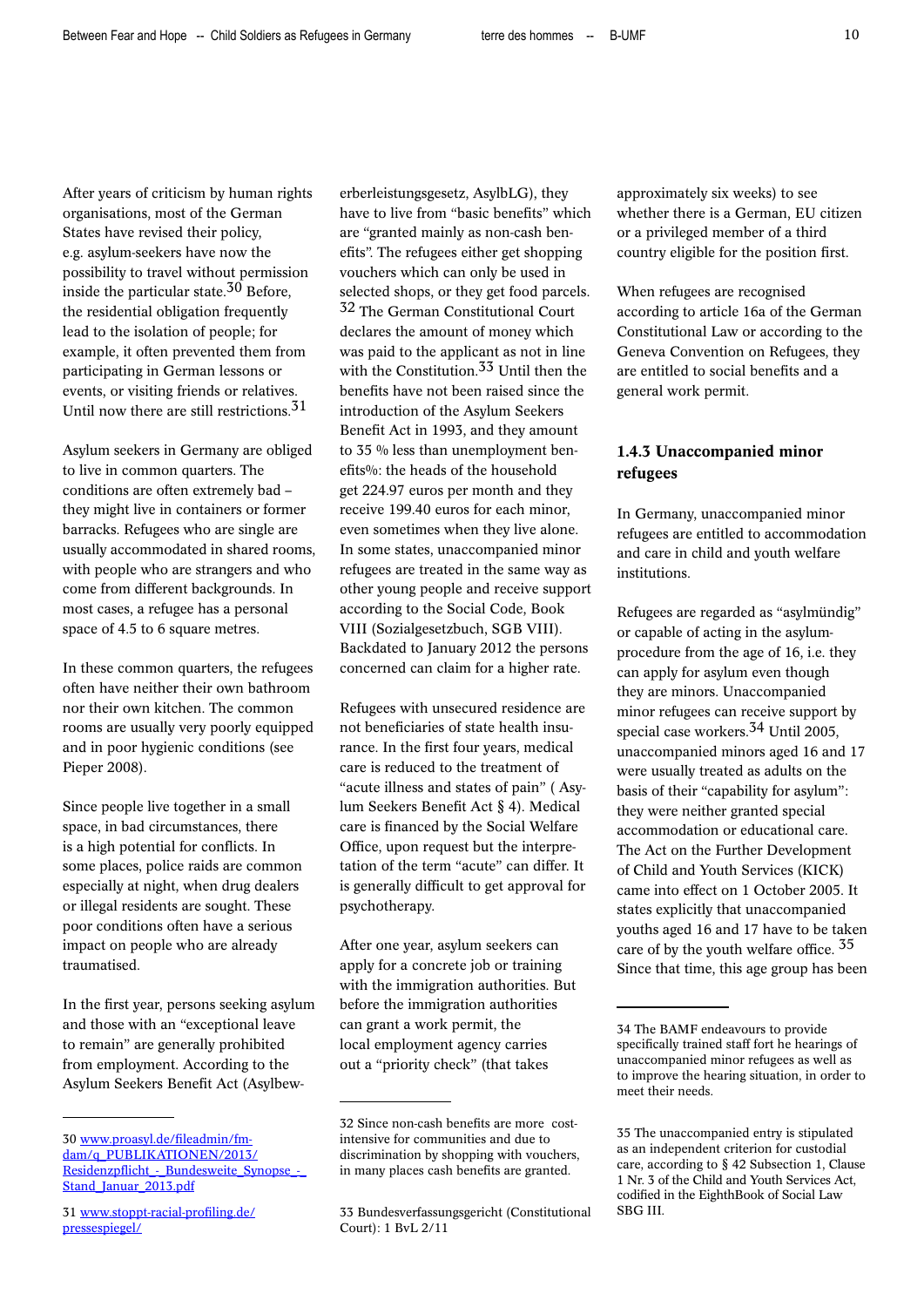After years of criticism by human rights organisations, most of the German States have revised their policy, e.g. asylum-seekers have now the possibility to travel without permission inside the particular state.30 Before, the residential obligation frequently lead to the isolation of people; for example, it often prevented them from participating in German lessons or events, or visiting friends or relatives. Until now there are still restrictions.31

Asylum seekers in Germany are obliged to live in common quarters. The conditions are often extremely bad – they might live in containers or former barracks. Refugees who are single are usually accommodated in shared rooms, with people who are strangers and who come from different backgrounds. In most cases, a refugee has a personal space of 4.5 to 6 square metres.

In these common quarters, the refugees often have neither their own bathroom nor their own kitchen. The common rooms are usually very poorly equipped and in poor hygienic conditions (see Pieper 2008).

Since people live together in a small space, in bad circumstances, there is a high potential for conflicts. In some places, police raids are common especially at night, when drug dealers or illegal residents are sought. These poor conditions often have a serious impact on people who are already traumatised.

In the first year, persons seeking asylum and those with an "exceptional leave to remain" are generally prohibited from employment. According to the Asylum Seekers Benefit Act (Asylbewerberleistungsgesetz, AsylbLG), they have to live from "basic benefits" which are "granted mainly as non-cash benefits". The refugees either get shopping vouchers which can only be used in selected shops, or they get food parcels. 32 The German Constitutional Court declares the amount of money which was paid to the applicant as not in line with the Constitution.<sup>33</sup> Until then the benefits have not been raised since the introduction of the Asylum Seekers Benefit Act in 1993, and they amount to 35 % less than unemployment benefits%: the heads of the household get 224.97 euros per month and they receive 199.40 euros for each minor, even sometimes when they live alone. In some states, unaccompanied minor refugees are treated in the same way as other young people and receive support according to the Social Code, Book VIII (Sozialgesetzbuch, SGB VIII). Backdated to January 2012 the persons concerned can claim for a higher rate.

Refugees with unsecured residence are not beneficiaries of state health insurance. In the first four years, medical care is reduced to the treatment of "acute illness and states of pain" ( Asylum Seekers Benefit Act § 4). Medical care is financed by the Social Welfare Office, upon request but the interpretation of the term "acute" can differ. It is generally difficult to get approval for psychotherapy.

After one year, asylum seekers can apply for a concrete job or training with the immigration authorities. But before the immigration authorities can grant a work permit, the local employment agency carries out a "priority check" (that takes

approximately six weeks) to see whether there is a German, EU citizen or a privileged member of a third country eligible for the position first.

When refugees are recognised according to article 16a of the German Constitutional Law or according to the Geneva Convention on Refugees, they are entitled to social benefits and a general work permit.

# 1.4.3 Unaccompanied minor refugees

In Germany, unaccompanied minor refugees are entitled to accommodation and care in child and youth welfare institutions.

Refugees are regarded as "asylmündig" or capable of acting in the asylumprocedure from the age of 16, i.e. they can apply for asylum even though they are minors. Unaccompanied minor refugees can receive support by special case workers.34 Until 2005, unaccompanied minors aged 16 and 17 were usually treated as adults on the basis of their "capability for asylum": they were neither granted special accommodation or educational care. The Act on the Further Development of Child and Youth Services (KICK) came into effect on 1 October 2005. It states explicitly that unaccompanied youths aged 16 and 17 have to be taken care of by the youth welfare office. 35 Since that time, this age group has been

<sup>30</sup> www.proasyl.de/fileadmin/fmdam/q\_PUBLIKATIONEN/2013/ Residenzpflicht - Bundesweite Synopse -Stand\_Januar\_2013.pdf

[<sup>31</sup> www.stoppt-racial-profiling.de/](http://www.stoppt-racial-profiling.de/pressespiegel/) pressespiegel/

<sup>32</sup> Since non-cash benefits are more costintensive for communities and due to discrimination by shopping with vouchers, in many places cash benefits are granted.

<sup>33</sup> Bundesverfassungsgericht (Constitutional Court): 1 BvL 2/11

<sup>34</sup> The BAMF endeavours to provide specifically trained staff fort he hearings of unaccompanied minor refugees as well as to improve the hearing situation, in order to meet their needs.

<sup>35</sup> The unaccompanied entry is stipulated as an independent criterion for custodial care, according to § 42 Subsection 1, Clause 1 Nr. 3 of the Child and Youth Services Act, codified in the EighthBook of Social Law SBG III.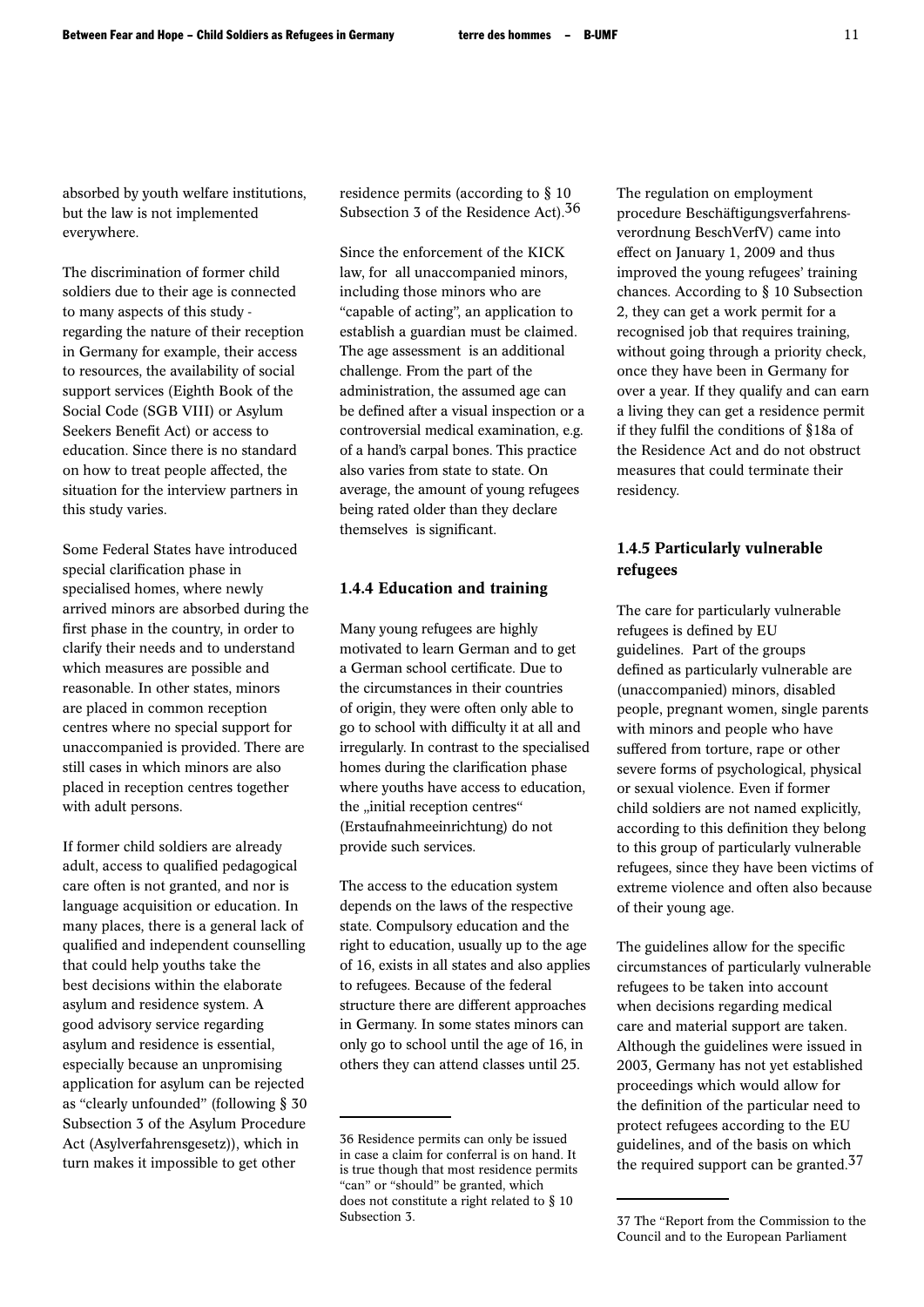absorbed by youth welfare institutions, but the law is not implemented everywhere.

The discrimination of former child soldiers due to their age is connected to many aspects of this study regarding the nature of their reception in Germany for example, their access to resources, the availability of social support services (Eighth Book of the Social Code (SGB VIII) or Asylum Seekers Benefit Act) or access to education. Since there is no standard on how to treat people affected, the situation for the interview partners in this study varies.

Some Federal States have introduced special clarification phase in specialised homes, where newly arrived minors are absorbed during the first phase in the country, in order to clarify their needs and to understand which measures are possible and reasonable. In other states, minors are placed in common reception centres where no special support for unaccompanied is provided. There are still cases in which minors are also placed in reception centres together with adult persons.

If former child soldiers are already adult, access to qualified pedagogical care often is not granted, and nor is language acquisition or education. In many places, there is a general lack of qualified and independent counselling that could help youths take the best decisions within the elaborate asylum and residence system. A good advisory service regarding asylum and residence is essential, especially because an unpromising application for asylum can be rejected as "clearly unfounded" (following § 30 Subsection 3 of the Asylum Procedure Act (Asylverfahrensgesetz)), which in turn makes it impossible to get other

residence permits (according to § 10 Subsection 3 of the Residence Act).36

Since the enforcement of the KICK law, for all unaccompanied minors, including those minors who are "capable of acting", an application to establish a guardian must be claimed. The age assessment is an additional challenge. From the part of the administration, the assumed age can be defined after a visual inspection or a controversial medical examination, e.g. of a hand's carpal bones. This practice also varies from state to state. On average, the amount of young refugees being rated older than they declare themselves is significant.

## 1.4.4 Education and training

Many young refugees are highly motivated to learn German and to get a German school certificate. Due to the circumstances in their countries of origin, they were often only able to go to school with difficulty it at all and irregularly. In contrast to the specialised homes during the clarification phase where youths have access to education, the "initial reception centres" (Erstaufnahmeeinrichtung) do not provide such services.

The access to the education system depends on the laws of the respective state. Compulsory education and the right to education, usually up to the age of 16, exists in all states and also applies to refugees. Because of the federal structure there are different approaches in Germany. In some states minors can only go to school until the age of 16, in others they can attend classes until 25.

The regulation on employment procedure Beschäftigungsverfahrensverordnung BeschVerfV) came into effect on January 1, 2009 and thus improved the young refugees' training chances. According to § 10 Subsection 2, they can get a work permit for a recognised job that requires training, without going through a priority check, once they have been in Germany for over a year. If they qualify and can earn a living they can get a residence permit if they fulfil the conditions of §18a of the Residence Act and do not obstruct measures that could terminate their residency.

# 1.4.5 Particularly vulnerable refugees

The care for particularly vulnerable refugees is defined by EU guidelines. Part of the groups defined as particularly vulnerable are (unaccompanied) minors, disabled people, pregnant women, single parents with minors and people who have suffered from torture, rape or other severe forms of psychological, physical or sexual violence. Even if former child soldiers are not named explicitly, according to this definition they belong to this group of particularly vulnerable refugees, since they have been victims of extreme violence and often also because of their young age.

The guidelines allow for the specific circumstances of particularly vulnerable refugees to be taken into account when decisions regarding medical care and material support are taken. Although the guidelines were issued in 2003, Germany has not yet established proceedings which would allow for the definition of the particular need to protect refugees according to the EU guidelines, and of the basis on which the required support can be granted.<sup>37</sup>

Council and to the European Parliament

<sup>36</sup> Residence permits can only be issued in case a claim for conferral is on hand. It is true though that most residence permits "can" or "should" be granted, which does not constitute a right related to § 10 Subsection 3.

<sup>37</sup> The "Report from the Commission to the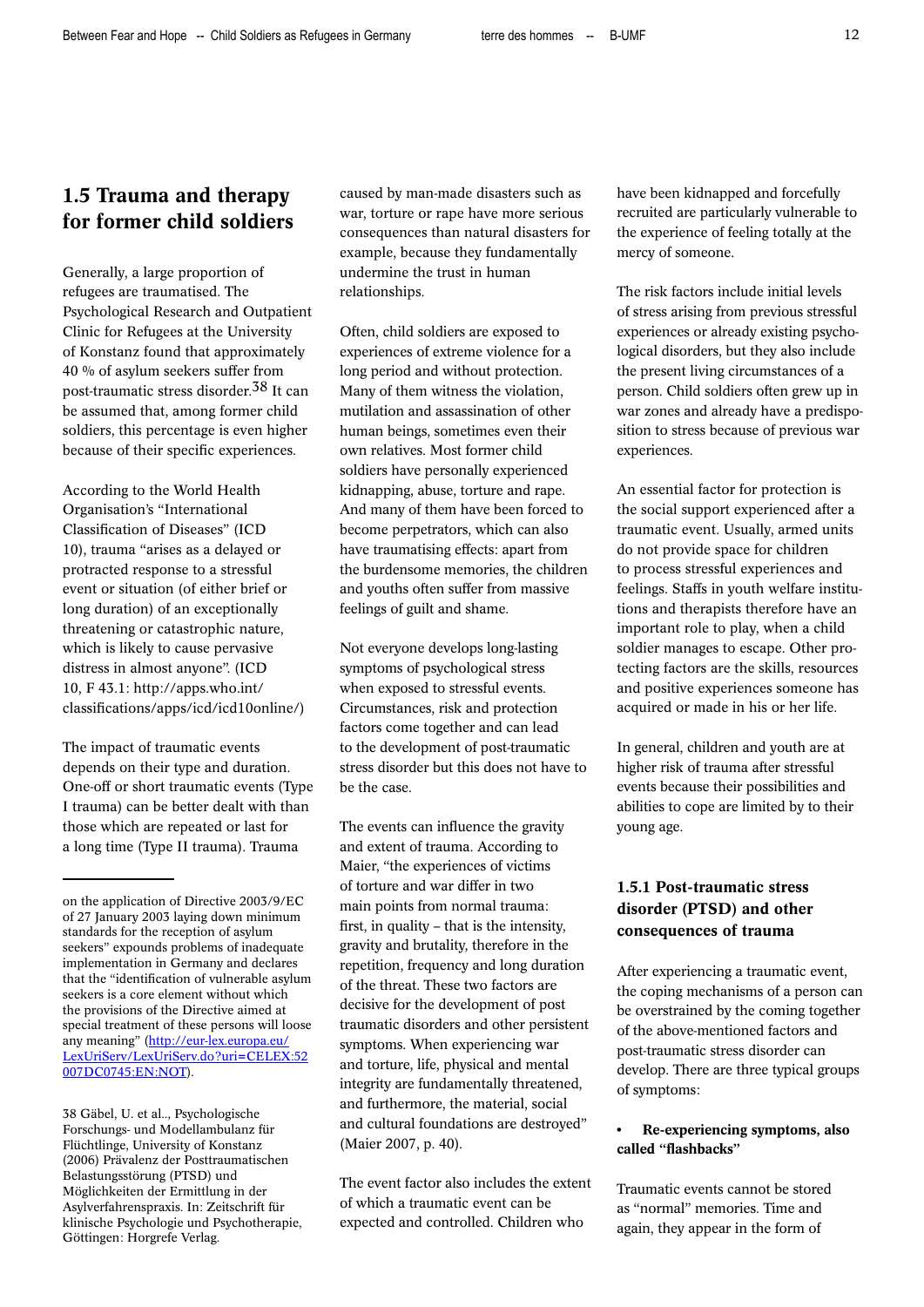# 1.5 Trauma and therapy for former child soldiers

Generally, a large proportion of refugees are traumatised. The Psychological Research and Outpatient Clinic for Refugees at the University of Konstanz found that approximately 40 % of asylum seekers suffer from post-traumatic stress disorder.38 It can be assumed that, among former child soldiers, this percentage is even higher because of their specific experiences.

According to the World Health Organisation's "International Classification of Diseases" (ICD 10), trauma "arises as a delayed or protracted response to a stressful event or situation (of either brief or long duration) of an exceptionally threatening or catastrophic nature, which is likely to cause pervasive distress in almost anyone". (ICD 10, F 43.1: http://apps.who.int/ classifications/apps/icd/icd10online/)

The impact of traumatic events depends on their type and duration. One-off or short traumatic events (Type I trauma) can be better dealt with than those which are repeated or last for a long time (Type II trauma). Trauma

38 Gäbel, U. et al.., Psychologische Forschungs- und Modellambulanz für Flüchtlinge, University of Konstanz (2006) Prävalenz der Posttraumatischen Belastungsstörung (PTSD) und Möglichkeiten der Ermittlung in der Asylverfahrenspraxis. In: Zeitschrift für klinische Psychologie und Psychotherapie, Göttingen: Horgrefe Verlag.

caused by man-made disasters such as war, torture or rape have more serious consequences than natural disasters for example, because they fundamentally undermine the trust in human relationships.

Often, child soldiers are exposed to experiences of extreme violence for a long period and without protection. Many of them witness the violation, mutilation and assassination of other human beings, sometimes even their own relatives. Most former child soldiers have personally experienced kidnapping, abuse, torture and rape. And many of them have been forced to become perpetrators, which can also have traumatising effects: apart from the burdensome memories, the children and youths often suffer from massive feelings of guilt and shame.

Not everyone develops long-lasting symptoms of psychological stress when exposed to stressful events. Circumstances, risk and protection factors come together and can lead to the development of post-traumatic stress disorder but this does not have to be the case.

The events can influence the gravity and extent of trauma. According to Maier, "the experiences of victims of torture and war differ in two main points from normal trauma: first, in quality – that is the intensity, gravity and brutality, therefore in the repetition, frequency and long duration of the threat. These two factors are decisive for the development of post traumatic disorders and other persistent symptoms. When experiencing war and torture, life, physical and mental integrity are fundamentally threatened, and furthermore, the material, social and cultural foundations are destroyed" (Maier 2007, p. 40).

The event factor also includes the extent of which a traumatic event can be expected and controlled. Children who

have been kidnapped and forcefully recruited are particularly vulnerable to the experience of feeling totally at the mercy of someone.

The risk factors include initial levels of stress arising from previous stressful experiences or already existing psychological disorders, but they also include the present living circumstances of a person. Child soldiers often grew up in war zones and already have a predisposition to stress because of previous war experiences.

An essential factor for protection is the social support experienced after a traumatic event. Usually, armed units do not provide space for children to process stressful experiences and feelings. Staffs in youth welfare institutions and therapists therefore have an important role to play, when a child soldier manages to escape. Other protecting factors are the skills, resources and positive experiences someone has acquired or made in his or her life.

In general, children and youth are at higher risk of trauma after stressful events because their possibilities and abilities to cope are limited by to their young age.

# 1.5.1 Post-traumatic stress disorder (PTSD) and other consequences of trauma

After experiencing a traumatic event, the coping mechanisms of a person can be overstrained by the coming together of the above-mentioned factors and post-traumatic stress disorder can develop. There are three typical groups of symptoms:

### • Re-experiencing symptoms, also called "flashbacks"

Traumatic events cannot be stored as "normal" memories. Time and again, they appear in the form of

on the application of Directive 2003/9/EC of 27 January 2003 laying down minimum standards for the reception of asylum seekers" expounds problems of inadequate implementation in Germany and declares that the "identification of vulnerable asylum seekers is a core element without which the provisions of the Directive aimed at special treatment of these persons will loose any meaning" (http://eur-lex.europa.eu/ LexUriServ/LexUriServ.do?uri=CELEX:52 007DC0745:EN:NOT).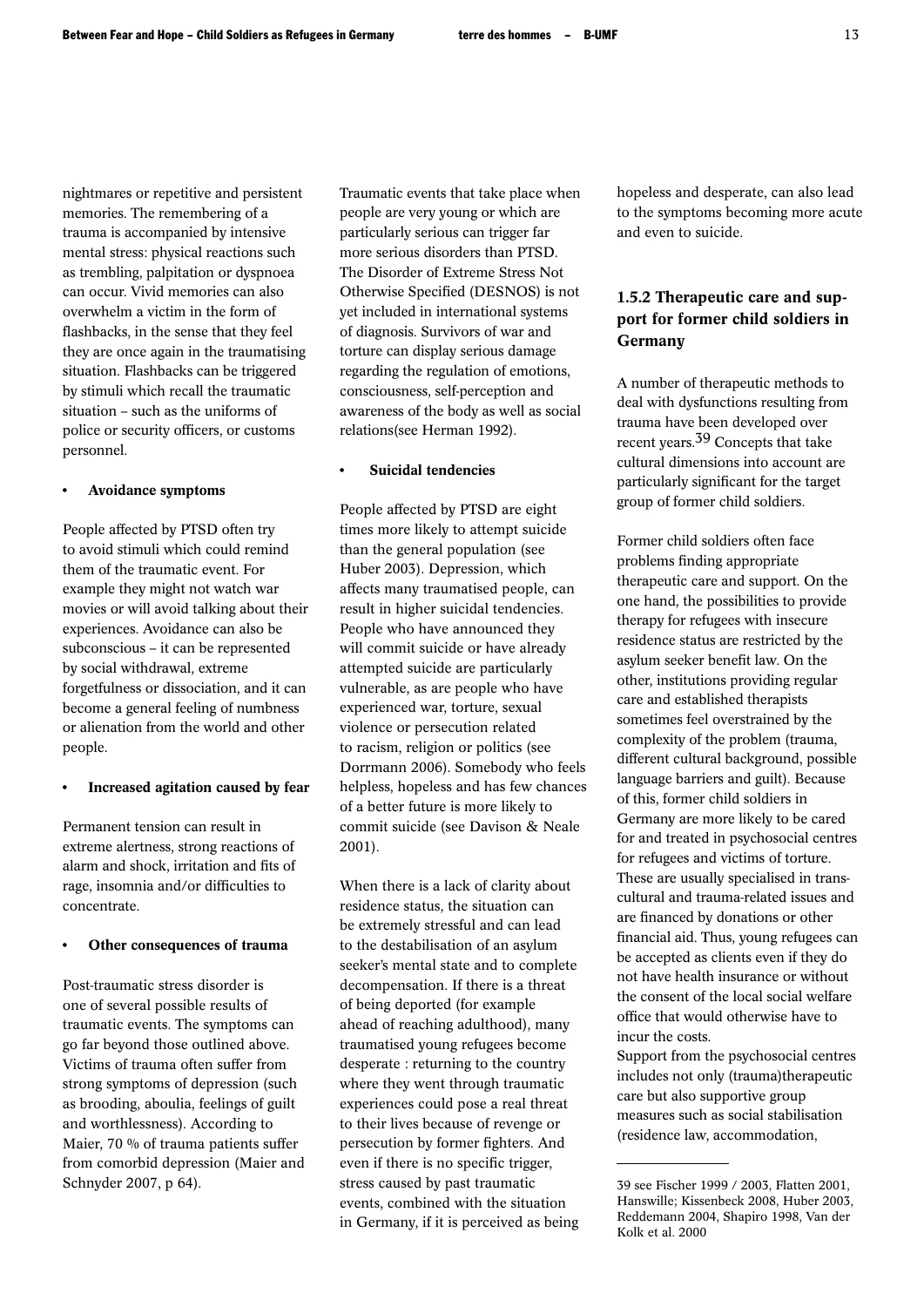nightmares or repetitive and persistent memories. The remembering of a trauma is accompanied by intensive mental stress: physical reactions such as trembling, palpitation or dyspnoea can occur. Vivid memories can also overwhelm a victim in the form of flashbacks, in the sense that they feel they are once again in the traumatising situation. Flashbacks can be triggered by stimuli which recall the traumatic situation – such as the uniforms of police or security officers, or customs personnel.

#### • Avoidance symptoms

People affected by PTSD often try to avoid stimuli which could remind them of the traumatic event. For example they might not watch war movies or will avoid talking about their experiences. Avoidance can also be subconscious – it can be represented by social withdrawal, extreme forgetfulness or dissociation, and it can become a general feeling of numbness or alienation from the world and other people.

### Increased agitation caused by fear

Permanent tension can result in extreme alertness, strong reactions of alarm and shock, irritation and fits of rage, insomnia and/or difficulties to concentrate.

#### Other consequences of trauma

Post-traumatic stress disorder is one of several possible results of traumatic events. The symptoms can go far beyond those outlined above. Victims of trauma often suffer from strong symptoms of depression (such as brooding, aboulia, feelings of guilt and worthlessness). According to Maier, 70 % of trauma patients suffer from comorbid depression (Maier and Schnyder 2007, p 64).

Traumatic events that take place when people are very young or which are particularly serious can trigger far more serious disorders than PTSD. The Disorder of Extreme Stress Not Otherwise Specified (DESNOS) is not yet included in international systems of diagnosis. Survivors of war and torture can display serious damage regarding the regulation of emotions, consciousness, self-perception and awareness of the body as well as social relations(see Herman 1992).

#### • Suicidal tendencies

People affected by PTSD are eight times more likely to attempt suicide than the general population (see Huber 2003). Depression, which affects many traumatised people, can result in higher suicidal tendencies. People who have announced they will commit suicide or have already attempted suicide are particularly vulnerable, as are people who have experienced war, torture, sexual violence or persecution related to racism, religion or politics (see Dorrmann 2006). Somebody who feels helpless, hopeless and has few chances of a better future is more likely to commit suicide (see Davison & Neale 2001).

When there is a lack of clarity about residence status, the situation can be extremely stressful and can lead to the destabilisation of an asylum seeker's mental state and to complete decompensation. If there is a threat of being deported (for example ahead of reaching adulthood), many traumatised young refugees become desperate : returning to the country where they went through traumatic experiences could pose a real threat to their lives because of revenge or persecution by former fighters. And even if there is no specific trigger, stress caused by past traumatic events, combined with the situation in Germany, if it is perceived as being hopeless and desperate, can also lead to the symptoms becoming more acute and even to suicide.

# 1.5.2 Therapeutic care and support for former child soldiers in Germany

A number of therapeutic methods to deal with dysfunctions resulting from trauma have been developed over recent years.39 Concepts that take cultural dimensions into account are particularly significant for the target group of former child soldiers.

Former child soldiers often face problems finding appropriate therapeutic care and support. On the one hand, the possibilities to provide therapy for refugees with insecure residence status are restricted by the asylum seeker benefit law. On the other, institutions providing regular care and established therapists sometimes feel overstrained by the complexity of the problem (trauma, different cultural background, possible language barriers and guilt). Because of this, former child soldiers in Germany are more likely to be cared for and treated in psychosocial centres for refugees and victims of torture. These are usually specialised in transcultural and trauma-related issues and are financed by donations or other financial aid. Thus, young refugees can be accepted as clients even if they do not have health insurance or without the consent of the local social welfare office that would otherwise have to incur the costs.

Support from the psychosocial centres includes not only (trauma)therapeutic care but also supportive group measures such as social stabilisation (residence law, accommodation,

<sup>39</sup> see Fischer 1999 / 2003, Flatten 2001, Hanswille; Kissenbeck 2008, Huber 2003, Reddemann 2004, Shapiro 1998, Van der Kolk et al. 2000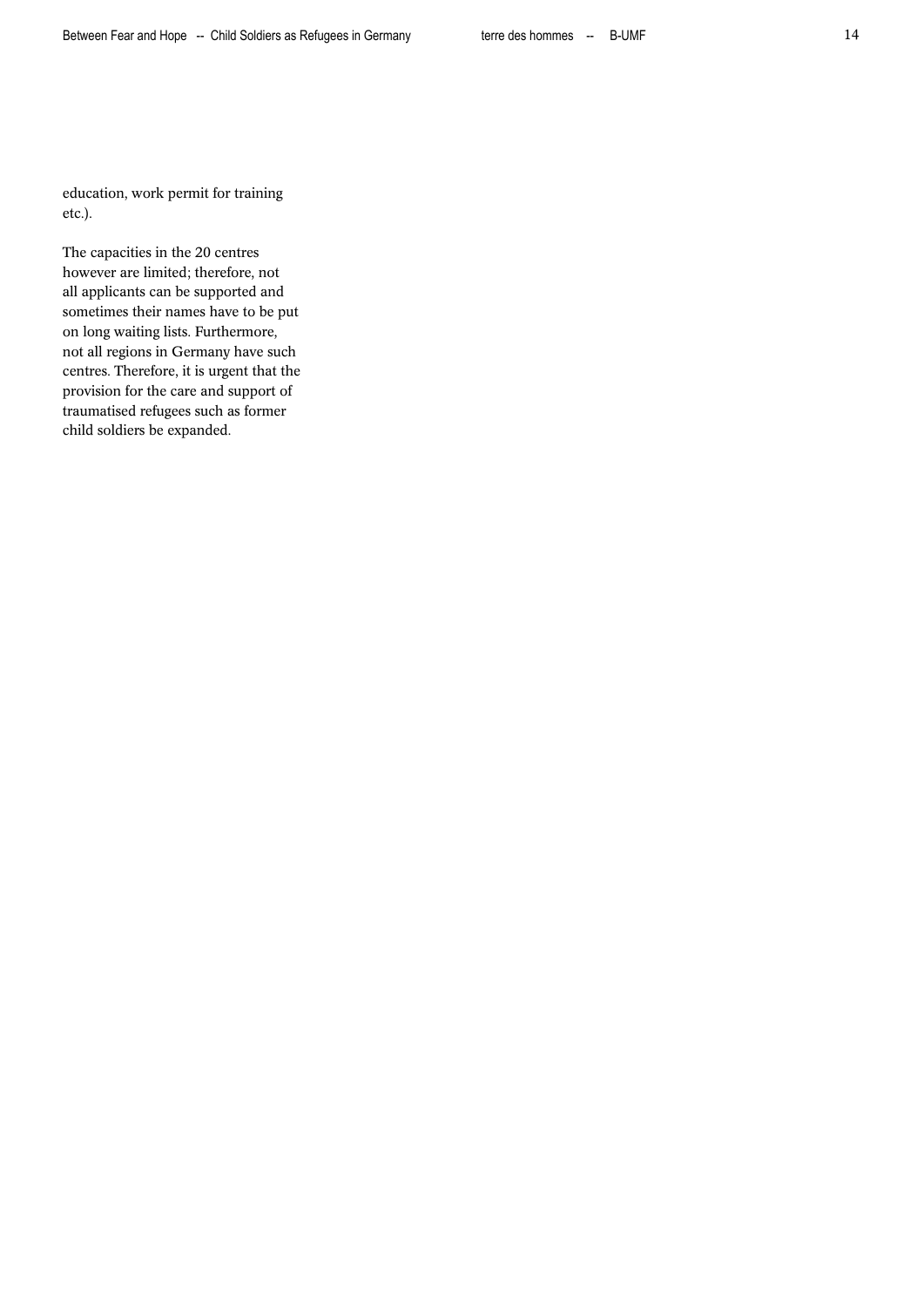education, work permit for training etc.).

The capacities in the 20 centres however are limited; therefore, not all applicants can be supported and sometimes their names have to be put on long waiting lists. Furthermore, not all regions in Germany have such centres. Therefore, it is urgent that the provision for the care and support of traumatised refugees such as former child soldiers be expanded.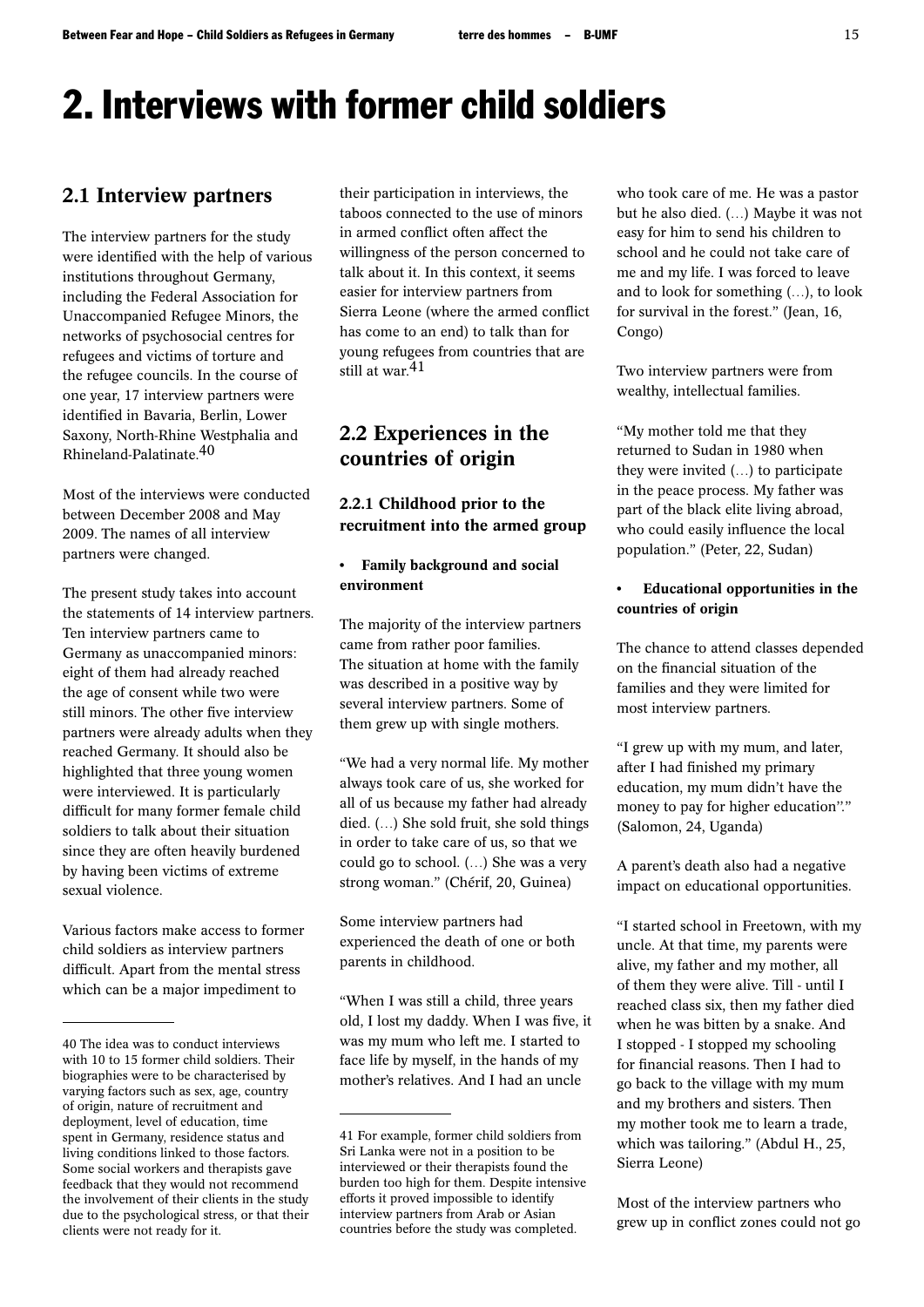# 2. Interviews with former child soldiers

# 2.1 Interview partners

The interview partners for the study were identified with the help of various institutions throughout Germany, including the Federal Association for Unaccompanied Refugee Minors, the networks of psychosocial centres for refugees and victims of torture and the refugee councils. In the course of one year, 17 interview partners were identified in Bavaria, Berlin, Lower Saxony, North-Rhine Westphalia and Rhineland-Palatinate.40

Most of the interviews were conducted between December 2008 and May 2009. The names of all interview partners were changed.

The present study takes into account the statements of 14 interview partners. Ten interview partners came to Germany as unaccompanied minors: eight of them had already reached the age of consent while two were still minors. The other five interview partners were already adults when they reached Germany. It should also be highlighted that three young women were interviewed. It is particularly difficult for many former female child soldiers to talk about their situation since they are often heavily burdened by having been victims of extreme sexual violence.

Various factors make access to former child soldiers as interview partners difficult. Apart from the mental stress which can be a major impediment to

their participation in interviews, the taboos connected to the use of minors in armed conflict often affect the willingness of the person concerned to talk about it. In this context, it seems easier for interview partners from Sierra Leone (where the armed conflict has come to an end) to talk than for young refugees from countries that are still at war.41

# 2.2 Experiences in the countries of origin

# 2.2.1 Childhood prior to the recruitment into the armed group

### • Family background and social environment

The majority of the interview partners came from rather poor families. The situation at home with the family was described in a positive way by several interview partners. Some of them grew up with single mothers.

"We had a very normal life. My mother always took care of us, she worked for all of us because my father had already died. (…) She sold fruit, she sold things in order to take care of us, so that we could go to school. (…) She was a very strong woman." (Chérif, 20, Guinea)

Some interview partners had experienced the death of one or both parents in childhood.

"When I was still a child, three years old, I lost my daddy. When I was five, it was my mum who left me. I started to face life by myself, in the hands of my mother's relatives. And I had an uncle

who took care of me. He was a pastor but he also died. (…) Maybe it was not easy for him to send his children to school and he could not take care of me and my life. I was forced to leave and to look for something (…), to look for survival in the forest." (Jean, 16, Congo)

Two interview partners were from wealthy, intellectual families.

"My mother told me that they returned to Sudan in 1980 when they were invited (…) to participate in the peace process. My father was part of the black elite living abroad, who could easily influence the local population." (Peter, 22, Sudan)

## • Educational opportunities in the countries of origin

The chance to attend classes depended on the financial situation of the families and they were limited for most interview partners.

"I grew up with my mum, and later, after I had finished my primary education, my mum didn't have the money to pay for higher education''." (Salomon, 24, Uganda)

A parent's death also had a negative impact on educational opportunities.

"I started school in Freetown, with my uncle. At that time, my parents were alive, my father and my mother, all of them they were alive. Till - until I reached class six, then my father died when he was bitten by a snake. And I stopped - I stopped my schooling for financial reasons. Then I had to go back to the village with my mum and my brothers and sisters. Then my mother took me to learn a trade, which was tailoring." (Abdul H., 25, Sierra Leone)

Most of the interview partners who grew up in conflict zones could not go

<sup>40</sup> The idea was to conduct interviews with 10 to 15 former child soldiers. Their biographies were to be characterised by varying factors such as sex, age, country of origin, nature of recruitment and deployment, level of education, time spent in Germany, residence status and living conditions linked to those factors. Some social workers and therapists gave feedback that they would not recommend the involvement of their clients in the study due to the psychological stress, or that their clients were not ready for it.

<sup>41</sup> For example, former child soldiers from Sri Lanka were not in a position to be interviewed or their therapists found the burden too high for them. Despite intensive efforts it proved impossible to identify interview partners from Arab or Asian countries before the study was completed.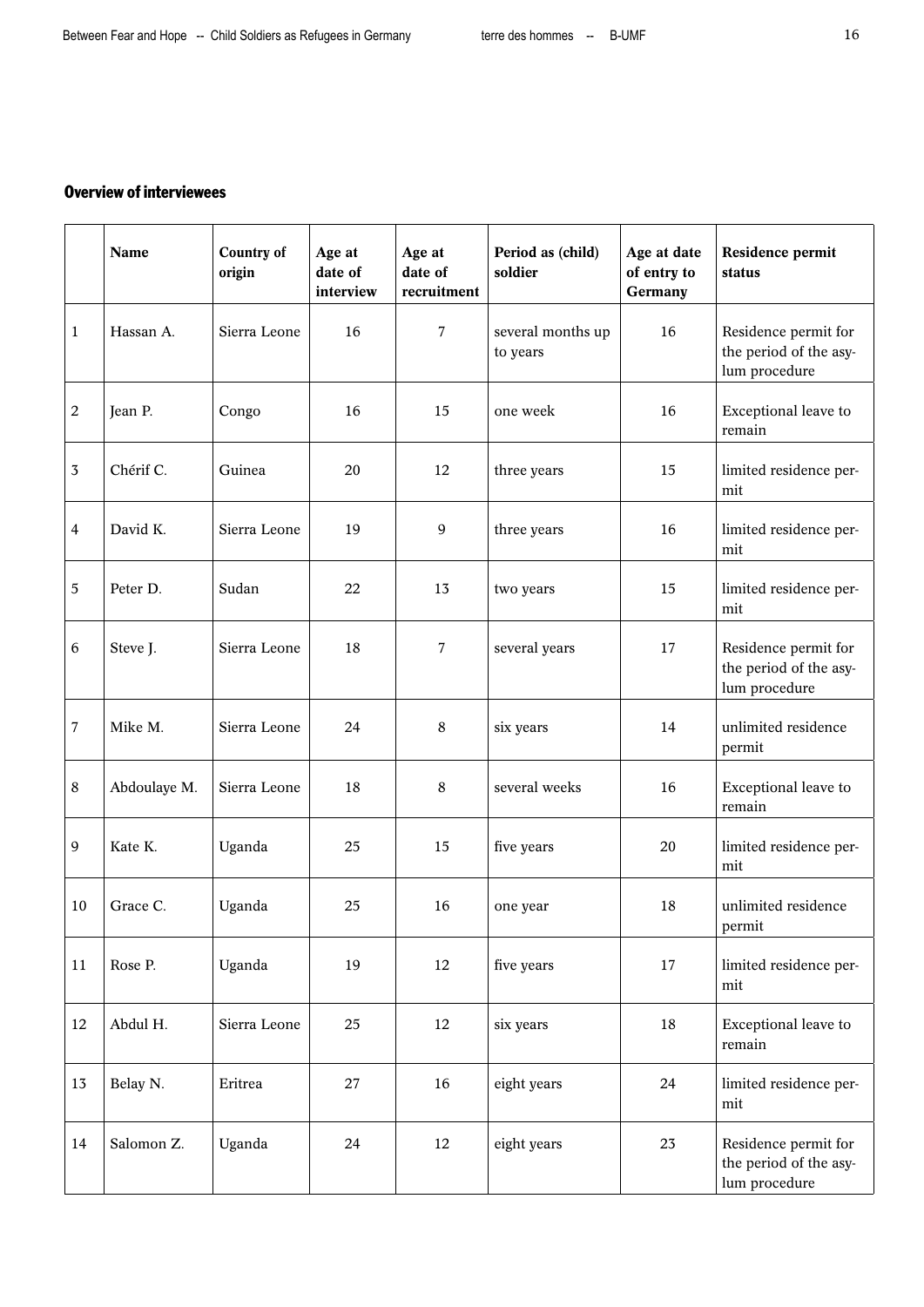# Overview of interviewees

|              | Name         | <b>Country of</b><br>origin | Age at<br>date of<br>interview | Age at<br>date of<br>recruitment | Period as (child)<br>soldier  | Age at date<br>of entry to<br>Germany | Residence permit<br>status                                      |
|--------------|--------------|-----------------------------|--------------------------------|----------------------------------|-------------------------------|---------------------------------------|-----------------------------------------------------------------|
| $\mathbf{1}$ | Hassan A.    | Sierra Leone                | 16                             | 7                                | several months up<br>to years | 16                                    | Residence permit for<br>the period of the asy-<br>lum procedure |
| 2            | Jean P.      | Congo                       | 16                             | 15                               | one week                      | 16                                    | Exceptional leave to<br>remain                                  |
| $\sqrt{3}$   | Chérif C.    | Guinea                      | 20                             | 12                               | three years                   | 15                                    | limited residence per-<br>mit                                   |
| 4            | David K.     | Sierra Leone                | 19                             | 9                                | three years                   | 16                                    | limited residence per-<br>mit                                   |
| 5            | Peter D.     | Sudan                       | 22                             | 13                               | two years                     | 15                                    | limited residence per-<br>mit                                   |
| 6            | Steve J.     | Sierra Leone                | 18                             | 7                                | several years                 | 17                                    | Residence permit for<br>the period of the asy-<br>lum procedure |
| 7            | Mike M.      | Sierra Leone                | 24                             | 8                                | six years                     | 14                                    | unlimited residence<br>permit                                   |
| 8            | Abdoulaye M. | Sierra Leone                | 18                             | 8                                | several weeks                 | 16                                    | Exceptional leave to<br>remain                                  |
| 9            | Kate K.      | Uganda                      | 25                             | 15                               | five years                    | 20                                    | limited residence per-<br>mit                                   |
| 10           | Grace C.     | Uganda                      | 25                             | 16                               | one year                      | 18                                    | unlimited residence<br>permit                                   |
| 11           | Rose P.      | Uganda                      | 19                             | 12                               | five years                    | 17                                    | limited residence per-<br>mit                                   |
| 12           | Abdul H.     | Sierra Leone                | 25                             | 12                               | six years                     | 18                                    | Exceptional leave to<br>remain                                  |
| 13           | Belay N.     | Eritrea                     | 27                             | 16                               | eight years                   | 24                                    | limited residence per-<br>mit                                   |
| 14           | Salomon Z.   | Uganda                      | 24                             | 12                               | eight years                   | 23                                    | Residence permit for<br>the period of the asy-<br>lum procedure |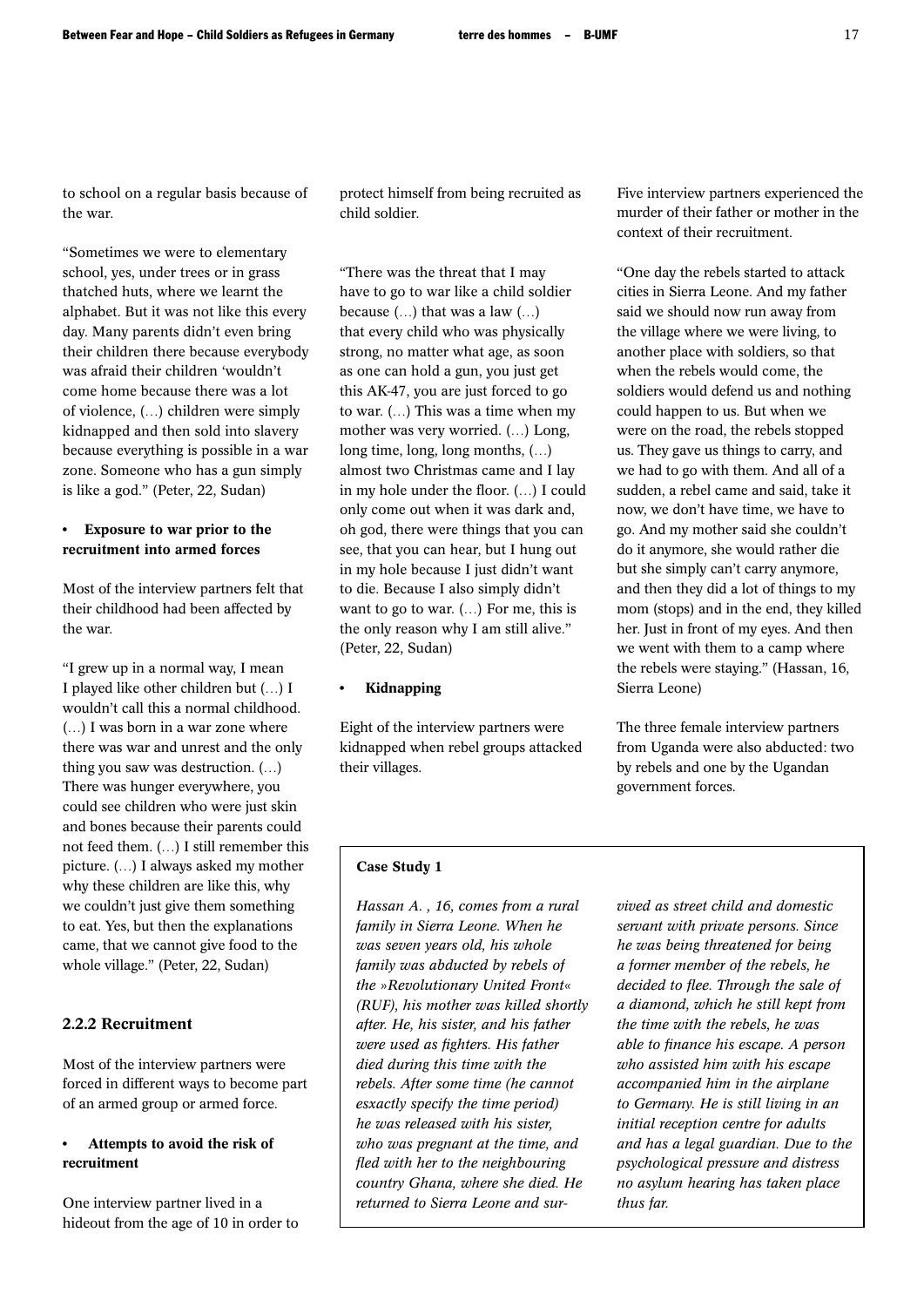to school on a regular basis because of the war.

"Sometimes we were to elementary school, yes, under trees or in grass thatched huts, where we learnt the alphabet. But it was not like this every day. Many parents didn't even bring their children there because everybody was afraid their children 'wouldn't come home because there was a lot of violence, (…) children were simply kidnapped and then sold into slavery because everything is possible in a war zone. Someone who has a gun simply is like a god." (Peter, 22, Sudan)

#### Exposure to war prior to the recruitment into armed forces

Most of the interview partners felt that their childhood had been affected by the war.

"I grew up in a normal way, I mean I played like other children but (…) I wouldn't call this a normal childhood. (…) I was born in a war zone where there was war and unrest and the only thing you saw was destruction. (…) There was hunger everywhere, you could see children who were just skin and bones because their parents could not feed them. (…) I still remember this picture. (…) I always asked my mother why these children are like this, why we couldn't just give them something to eat. Yes, but then the explanations came, that we cannot give food to the whole village." (Peter, 22, Sudan)

#### 2.2.2 Recruitment

Most of the interview partners were forced in different ways to become part of an armed group or armed force.

## • Attempts to avoid the risk of recruitment

One interview partner lived in a hideout from the age of 10 in order to protect himself from being recruited as child soldier.

"There was the threat that I may have to go to war like a child soldier because (…) that was a law (…) that every child who was physically strong, no matter what age, as soon as one can hold a gun, you just get this AK-47, you are just forced to go to war. (…) This was a time when my mother was very worried. (…) Long, long time, long, long months, (…) almost two Christmas came and I lay in my hole under the floor. (…) I could only come out when it was dark and, oh god, there were things that you can see, that you can hear, but I hung out in my hole because I just didn't want to die. Because I also simply didn't want to go to war. (…) For me, this is the only reason why I am still alive." (Peter, 22, Sudan)

#### **Kidnapping**

Eight of the interview partners were kidnapped when rebel groups attacked their villages.

Five interview partners experienced the murder of their father or mother in the context of their recruitment.

"One day the rebels started to attack cities in Sierra Leone. And my father said we should now run away from the village where we were living, to another place with soldiers, so that when the rebels would come, the soldiers would defend us and nothing could happen to us. But when we were on the road, the rebels stopped us. They gave us things to carry, and we had to go with them. And all of a sudden, a rebel came and said, take it now, we don't have time, we have to go. And my mother said she couldn't do it anymore, she would rather die but she simply can't carry anymore, and then they did a lot of things to my mom (stops) and in the end, they killed her. Just in front of my eyes. And then we went with them to a camp where the rebels were staying." (Hassan, 16, Sierra Leone)

The three female interview partners from Uganda were also abducted: two by rebels and one by the Ugandan government forces.

#### Case Study 1

*Hassan A. , 16, comes from a rural family in Sierra Leone. When he was seven years old, his whole family was abducted by rebels of the »Revolutionary United Front« (RUF), his mother was killed shortly after. He, his sister, and his father were used as fighters. His father died during this time with the rebels. After some time (he cannot esxactly specify the time period) he was released with his sister, who was pregnant at the time, and fled with her to the neighbouring country Ghana, where she died. He returned to Sierra Leone and sur-* *vived as street child and domestic servant with private persons. Since he was being threatened for being a former member of the rebels, he decided to flee. Through the sale of a diamond, which he still kept from the time with the rebels, he was able to finance his escape. A person who assisted him with his escape accompanied him in the airplane to Germany. He is still living in an initial reception centre for adults and has a legal guardian. Due to the psychological pressure and distress no asylum hearing has taken place thus far.*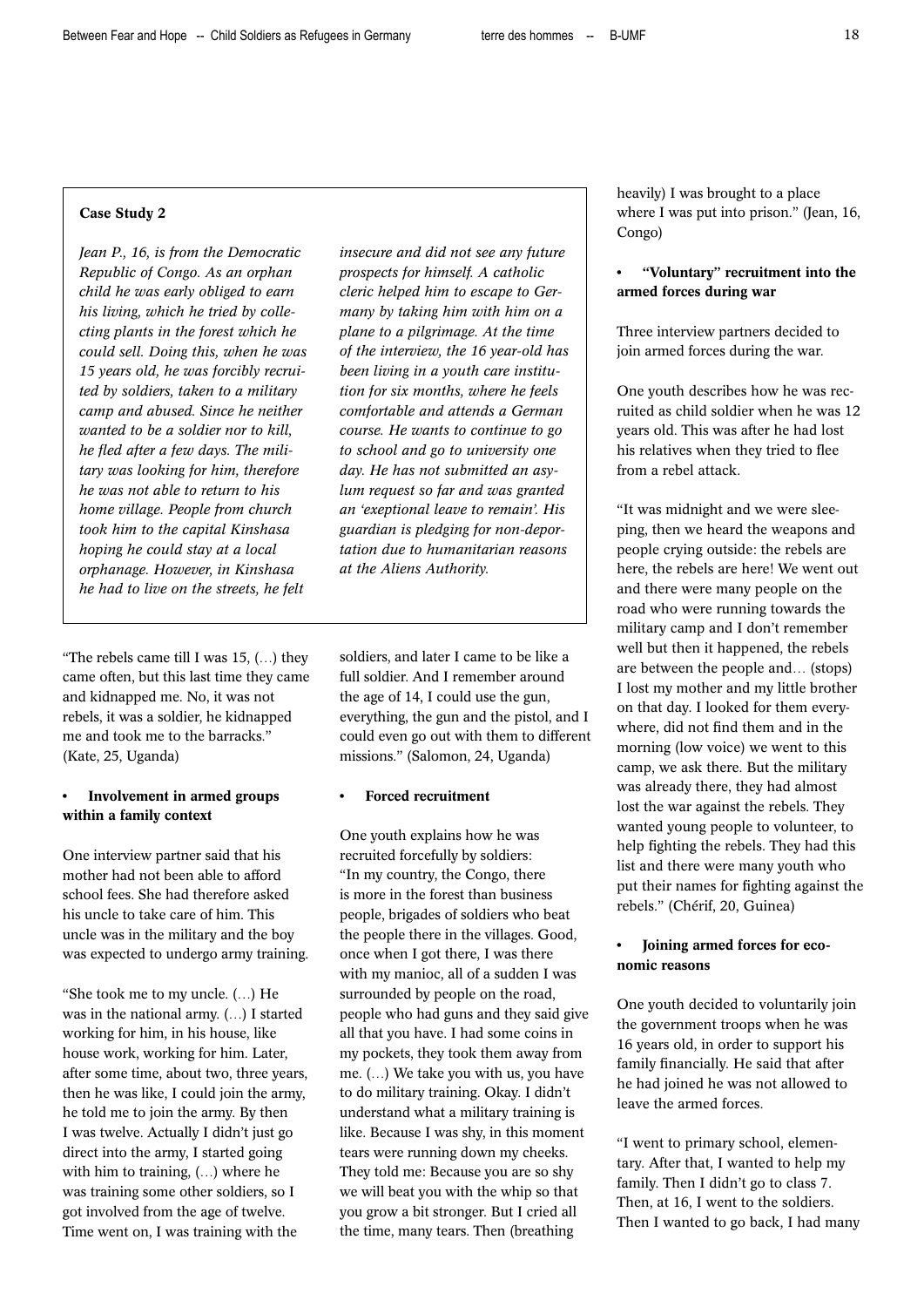#### Case Study 2

*Jean P., 16, is from the Democratic Republic of Congo. As an orphan child he was early obliged to earn his living, which he tried by collecting plants in the forest which he could sell. Doing this, when he was 15 years old, he was forcibly recruited by soldiers, taken to a military camp and abused. Since he neither wanted to be a soldier nor to kill, he fled after a few days. The military was looking for him, therefore he was not able to return to his home village. People from church took him to the capital Kinshasa hoping he could stay at a local orphanage. However, in Kinshasa he had to live on the streets, he felt* 

"The rebels came till I was  $15$ ,  $(...)$  they came often, but this last time they came and kidnapped me. No, it was not rebels, it was a soldier, he kidnapped me and took me to the barracks." (Kate, 25, Uganda)

#### • Involvement in armed groups within a family context

One interview partner said that his mother had not been able to afford school fees. She had therefore asked his uncle to take care of him. This uncle was in the military and the boy was expected to undergo army training.

"She took me to my uncle. (…) He was in the national army. (…) I started working for him, in his house, like house work, working for him. Later, after some time, about two, three years, then he was like, I could join the army, he told me to join the army. By then I was twelve. Actually I didn't just go direct into the army, I started going with him to training, (…) where he was training some other soldiers, so I got involved from the age of twelve. Time went on, I was training with the

*insecure and did not see any future prospects for himself. A catholic cleric helped him to escape to Germany by taking him with him on a plane to a pilgrimage. At the time of the interview, the 16 year-old has been living in a youth care institution for six months, where he feels comfortable and attends a German course. He wants to continue to go to school and go to university one day. He has not submitted an asylum request so far and was granted an 'exeptional leave to remain'. His guardian is pledging for non-deportation due to humanitarian reasons at the Aliens Authority.* 

soldiers, and later I came to be like a full soldier. And I remember around the age of 14, I could use the gun, everything, the gun and the pistol, and I could even go out with them to different missions." (Salomon, 24, Uganda)

### • Forced recruitment

One youth explains how he was recruited forcefully by soldiers: "In my country, the Congo, there is more in the forest than business people, brigades of soldiers who beat the people there in the villages. Good, once when I got there, I was there with my manioc, all of a sudden I was surrounded by people on the road, people who had guns and they said give all that you have. I had some coins in my pockets, they took them away from me. (…) We take you with us, you have to do military training. Okay. I didn't understand what a military training is like. Because I was shy, in this moment tears were running down my cheeks. They told me: Because you are so shy we will beat you with the whip so that you grow a bit stronger. But I cried all the time, many tears. Then (breathing

heavily) I was brought to a place where I was put into prison." (Jean, 16, Congo)

# • "Voluntary" recruitment into the armed forces during war

Three interview partners decided to join armed forces during the war.

One youth describes how he was recruited as child soldier when he was 12 years old. This was after he had lost his relatives when they tried to flee from a rebel attack.

"It was midnight and we were sleeping, then we heard the weapons and people crying outside: the rebels are here, the rebels are here! We went out and there were many people on the road who were running towards the military camp and I don't remember well but then it happened, the rebels are between the people and… (stops) I lost my mother and my little brother on that day. I looked for them everywhere, did not find them and in the morning (low voice) we went to this camp, we ask there. But the military was already there, they had almost lost the war against the rebels. They wanted young people to volunteer, to help fighting the rebels. They had this list and there were many youth who put their names for fighting against the rebels." (Chérif, 20, Guinea)

# • Joining armed forces for economic reasons

One youth decided to voluntarily join the government troops when he was 16 years old, in order to support his family financially. He said that after he had joined he was not allowed to leave the armed forces.

"I went to primary school, elementary. After that, I wanted to help my family. Then I didn't go to class 7. Then, at 16, I went to the soldiers. Then I wanted to go back, I had many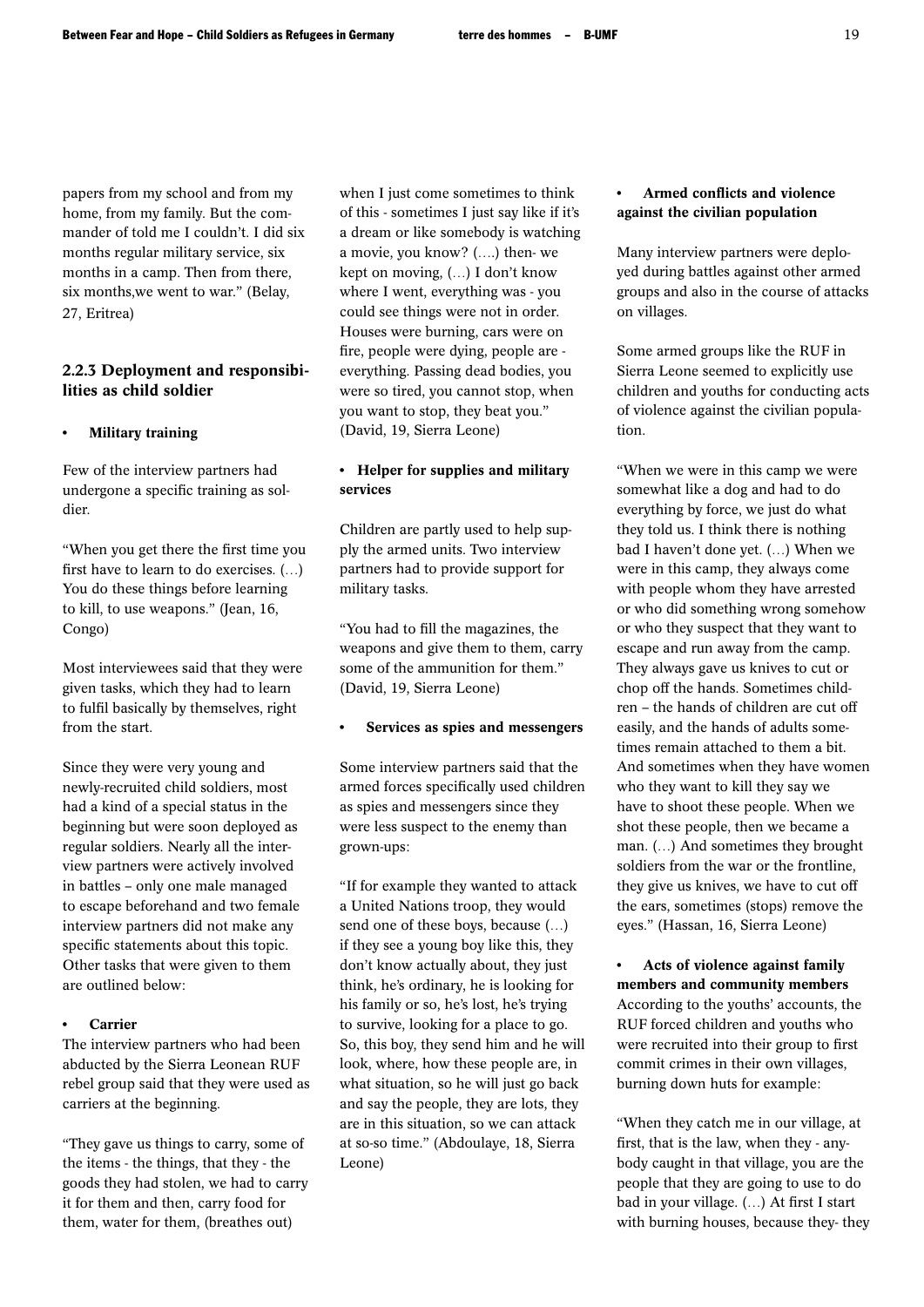papers from my school and from my home, from my family. But the commander of told me I couldn't. I did six months regular military service, six months in a camp. Then from there, six months,we went to war." (Belay, 27, Eritrea)

# 2.2.3 Deployment and responsibilities as child soldier

#### **Military training**

Few of the interview partners had undergone a specific training as soldier.

"When you get there the first time you first have to learn to do exercises. (…) You do these things before learning to kill, to use weapons." (Jean, 16, Congo)

Most interviewees said that they were given tasks, which they had to learn to fulfil basically by themselves, right from the start.

Since they were very young and newly-recruited child soldiers, most had a kind of a special status in the beginning but were soon deployed as regular soldiers. Nearly all the interview partners were actively involved in battles – only one male managed to escape beforehand and two female interview partners did not make any specific statements about this topic. Other tasks that were given to them are outlined below:

#### **Carrier**

The interview partners who had been abducted by the Sierra Leonean RUF rebel group said that they were used as carriers at the beginning.

"They gave us things to carry, some of the items - the things, that they - the goods they had stolen, we had to carry it for them and then, carry food for them, water for them, (breathes out)

when I just come sometimes to think of this - sometimes I just say like if it's a dream or like somebody is watching a movie, you know? (….) then- we kept on moving, (…) I don't know where I went, everything was - you could see things were not in order. Houses were burning, cars were on fire, people were dying, people are everything. Passing dead bodies, you were so tired, you cannot stop, when you want to stop, they beat you." (David, 19, Sierra Leone)

# • Helper for supplies and military services

Children are partly used to help supply the armed units. Two interview partners had to provide support for military tasks.

"You had to fill the magazines, the weapons and give them to them, carry some of the ammunition for them." (David, 19, Sierra Leone)

#### Services as spies and messengers

Some interview partners said that the armed forces specifically used children as spies and messengers since they were less suspect to the enemy than grown-ups:

"If for example they wanted to attack a United Nations troop, they would send one of these boys, because (…) if they see a young boy like this, they don't know actually about, they just think, he's ordinary, he is looking for his family or so, he's lost, he's trying to survive, looking for a place to go. So, this boy, they send him and he will look, where, how these people are, in what situation, so he will just go back and say the people, they are lots, they are in this situation, so we can attack at so-so time." (Abdoulaye, 18, Sierra Leone)

### • Armed conflicts and violence against the civilian population

Many interview partners were deployed during battles against other armed groups and also in the course of attacks on villages.

Some armed groups like the RUF in Sierra Leone seemed to explicitly use children and youths for conducting acts of violence against the civilian population.

"When we were in this camp we were somewhat like a dog and had to do everything by force, we just do what they told us. I think there is nothing bad I haven't done yet. (…) When we were in this camp, they always come with people whom they have arrested or who did something wrong somehow or who they suspect that they want to escape and run away from the camp. They always gave us knives to cut or chop off the hands. Sometimes children – the hands of children are cut off easily, and the hands of adults sometimes remain attached to them a bit. And sometimes when they have women who they want to kill they say we have to shoot these people. When we shot these people, then we became a man. (…) And sometimes they brought soldiers from the war or the frontline, they give us knives, we have to cut off the ears, sometimes (stops) remove the eyes." (Hassan, 16, Sierra Leone)

Acts of violence against family members and community members According to the youths' accounts, the RUF forced children and youths who were recruited into their group to first commit crimes in their own villages, burning down huts for example:

"When they catch me in our village, at first, that is the law, when they - anybody caught in that village, you are the people that they are going to use to do bad in your village. (…) At first I start with burning houses, because they- they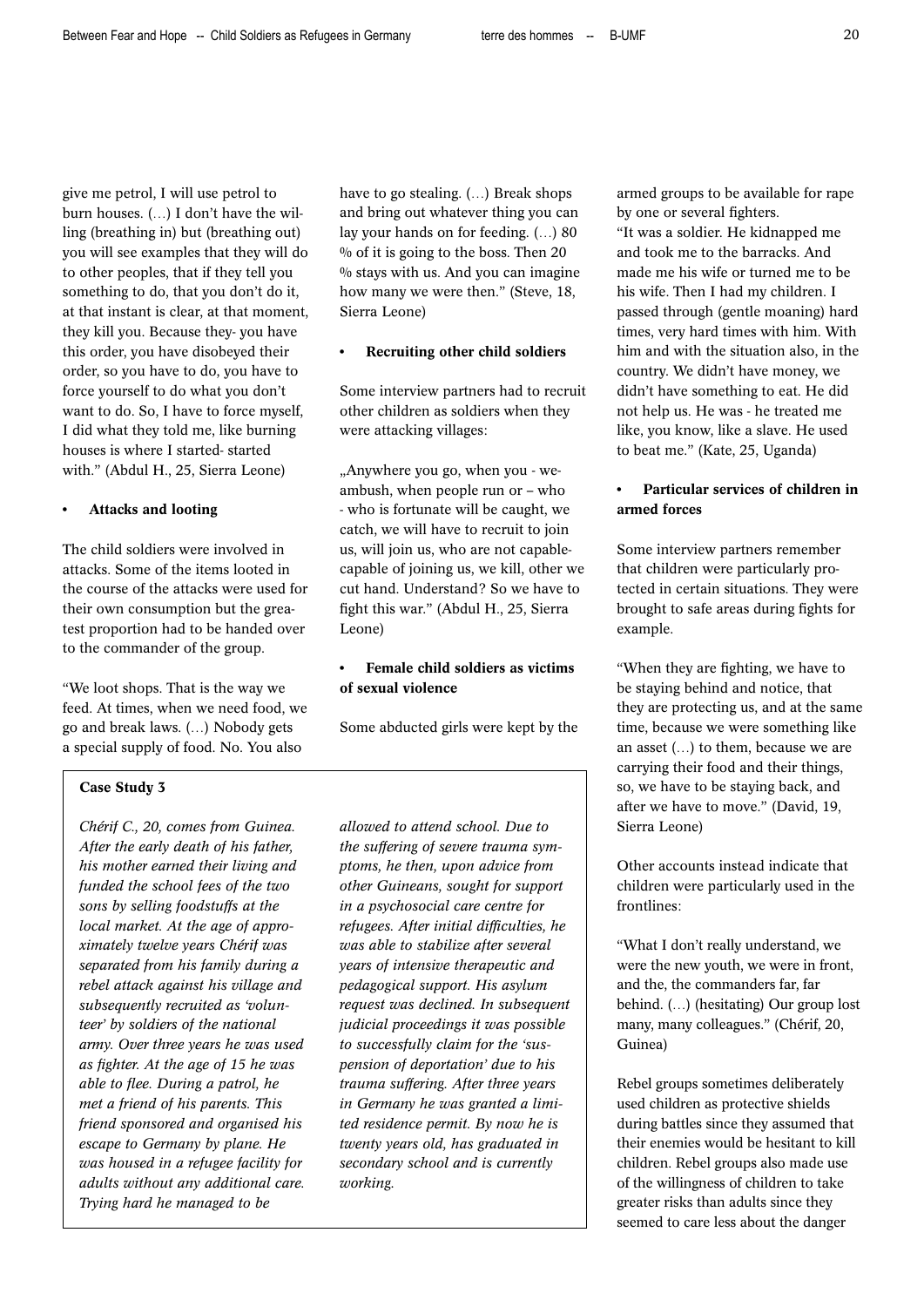give me petrol, I will use petrol to burn houses. (…) I don't have the willing (breathing in) but (breathing out) you will see examples that they will do to other peoples, that if they tell you something to do, that you don't do it, at that instant is clear, at that moment, they kill you. Because they- you have this order, you have disobeyed their order, so you have to do, you have to force yourself to do what you don't want to do. So, I have to force myself, I did what they told me, like burning houses is where I started- started with." (Abdul H., 25, Sierra Leone)

### • Attacks and looting

The child soldiers were involved in attacks. Some of the items looted in the course of the attacks were used for their own consumption but the greatest proportion had to be handed over to the commander of the group.

"We loot shops. That is the way we feed. At times, when we need food, we go and break laws. (…) Nobody gets a special supply of food. No. You also

### Case Study 3

*Chérif C., 20, comes from Guinea. After the early death of his father, his mother earned their living and funded the school fees of the two sons by selling foodstuffs at the local market. At the age of approximately twelve years Chérif was separated from his family during a rebel attack against his village and subsequently recruited as 'volunteer' by soldiers of the national army. Over three years he was used as fighter. At the age of 15 he was able to flee. During a patrol, he met a friend of his parents. This friend sponsored and organised his escape to Germany by plane. He was housed in a refugee facility for adults without any additional care. Trying hard he managed to be* 

have to go stealing. (…) Break shops and bring out whatever thing you can lay your hands on for feeding. (…) 80 % of it is going to the boss. Then 20 % stays with us. And you can imagine how many we were then." (Steve, 18, Sierra Leone)

#### Recruiting other child soldiers

Some interview partners had to recruit other children as soldiers when they were attacking villages:

"Anywhere you go, when you - weambush, when people run or – who - who is fortunate will be caught, we catch, we will have to recruit to join us, will join us, who are not capablecapable of joining us, we kill, other we cut hand. Understand? So we have to fight this war." (Abdul H., 25, Sierra Leone)

# • Female child soldiers as victims of sexual violence

Some abducted girls were kept by the

*allowed to attend school. Due to the suffering of severe trauma symptoms, he then, upon advice from other Guineans, sought for support in a psychosocial care centre for refugees. After initial difficulties, he was able to stabilize after several years of intensive therapeutic and pedagogical support. His asylum request was declined. In subsequent judicial proceedings it was possible to successfully claim for the 'suspension of deportation' due to his trauma suffering. After three years in Germany he was granted a limited residence permit. By now he is twenty years old, has graduated in secondary school and is currently working.* 

armed groups to be available for rape by one or several fighters.

"It was a soldier. He kidnapped me and took me to the barracks. And made me his wife or turned me to be his wife. Then I had my children. I passed through (gentle moaning) hard times, very hard times with him. With him and with the situation also, in the country. We didn't have money, we didn't have something to eat. He did not help us. He was - he treated me like, you know, like a slave. He used to beat me." (Kate, 25, Uganda)

# • Particular services of children in armed forces

Some interview partners remember that children were particularly protected in certain situations. They were brought to safe areas during fights for example.

"When they are fighting, we have to be staying behind and notice, that they are protecting us, and at the same time, because we were something like an asset (…) to them, because we are carrying their food and their things, so, we have to be staying back, and after we have to move." (David, 19, Sierra Leone)

Other accounts instead indicate that children were particularly used in the frontlines:

"What I don't really understand, we were the new youth, we were in front, and the, the commanders far, far behind. (…) (hesitating) Our group lost many, many colleagues." (Chérif, 20, Guinea)

Rebel groups sometimes deliberately used children as protective shields during battles since they assumed that their enemies would be hesitant to kill children. Rebel groups also made use of the willingness of children to take greater risks than adults since they seemed to care less about the danger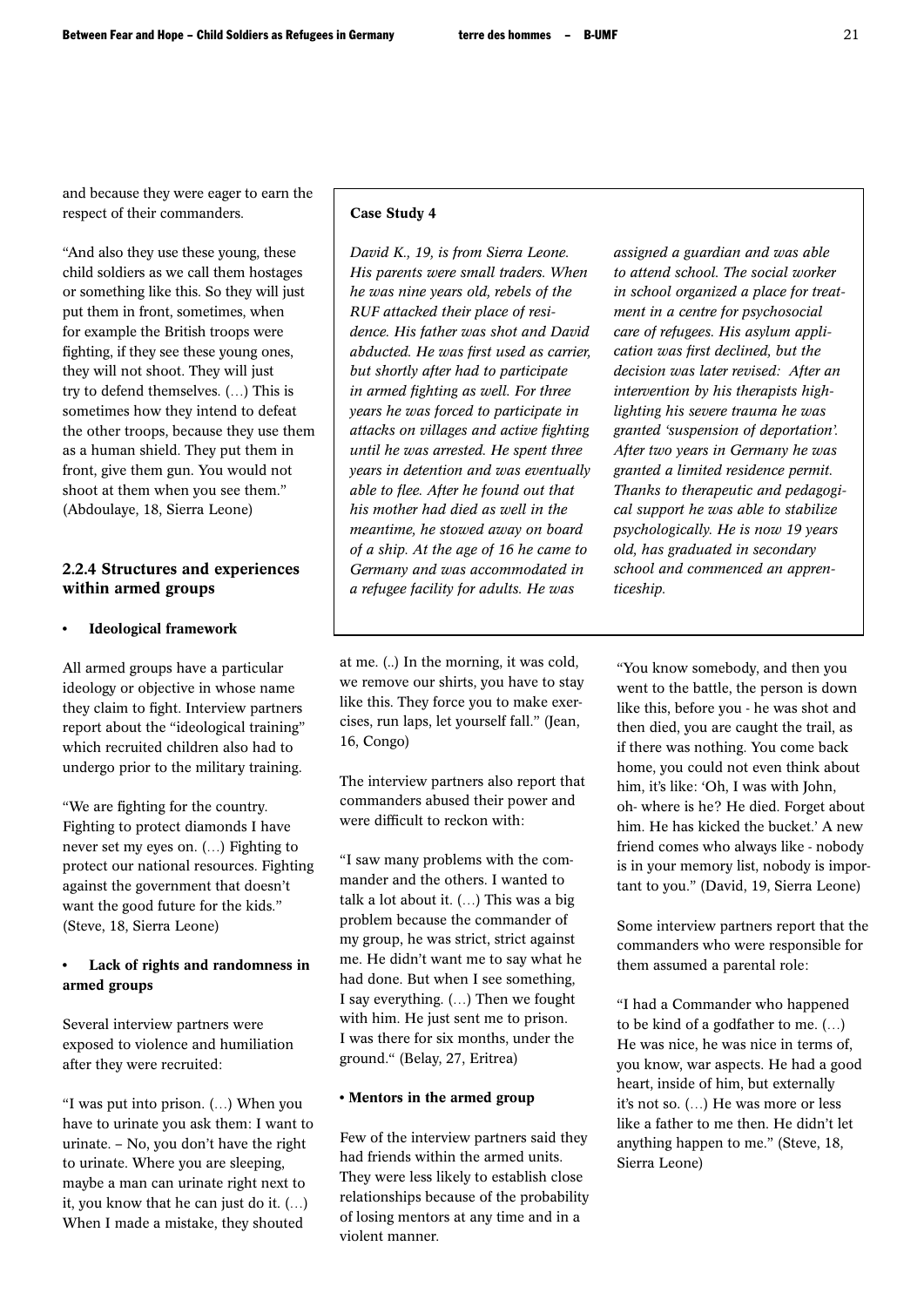and because they were eager to earn the respect of their commanders.

"And also they use these young, these child soldiers as we call them hostages or something like this. So they will just put them in front, sometimes, when for example the British troops were fighting, if they see these young ones, they will not shoot. They will just try to defend themselves. (…) This is sometimes how they intend to defeat the other troops, because they use them as a human shield. They put them in front, give them gun. You would not shoot at them when you see them." (Abdoulaye, 18, Sierra Leone)

# 2.2.4 Structures and experiences within armed groups

#### Ideological framework

All armed groups have a particular ideology or objective in whose name they claim to fight. Interview partners report about the "ideological training" which recruited children also had to undergo prior to the military training.

"We are fighting for the country. Fighting to protect diamonds I have never set my eyes on. (…) Fighting to protect our national resources. Fighting against the government that doesn't want the good future for the kids." (Steve, 18, Sierra Leone)

## Lack of rights and randomness in armed groups

Several interview partners were exposed to violence and humiliation after they were recruited:

"I was put into prison. (…) When you have to urinate you ask them: I want to urinate. – No, you don't have the right to urinate. Where you are sleeping, maybe a man can urinate right next to it, you know that he can just do it. (…) When I made a mistake, they shouted

#### Case Study 4

*David K., 19, is from Sierra Leone. His parents were small traders. When he was nine years old, rebels of the RUF attacked their place of residence. His father was shot and David abducted. He was first used as carrier, but shortly after had to participate in armed fighting as well. For three years he was forced to participate in attacks on villages and active fighting until he was arrested. He spent three years in detention and was eventually able to flee. After he found out that his mother had died as well in the meantime, he stowed away on board of a ship. At the age of 16 he came to Germany and was accommodated in a refugee facility for adults. He was* 

at me. (..) In the morning, it was cold, we remove our shirts, you have to stay like this. They force you to make exercises, run laps, let yourself fall." (Jean, 16, Congo)

The interview partners also report that commanders abused their power and were difficult to reckon with:

"I saw many problems with the commander and the others. I wanted to talk a lot about it. (…) This was a big problem because the commander of my group, he was strict, strict against me. He didn't want me to say what he had done. But when I see something, I say everything. (…) Then we fought with him. He just sent me to prison. I was there for six months, under the ground." (Belay, 27, Eritrea)

#### • Mentors in the armed group

Few of the interview partners said they had friends within the armed units. They were less likely to establish close relationships because of the probability of losing mentors at any time and in a violent manner.

*assigned a guardian and was able to attend school. The social worker in school organized a place for treatment in a centre for psychosocial care of refugees. His asylum application was first declined, but the decision was later revised: After an intervention by his therapists highlighting his severe trauma he was granted 'suspension of deportation'. After two years in Germany he was granted a limited residence permit. Thanks to therapeutic and pedagogical support he was able to stabilize psychologically. He is now 19 years old, has graduated in secondary school and commenced an apprenticeship.* 

"You know somebody, and then you went to the battle, the person is down like this, before you - he was shot and then died, you are caught the trail, as if there was nothing. You come back home, you could not even think about him, it's like: 'Oh, I was with John, oh- where is he? He died. Forget about him. He has kicked the bucket.' A new friend comes who always like - nobody is in your memory list, nobody is important to you." (David, 19, Sierra Leone)

Some interview partners report that the commanders who were responsible for them assumed a parental role:

"I had a Commander who happened to be kind of a godfather to me. (…) He was nice, he was nice in terms of, you know, war aspects. He had a good heart, inside of him, but externally it's not so. (…) He was more or less like a father to me then. He didn't let anything happen to me." (Steve, 18, Sierra Leone)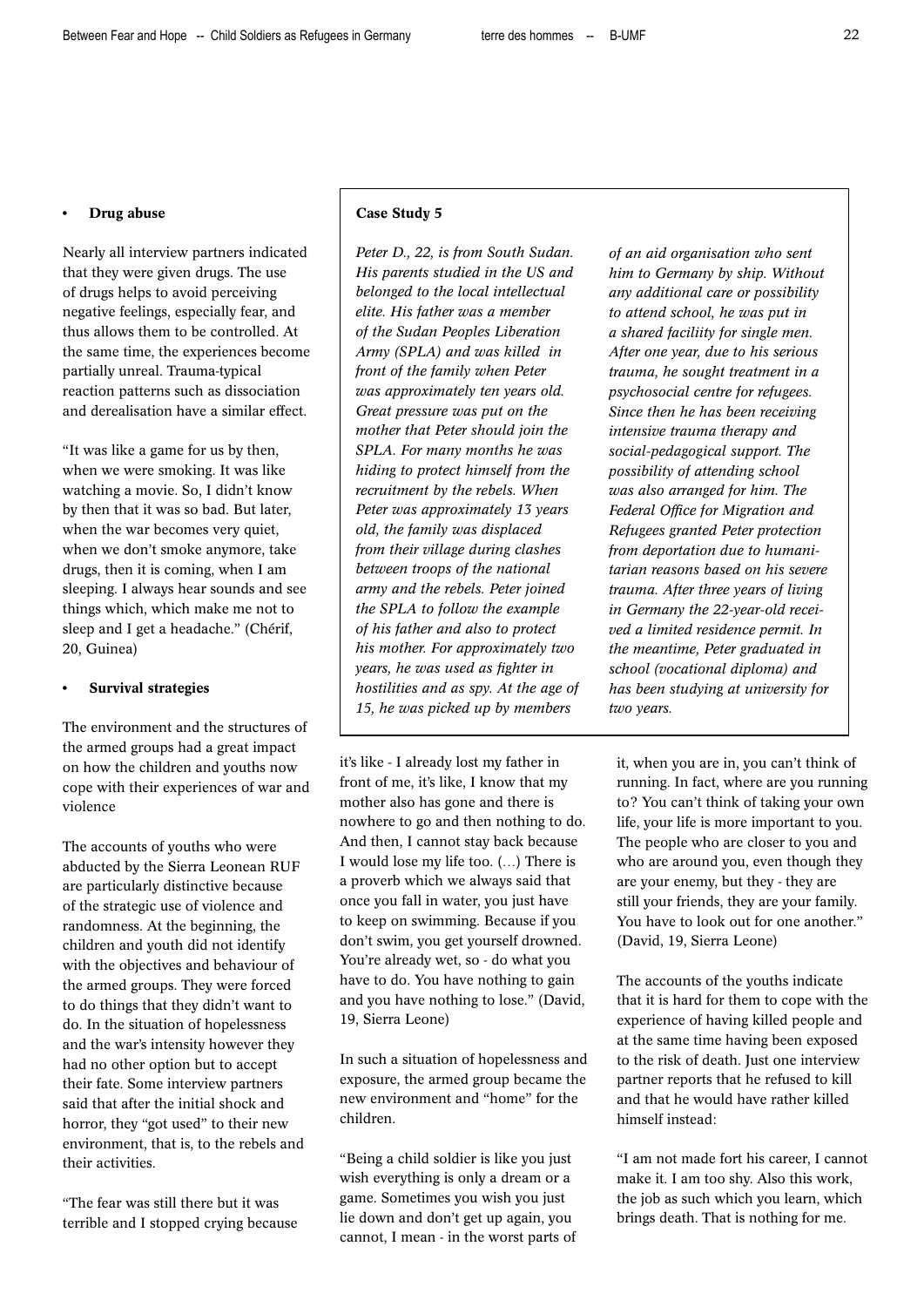#### • Drug abuse

Nearly all interview partners indicated that they were given drugs. The use of drugs helps to avoid perceiving negative feelings, especially fear, and thus allows them to be controlled. At the same time, the experiences become partially unreal. Trauma-typical reaction patterns such as dissociation and derealisation have a similar effect.

"It was like a game for us by then, when we were smoking. It was like watching a movie. So, I didn't know by then that it was so bad. But later, when the war becomes very quiet, when we don't smoke anymore, take drugs, then it is coming, when I am sleeping. I always hear sounds and see things which, which make me not to sleep and I get a headache." (Chérif, 20, Guinea)

#### Survival strategies

The environment and the structures of the armed groups had a great impact on how the children and youths now cope with their experiences of war and violence

The accounts of youths who were abducted by the Sierra Leonean RUF are particularly distinctive because of the strategic use of violence and randomness. At the beginning, the children and youth did not identify with the objectives and behaviour of the armed groups. They were forced to do things that they didn't want to do. In the situation of hopelessness and the war's intensity however they had no other option but to accept their fate. Some interview partners said that after the initial shock and horror, they "got used" to their new environment, that is, to the rebels and their activities.

"The fear was still there but it was terrible and I stopped crying because

#### Case Study 5

*Peter D., 22, is from South Sudan. His parents studied in the US and belonged to the local intellectual elite. His father was a member of the Sudan Peoples Liberation Army (SPLA) and was killed in front of the family when Peter was approximately ten years old. Great pressure was put on the mother that Peter should join the SPLA. For many months he was hiding to protect himself from the recruitment by the rebels. When Peter was approximately 13 years old, the family was displaced from their village during clashes between troops of the national army and the rebels. Peter joined the SPLA to follow the example of his father and also to protect his mother. For approximately two years, he was used as fighter in hostilities and as spy. At the age of 15, he was picked up by members* 

it's like - I already lost my father in front of me, it's like, I know that my mother also has gone and there is nowhere to go and then nothing to do. And then, I cannot stay back because I would lose my life too. (…) There is a proverb which we always said that once you fall in water, you just have to keep on swimming. Because if you don't swim, you get yourself drowned. You're already wet, so - do what you have to do. You have nothing to gain and you have nothing to lose." (David, 19, Sierra Leone)

In such a situation of hopelessness and exposure, the armed group became the new environment and "home" for the children.

"Being a child soldier is like you just wish everything is only a dream or a game. Sometimes you wish you just lie down and don't get up again, you cannot, I mean - in the worst parts of *of an aid organisation who sent him to Germany by ship. Without any additional care or possibility to attend school, he was put in a shared faciliity for single men. After one year, due to his serious trauma, he sought treatment in a psychosocial centre for refugees. Since then he has been receiving intensive trauma therapy and social-pedagogical support. The possibility of attending school was also arranged for him. The Federal Office for Migration and Refugees granted Peter protection from deportation due to humanitarian reasons based on his severe trauma. After three years of living in Germany the 22-year-old received a limited residence permit. In the meantime, Peter graduated in school (vocational diploma) and has been studying at university for two years.*

it, when you are in, you can't think of running. In fact, where are you running to? You can't think of taking your own life, your life is more important to you. The people who are closer to you and who are around you, even though they are your enemy, but they - they are still your friends, they are your family. You have to look out for one another." (David, 19, Sierra Leone)

The accounts of the youths indicate that it is hard for them to cope with the experience of having killed people and at the same time having been exposed to the risk of death. Just one interview partner reports that he refused to kill and that he would have rather killed himself instead:

"I am not made fort his career, I cannot make it. I am too shy. Also this work, the job as such which you learn, which brings death. That is nothing for me.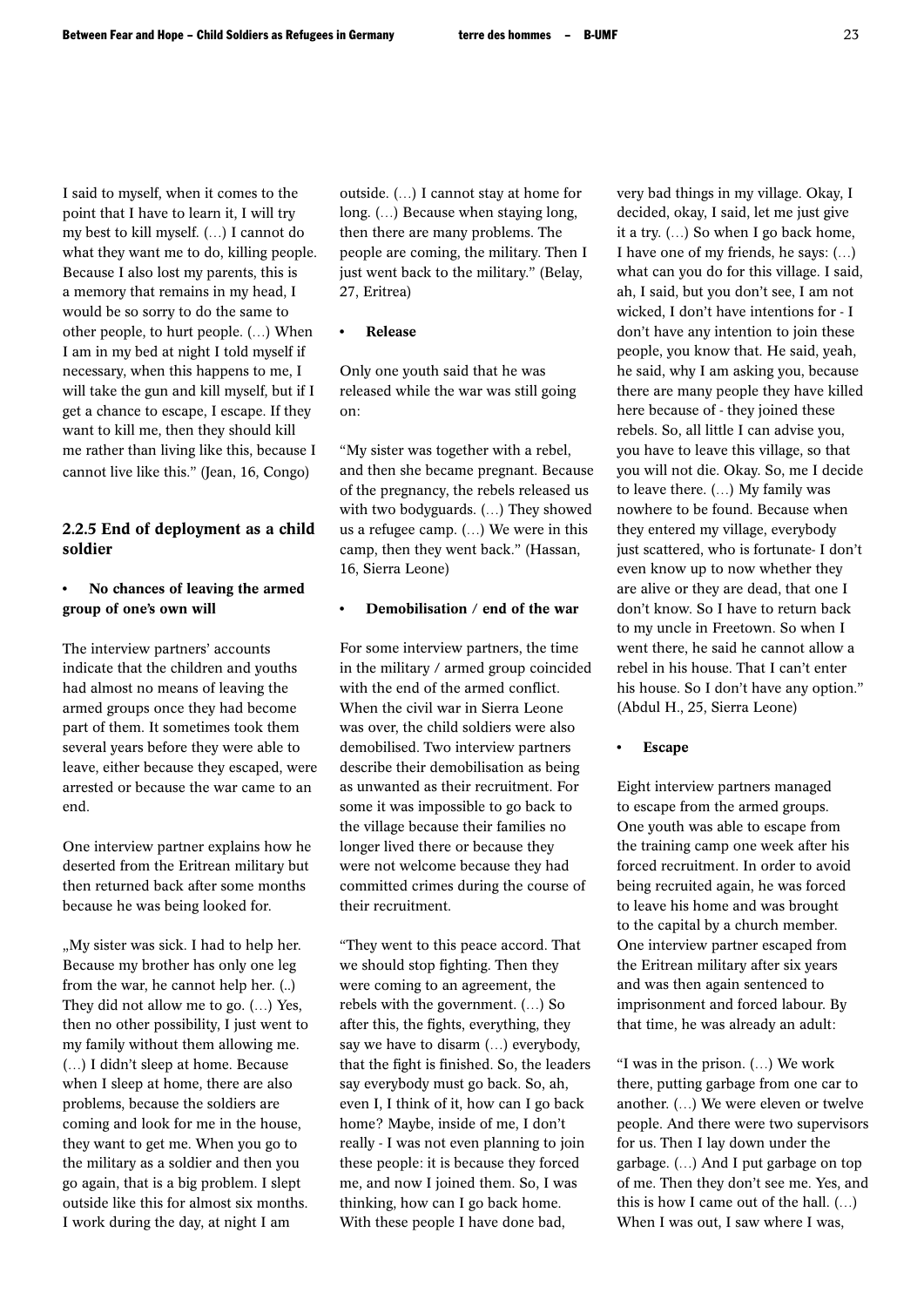I said to myself, when it comes to the point that I have to learn it, I will try my best to kill myself. (…) I cannot do what they want me to do, killing people. Because I also lost my parents, this is a memory that remains in my head, I would be so sorry to do the same to other people, to hurt people. (…) When I am in my bed at night I told myself if necessary, when this happens to me, I will take the gun and kill myself, but if I get a chance to escape, I escape. If they want to kill me, then they should kill me rather than living like this, because I cannot live like this." (Jean, 16, Congo)

# 2.2.5 End of deployment as a child soldier

## • No chances of leaving the armed group of one's own will

The interview partners' accounts indicate that the children and youths had almost no means of leaving the armed groups once they had become part of them. It sometimes took them several years before they were able to leave, either because they escaped, were arrested or because the war came to an end.

One interview partner explains how he deserted from the Eritrean military but then returned back after some months because he was being looked for.

"My sister was sick. I had to help her. Because my brother has only one leg from the war, he cannot help her. (..) They did not allow me to go. (…) Yes, then no other possibility, I just went to my family without them allowing me. (…) I didn't sleep at home. Because when I sleep at home, there are also problems, because the soldiers are coming and look for me in the house, they want to get me. When you go to the military as a soldier and then you go again, that is a big problem. I slept outside like this for almost six months. I work during the day, at night I am

outside. (…) I cannot stay at home for long. (…) Because when staying long, then there are many problems. The people are coming, the military. Then I just went back to the military." (Belay, 27, Eritrea)

#### • Release

Only one youth said that he was released while the war was still going on:

"My sister was together with a rebel, and then she became pregnant. Because of the pregnancy, the rebels released us with two bodyguards. (…) They showed us a refugee camp. (…) We were in this camp, then they went back." (Hassan, 16, Sierra Leone)

#### Demobilisation / end of the war

For some interview partners, the time in the military / armed group coincided with the end of the armed conflict. When the civil war in Sierra Leone was over, the child soldiers were also demobilised. Two interview partners describe their demobilisation as being as unwanted as their recruitment. For some it was impossible to go back to the village because their families no longer lived there or because they were not welcome because they had committed crimes during the course of their recruitment.

"They went to this peace accord. That we should stop fighting. Then they were coming to an agreement, the rebels with the government. (…) So after this, the fights, everything, they say we have to disarm (…) everybody, that the fight is finished. So, the leaders say everybody must go back. So, ah, even I, I think of it, how can I go back home? Maybe, inside of me, I don't really - I was not even planning to join these people: it is because they forced me, and now I joined them. So, I was thinking, how can I go back home. With these people I have done bad,

very bad things in my village. Okay, I decided, okay, I said, let me just give it a try. (…) So when I go back home, I have one of my friends, he says: (…) what can you do for this village. I said, ah, I said, but you don't see, I am not wicked, I don't have intentions for - I don't have any intention to join these people, you know that. He said, yeah, he said, why I am asking you, because there are many people they have killed here because of - they joined these rebels. So, all little I can advise you, you have to leave this village, so that you will not die. Okay. So, me I decide to leave there. (…) My family was nowhere to be found. Because when they entered my village, everybody just scattered, who is fortunate- I don't even know up to now whether they are alive or they are dead, that one I don't know. So I have to return back to my uncle in Freetown. So when I went there, he said he cannot allow a rebel in his house. That I can't enter his house. So I don't have any option." (Abdul H., 25, Sierra Leone)

#### **Escape**

Eight interview partners managed to escape from the armed groups. One youth was able to escape from the training camp one week after his forced recruitment. In order to avoid being recruited again, he was forced to leave his home and was brought to the capital by a church member. One interview partner escaped from the Eritrean military after six years and was then again sentenced to imprisonment and forced labour. By that time, he was already an adult:

"I was in the prison. (…) We work there, putting garbage from one car to another. (…) We were eleven or twelve people. And there were two supervisors for us. Then I lay down under the garbage. (…) And I put garbage on top of me. Then they don't see me. Yes, and this is how I came out of the hall. (…) When I was out, I saw where I was,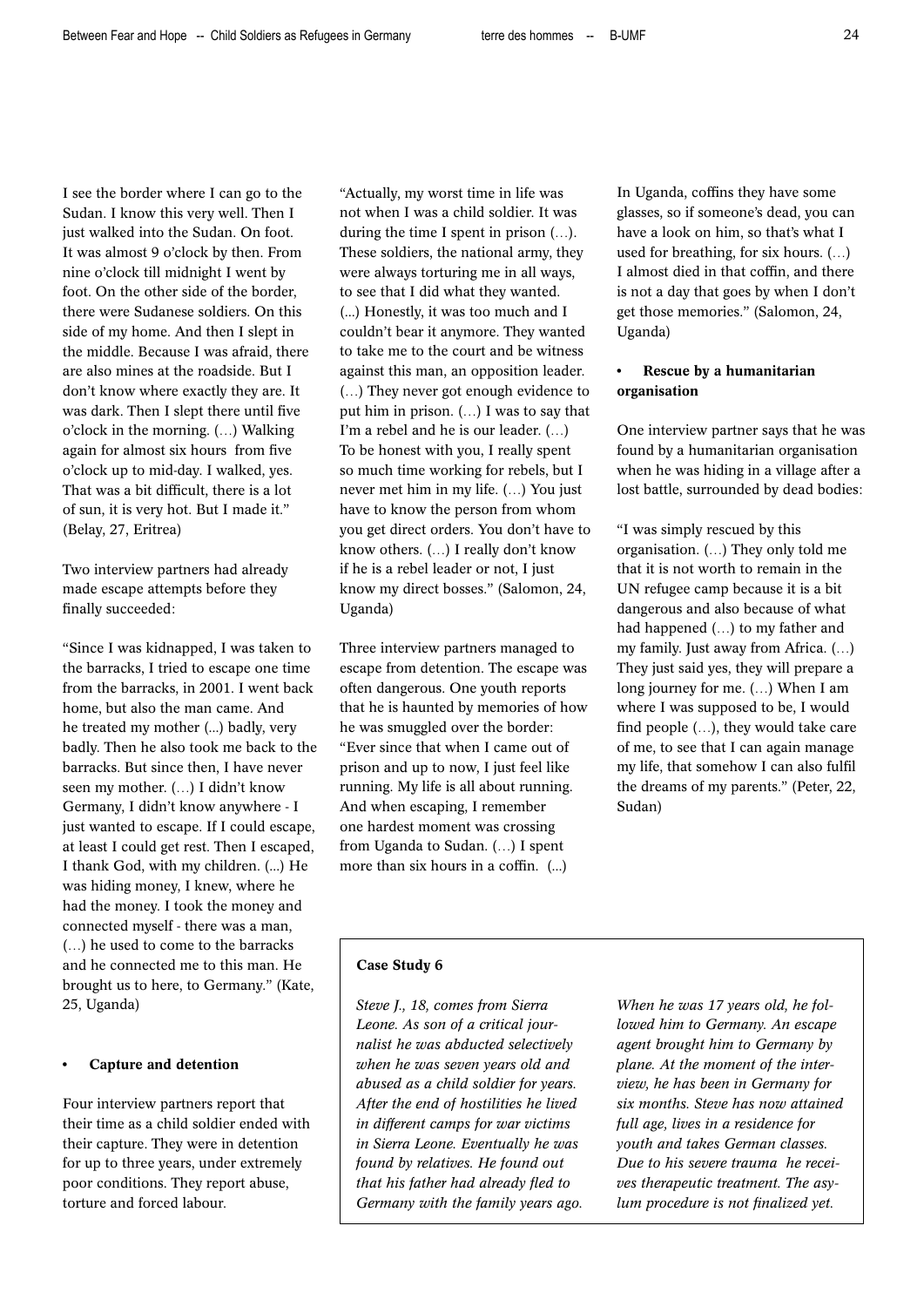I see the border where I can go to the Sudan. I know this very well. Then I just walked into the Sudan. On foot. It was almost 9 o'clock by then. From nine o'clock till midnight I went by foot. On the other side of the border, there were Sudanese soldiers. On this side of my home. And then I slept in the middle. Because I was afraid, there are also mines at the roadside. But I don't know where exactly they are. It was dark. Then I slept there until five o'clock in the morning. (…) Walking again for almost six hours from five o'clock up to mid-day. I walked, yes. That was a bit difficult, there is a lot of sun, it is very hot. But I made it." (Belay, 27, Eritrea)

Two interview partners had already made escape attempts before they finally succeeded:

"Since I was kidnapped, I was taken to the barracks, I tried to escape one time from the barracks, in 2001. I went back home, but also the man came. And he treated my mother (...) badly, very badly. Then he also took me back to the barracks. But since then, I have never seen my mother. (…) I didn't know Germany, I didn't know anywhere - I just wanted to escape. If I could escape, at least I could get rest. Then I escaped, I thank God, with my children. (...) He was hiding money, I knew, where he had the money. I took the money and connected myself - there was a man, (…) he used to come to the barracks and he connected me to this man. He brought us to here, to Germany." (Kate, 25, Uganda)

#### • Capture and detention

Four interview partners report that their time as a child soldier ended with their capture. They were in detention for up to three years, under extremely poor conditions. They report abuse, torture and forced labour.

"Actually, my worst time in life was not when I was a child soldier. It was during the time I spent in prison (…). These soldiers, the national army, they were always torturing me in all ways, to see that I did what they wanted. (...) Honestly, it was too much and I couldn't bear it anymore. They wanted to take me to the court and be witness against this man, an opposition leader. (…) They never got enough evidence to put him in prison. (…) I was to say that I'm a rebel and he is our leader. (…) To be honest with you, I really spent so much time working for rebels, but I never met him in my life. (…) You just have to know the person from whom you get direct orders. You don't have to know others. (…) I really don't know if he is a rebel leader or not, I just know my direct bosses." (Salomon, 24, Uganda)

Three interview partners managed to escape from detention. The escape was often dangerous. One youth reports that he is haunted by memories of how he was smuggled over the border: "Ever since that when I came out of prison and up to now, I just feel like running. My life is all about running. And when escaping, I remember one hardest moment was crossing from Uganda to Sudan. (…) I spent more than six hours in a coffin.  $(...)$ 

In Uganda, coffins they have some glasses, so if someone's dead, you can have a look on him, so that's what I used for breathing, for six hours. (…) I almost died in that coffin, and there is not a day that goes by when I don't get those memories." (Salomon, 24, Uganda)

## Rescue by a humanitarian organisation

One interview partner says that he was found by a humanitarian organisation when he was hiding in a village after a lost battle, surrounded by dead bodies:

"I was simply rescued by this organisation. (…) They only told me that it is not worth to remain in the UN refugee camp because it is a bit dangerous and also because of what had happened (…) to my father and my family. Just away from Africa. (…) They just said yes, they will prepare a long journey for me. (…) When I am where I was supposed to be, I would find people (…), they would take care of me, to see that I can again manage my life, that somehow I can also fulfil the dreams of my parents." (Peter, 22, Sudan)

#### Case Study 6

*Steve J., 18, comes from Sierra Leone. As son of a critical journalist he was abducted selectively when he was seven years old and abused as a child soldier for years. After the end of hostilities he lived in different camps for war victims in Sierra Leone. Eventually he was found by relatives. He found out that his father had already fled to Germany with the family years ago.* 

*When he was 17 years old, he followed him to Germany. An escape agent brought him to Germany by plane. At the moment of the interview, he has been in Germany for six months. Steve has now attained full age, lives in a residence for youth and takes German classes. Due to his severe trauma he receives therapeutic treatment. The asylum procedure is not finalized yet.*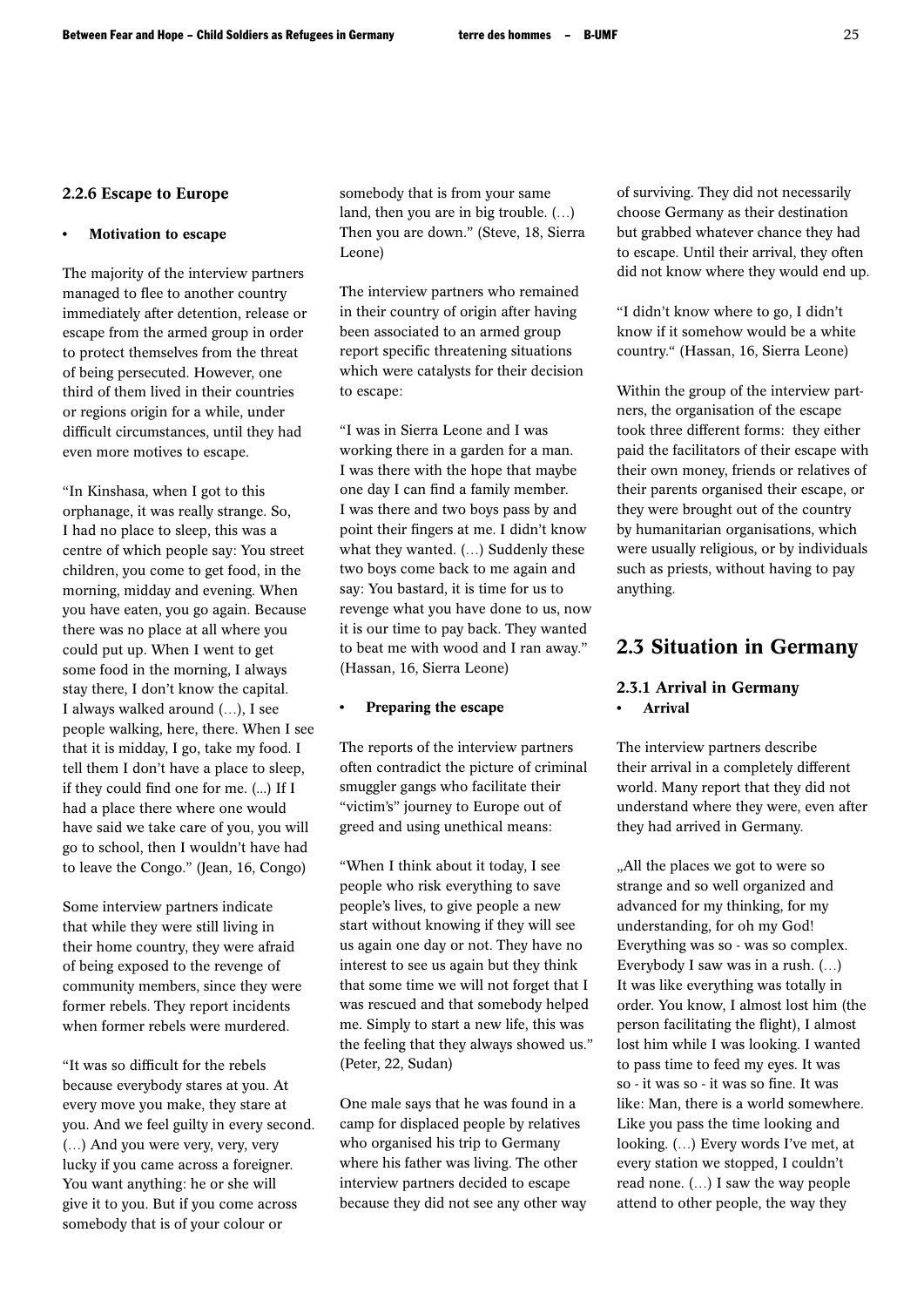#### 2.2.6 Escape to Europe

#### • Motivation to escape

The majority of the interview partners managed to flee to another country immediately after detention, release or escape from the armed group in order to protect themselves from the threat of being persecuted. However, one third of them lived in their countries or regions origin for a while, under difficult circumstances, until they had even more motives to escape.

"In Kinshasa, when I got to this orphanage, it was really strange. So, I had no place to sleep, this was a centre of which people say: You street children, you come to get food, in the morning, midday and evening. When you have eaten, you go again. Because there was no place at all where you could put up. When I went to get some food in the morning, I always stay there, I don't know the capital. I always walked around (…), I see people walking, here, there. When I see that it is midday, I go, take my food. I tell them I don't have a place to sleep, if they could find one for me. (...) If I had a place there where one would have said we take care of you, you will go to school, then I wouldn't have had to leave the Congo." (Jean, 16, Congo)

Some interview partners indicate that while they were still living in their home country, they were afraid of being exposed to the revenge of community members, since they were former rebels. They report incidents when former rebels were murdered.

"It was so difficult for the rebels because everybody stares at you. At every move you make, they stare at you. And we feel guilty in every second. (…) And you were very, very, very lucky if you came across a foreigner. You want anything: he or she will give it to you. But if you come across somebody that is of your colour or

somebody that is from your same land, then you are in big trouble. (…) Then you are down." (Steve, 18, Sierra Leone)

The interview partners who remained in their country of origin after having been associated to an armed group report specific threatening situations which were catalysts for their decision to escape:

"I was in Sierra Leone and I was working there in a garden for a man. I was there with the hope that maybe one day I can find a family member. I was there and two boys pass by and point their fingers at me. I didn't know what they wanted. (…) Suddenly these two boys come back to me again and say: You bastard, it is time for us to revenge what you have done to us, now it is our time to pay back. They wanted to beat me with wood and I ran away." (Hassan, 16, Sierra Leone)

#### • Preparing the escape

The reports of the interview partners often contradict the picture of criminal smuggler gangs who facilitate their "victim's" journey to Europe out of greed and using unethical means:

"When I think about it today, I see people who risk everything to save people's lives, to give people a new start without knowing if they will see us again one day or not. They have no interest to see us again but they think that some time we will not forget that I was rescued and that somebody helped me. Simply to start a new life, this was the feeling that they always showed us." (Peter, 22, Sudan)

One male says that he was found in a camp for displaced people by relatives who organised his trip to Germany where his father was living. The other interview partners decided to escape because they did not see any other way of surviving. They did not necessarily choose Germany as their destination but grabbed whatever chance they had to escape. Until their arrival, they often did not know where they would end up.

"I didn't know where to go, I didn't know if it somehow would be a white country." (Hassan, 16, Sierra Leone)

Within the group of the interview partners, the organisation of the escape took three different forms: they either paid the facilitators of their escape with their own money, friends or relatives of their parents organised their escape, or they were brought out of the country by humanitarian organisations, which were usually religious, or by individuals such as priests, without having to pay anything.

# 2.3 Situation in Germany

# 2.3.1 Arrival in Germany • Arrival

The interview partners describe their arrival in a completely different world. Many report that they did not understand where they were, even after they had arrived in Germany.

"All the places we got to were so strange and so well organized and advanced for my thinking, for my understanding, for oh my God! Everything was so - was so complex. Everybody I saw was in a rush. (…) It was like everything was totally in order. You know, I almost lost him (the person facilitating the flight), I almost lost him while I was looking. I wanted to pass time to feed my eyes. It was so - it was so - it was so fine. It was like: Man, there is a world somewhere. Like you pass the time looking and looking. (…) Every words I've met, at every station we stopped, I couldn't read none. (…) I saw the way people attend to other people, the way they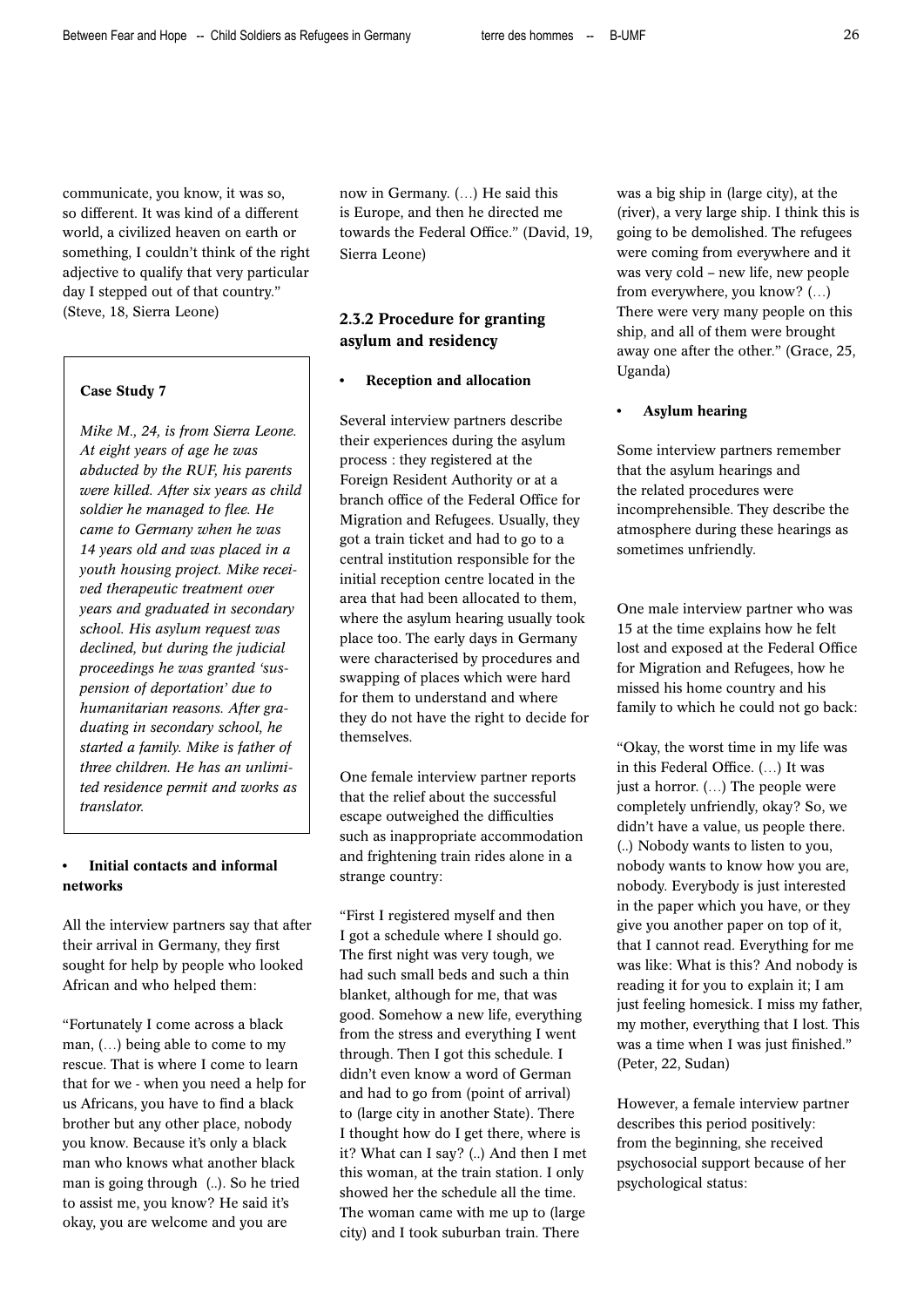communicate, you know, it was so, so different. It was kind of a different world, a civilized heaven on earth or something, I couldn't think of the right adjective to qualify that very particular day I stepped out of that country." (Steve, 18, Sierra Leone)

#### Case Study 7

*Mike M., 24, is from Sierra Leone. At eight years of age he was abducted by the RUF, his parents were killed. After six years as child soldier he managed to flee. He came to Germany when he was 14 years old and was placed in a youth housing project. Mike received therapeutic treatment over years and graduated in secondary school. His asylum request was declined, but during the judicial proceedings he was granted 'suspension of deportation' due to humanitarian reasons. After graduating in secondary school, he started a family. Mike is father of three children. He has an unlimited residence permit and works as translator.* 

## • Initial contacts and informal networks

All the interview partners say that after their arrival in Germany, they first sought for help by people who looked African and who helped them:

"Fortunately I come across a black man, (…) being able to come to my rescue. That is where I come to learn that for we - when you need a help for us Africans, you have to find a black brother but any other place, nobody you know. Because it's only a black man who knows what another black man is going through (..). So he tried to assist me, you know? He said it's okay, you are welcome and you are

now in Germany. (…) He said this is Europe, and then he directed me towards the Federal Office." (David, 19, Sierra Leone)

# 2.3.2 Procedure for granting asylum and residency

#### Reception and allocation

Several interview partners describe their experiences during the asylum process : they registered at the Foreign Resident Authority or at a branch office of the Federal Office for Migration and Refugees. Usually, they got a train ticket and had to go to a central institution responsible for the initial reception centre located in the area that had been allocated to them, where the asylum hearing usually took place too. The early days in Germany were characterised by procedures and swapping of places which were hard for them to understand and where they do not have the right to decide for themselves.

One female interview partner reports that the relief about the successful escape outweighed the difficulties such as inappropriate accommodation and frightening train rides alone in a strange country:

"First I registered myself and then I got a schedule where I should go. The first night was very tough, we had such small beds and such a thin blanket, although for me, that was good. Somehow a new life, everything from the stress and everything I went through. Then I got this schedule. I didn't even know a word of German and had to go from (point of arrival) to (large city in another State). There I thought how do I get there, where is it? What can I say? (..) And then I met this woman, at the train station. I only showed her the schedule all the time. The woman came with me up to (large city) and I took suburban train. There

was a big ship in (large city), at the (river), a very large ship. I think this is going to be demolished. The refugees were coming from everywhere and it was very cold – new life, new people from everywhere, you know? (…) There were very many people on this ship, and all of them were brought away one after the other." (Grace, 25, Uganda)

#### • Asylum hearing

Some interview partners remember that the asylum hearings and the related procedures were incomprehensible. They describe the atmosphere during these hearings as sometimes unfriendly.

One male interview partner who was 15 at the time explains how he felt lost and exposed at the Federal Office for Migration and Refugees, how he missed his home country and his family to which he could not go back:

"Okay, the worst time in my life was in this Federal Office. (…) It was just a horror. (…) The people were completely unfriendly, okay? So, we didn't have a value, us people there. (..) Nobody wants to listen to you, nobody wants to know how you are, nobody. Everybody is just interested in the paper which you have, or they give you another paper on top of it, that I cannot read. Everything for me was like: What is this? And nobody is reading it for you to explain it; I am just feeling homesick. I miss my father, my mother, everything that I lost. This was a time when I was just finished." (Peter, 22, Sudan)

However, a female interview partner describes this period positively: from the beginning, she received psychosocial support because of her psychological status: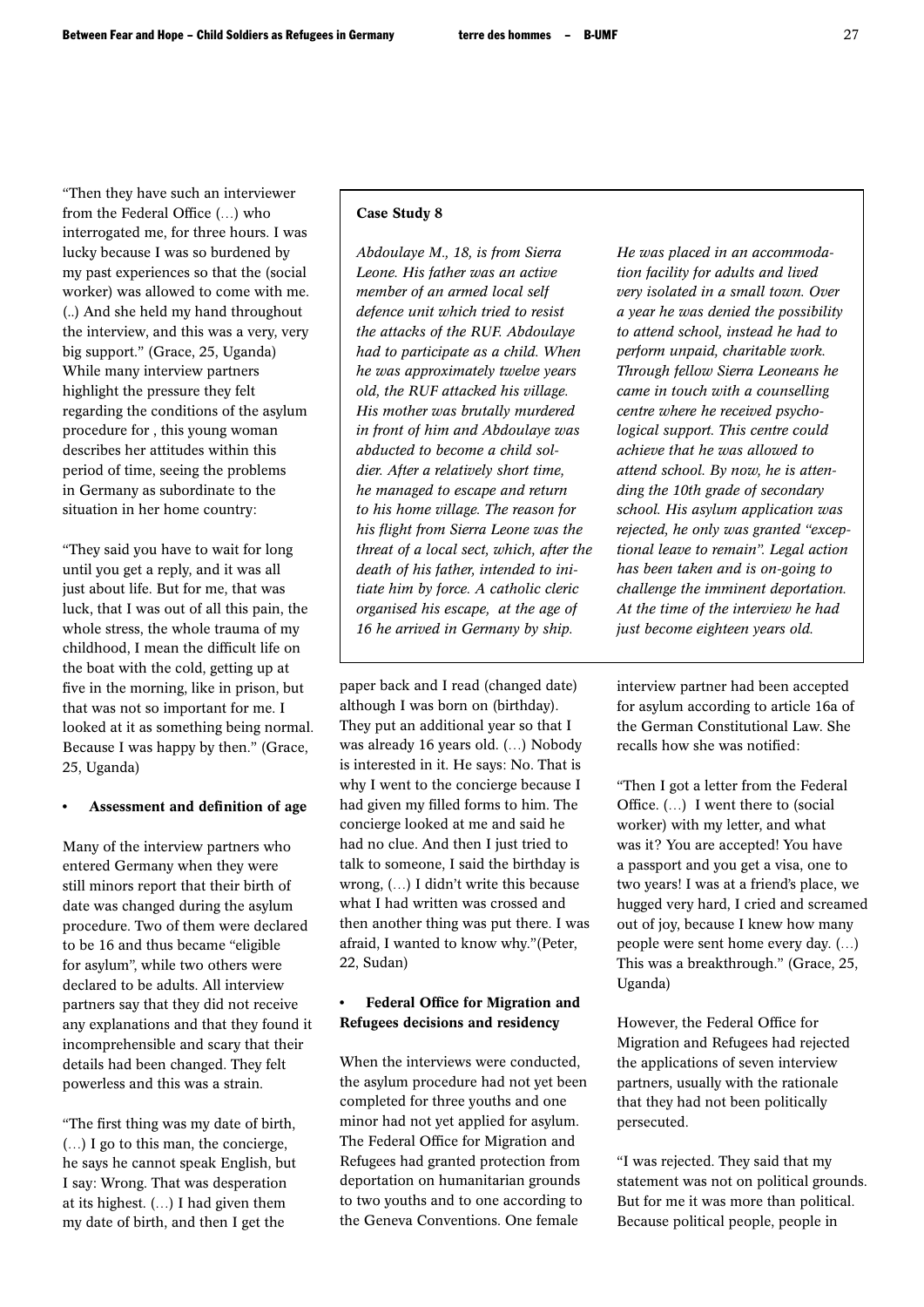"Then they have such an interviewer from the Federal Office (…) who interrogated me, for three hours. I was lucky because I was so burdened by my past experiences so that the (social worker) was allowed to come with me. (..) And she held my hand throughout the interview, and this was a very, very big support." (Grace, 25, Uganda) While many interview partners highlight the pressure they felt regarding the conditions of the asylum procedure for , this young woman describes her attitudes within this period of time, seeing the problems in Germany as subordinate to the situation in her home country:

"They said you have to wait for long until you get a reply, and it was all just about life. But for me, that was luck, that I was out of all this pain, the whole stress, the whole trauma of my childhood, I mean the difficult life on the boat with the cold, getting up at five in the morning, like in prison, but that was not so important for me. I looked at it as something being normal. Because I was happy by then." (Grace, 25, Uganda)

#### Assessment and definition of age

Many of the interview partners who entered Germany when they were still minors report that their birth of date was changed during the asylum procedure. Two of them were declared to be 16 and thus became "eligible for asylum", while two others were declared to be adults. All interview partners say that they did not receive any explanations and that they found it incomprehensible and scary that their details had been changed. They felt powerless and this was a strain.

"The first thing was my date of birth, (…) I go to this man, the concierge, he says he cannot speak English, but I say: Wrong. That was desperation at its highest. (…) I had given them my date of birth, and then I get the

#### Case Study 8

*Abdoulaye M., 18, is from Sierra Leone. His father was an active member of an armed local self defence unit which tried to resist the attacks of the RUF. Abdoulaye had to participate as a child. When he was approximately twelve years old, the RUF attacked his village. His mother was brutally murdered in front of him and Abdoulaye was abducted to become a child soldier. After a relatively short time, he managed to escape and return to his home village. The reason for his flight from Sierra Leone was the threat of a local sect, which, after the death of his father, intended to initiate him by force. A catholic cleric organised his escape, at the age of 16 he arrived in Germany by ship.* 

paper back and I read (changed date) although I was born on (birthday). They put an additional year so that I was already 16 years old. (…) Nobody is interested in it. He says: No. That is why I went to the concierge because I had given my filled forms to him. The concierge looked at me and said he had no clue. And then I just tried to talk to someone, I said the birthday is wrong, (…) I didn't write this because what I had written was crossed and then another thing was put there. I was afraid, I wanted to know why."(Peter, 22, Sudan)

#### • Federal Office for Migration and Refugees decisions and residency

When the interviews were conducted, the asylum procedure had not yet been completed for three youths and one minor had not yet applied for asylum. The Federal Office for Migration and Refugees had granted protection from deportation on humanitarian grounds to two youths and to one according to the Geneva Conventions. One female

*He was placed in an accommodation facility for adults and lived very isolated in a small town. Over a year he was denied the possibility to attend school, instead he had to perform unpaid, charitable work. Through fellow Sierra Leoneans he came in touch with a counselling centre where he received psychological support. This centre could achieve that he was allowed to attend school. By now, he is attending the 10th grade of secondary school. His asylum application was rejected, he only was granted "exceptional leave to remain". Legal action has been taken and is on-going to challenge the imminent deportation. At the time of the interview he had just become eighteen years old.* 

interview partner had been accepted for asylum according to article 16a of the German Constitutional Law. She recalls how she was notified:

"Then I got a letter from the Federal Office. (…) I went there to (social worker) with my letter, and what was it? You are accepted! You have a passport and you get a visa, one to two years! I was at a friend's place, we hugged very hard, I cried and screamed out of joy, because I knew how many people were sent home every day. (…) This was a breakthrough." (Grace, 25, Uganda)

However, the Federal Office for Migration and Refugees had rejected the applications of seven interview partners, usually with the rationale that they had not been politically persecuted.

"I was rejected. They said that my statement was not on political grounds. But for me it was more than political. Because political people, people in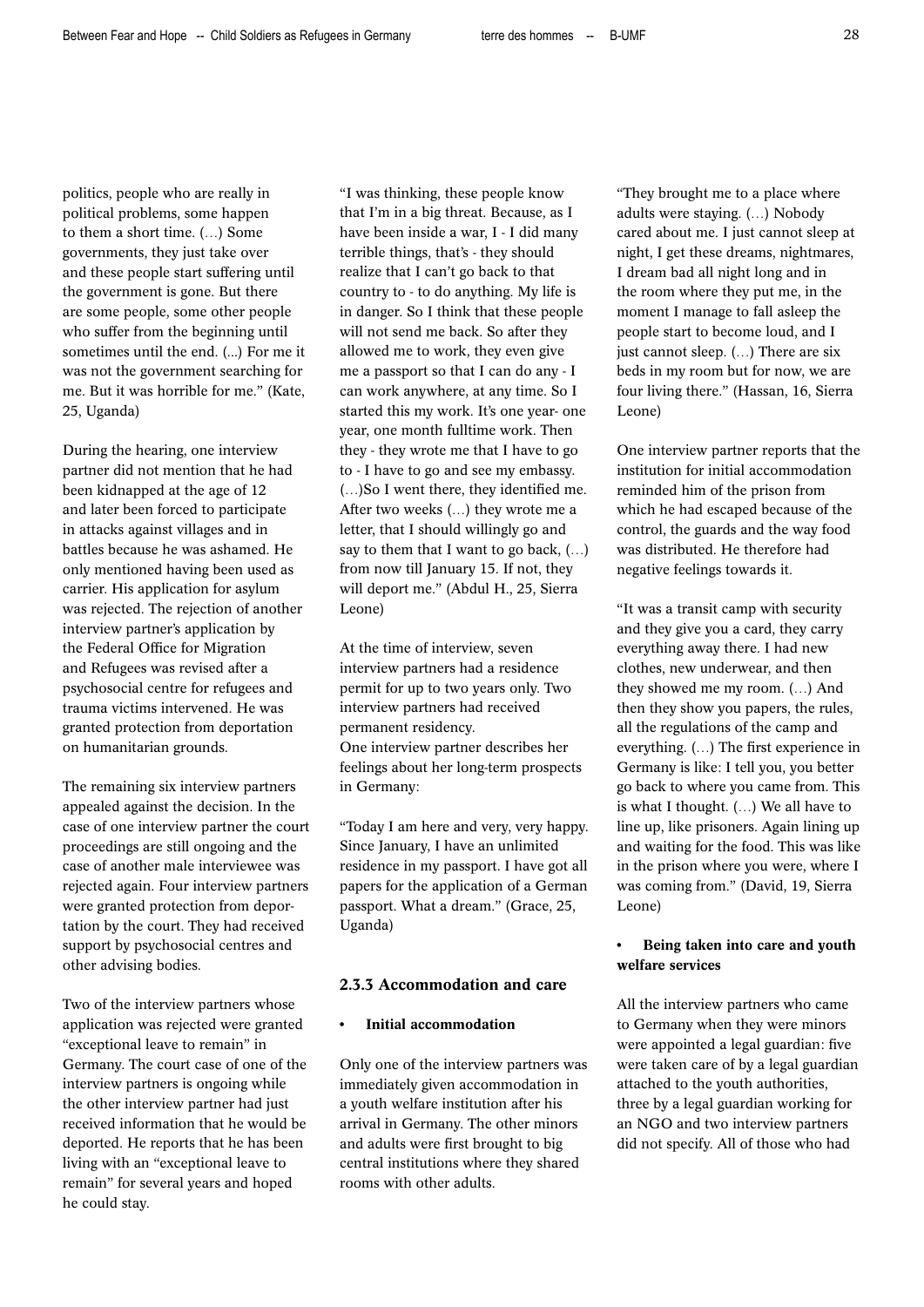politics, people who are really in political problems, some happen to them a short time. (…) Some governments, they just take over and these people start suffering until the government is gone. But there are some people, some other people who suffer from the beginning until sometimes until the end. (...) For me it was not the government searching for me. But it was horrible for me." (Kate, 25, Uganda)

During the hearing, one interview partner did not mention that he had been kidnapped at the age of 12 and later been forced to participate in attacks against villages and in battles because he was ashamed. He only mentioned having been used as carrier. His application for asylum was rejected. The rejection of another interview partner's application by the Federal Office for Migration and Refugees was revised after a psychosocial centre for refugees and trauma victims intervened. He was granted protection from deportation on humanitarian grounds.

The remaining six interview partners appealed against the decision. In the case of one interview partner the court proceedings are still ongoing and the case of another male interviewee was rejected again. Four interview partners were granted protection from deportation by the court. They had received support by psychosocial centres and other advising bodies.

Two of the interview partners whose application was rejected were granted "exceptional leave to remain" in Germany. The court case of one of the interview partners is ongoing while the other interview partner had just received information that he would be deported. He reports that he has been living with an "exceptional leave to remain" for several years and hoped he could stay.

"I was thinking, these people know that I'm in a big threat. Because, as I have been inside a war, I - I did many terrible things, that's - they should realize that I can't go back to that country to - to do anything. My life is in danger. So I think that these people will not send me back. So after they allowed me to work, they even give me a passport so that I can do any - I can work anywhere, at any time. So I started this my work. It's one year- one year, one month fulltime work. Then they - they wrote me that I have to go to - I have to go and see my embassy. (…)So I went there, they identified me. After two weeks (…) they wrote me a letter, that I should willingly go and say to them that I want to go back, (…) from now till January 15. If not, they will deport me." (Abdul H., 25, Sierra Leone)

At the time of interview, seven interview partners had a residence permit for up to two years only. Two interview partners had received permanent residency. One interview partner describes her feelings about her long-term prospects in Germany:

"Today I am here and very, very happy. Since January, I have an unlimited residence in my passport. I have got all papers for the application of a German passport. What a dream." (Grace, 25, Uganda)

# 2.3.3 Accommodation and care

### • Initial accommodation

Only one of the interview partners was immediately given accommodation in a youth welfare institution after his arrival in Germany. The other minors and adults were first brought to big central institutions where they shared rooms with other adults.

"They brought me to a place where adults were staying. (…) Nobody cared about me. I just cannot sleep at night, I get these dreams, nightmares, I dream bad all night long and in the room where they put me, in the moment I manage to fall asleep the people start to become loud, and I just cannot sleep. (...) There are six beds in my room but for now, we are four living there." (Hassan, 16, Sierra Leone)

One interview partner reports that the institution for initial accommodation reminded him of the prison from which he had escaped because of the control, the guards and the way food was distributed. He therefore had negative feelings towards it.

"It was a transit camp with security and they give you a card, they carry everything away there. I had new clothes, new underwear, and then they showed me my room. (…) And then they show you papers, the rules, all the regulations of the camp and everything. (…) The first experience in Germany is like: I tell you, you better go back to where you came from. This is what I thought. (…) We all have to line up, like prisoners. Again lining up and waiting for the food. This was like in the prison where you were, where I was coming from." (David, 19, Sierra Leone)

# Being taken into care and youth welfare services

All the interview partners who came to Germany when they were minors were appointed a legal guardian: five were taken care of by a legal guardian attached to the youth authorities, three by a legal guardian working for an NGO and two interview partners did not specify. All of those who had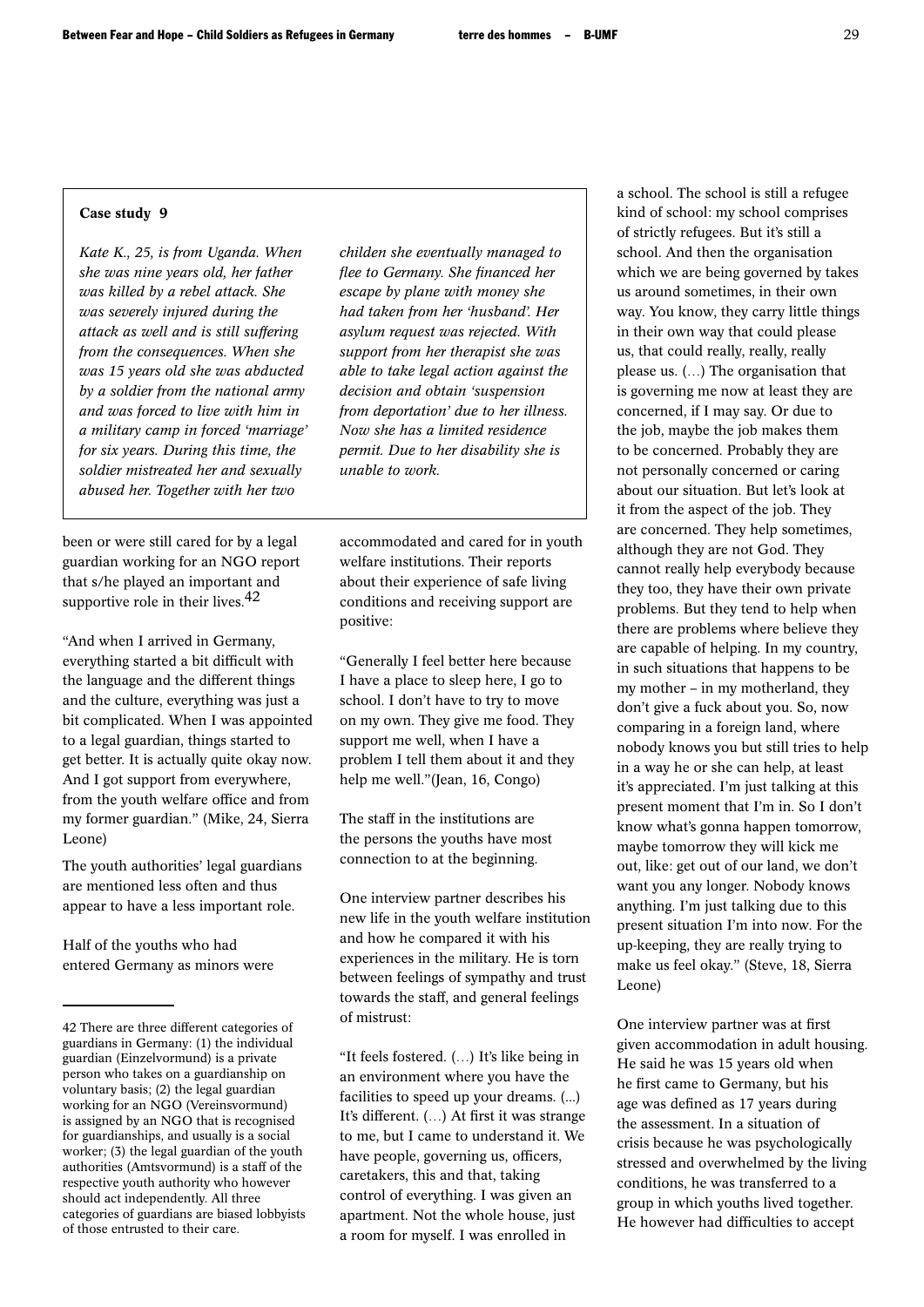#### Case study 9

*Kate K., 25, is from Uganda. When she was nine years old, her father was killed by a rebel attack. She was severely injured during the attack as well and is still suffering from the consequences. When she was 15 years old she was abducted by a soldier from the national army and was forced to live with him in a military camp in forced 'marriage' for six years. During this time, the soldier mistreated her and sexually abused her. Together with her two* 

been or were still cared for by a legal guardian working for an NGO report that s/he played an important and supportive role in their lives.<sup>42</sup>

"And when I arrived in Germany, everything started a bit difficult with the language and the different things and the culture, everything was just a bit complicated. When I was appointed to a legal guardian, things started to get better. It is actually quite okay now. And I got support from everywhere, from the youth welfare office and from my former guardian." (Mike, 24, Sierra Leone)

The youth authorities' legal guardians are mentioned less often and thus appear to have a less important role.

Half of the youths who had entered Germany as minors were *childen she eventually managed to flee to Germany. She financed her escape by plane with money she had taken from her 'husband'. Her asylum request was rejected. With support from her therapist she was able to take legal action against the decision and obtain 'suspension from deportation' due to her illness. Now she has a limited residence permit. Due to her disability she is unable to work.*

accommodated and cared for in youth welfare institutions. Their reports about their experience of safe living conditions and receiving support are positive:

"Generally I feel better here because I have a place to sleep here, I go to school. I don't have to try to move on my own. They give me food. They support me well, when I have a problem I tell them about it and they help me well."(Jean, 16, Congo)

The staff in the institutions are the persons the youths have most connection to at the beginning.

One interview partner describes his new life in the youth welfare institution and how he compared it with his experiences in the military. He is torn between feelings of sympathy and trust towards the staff, and general feelings of mistrust:

"It feels fostered. (…) It's like being in an environment where you have the facilities to speed up your dreams. (...) It's different. (…) At first it was strange to me, but I came to understand it. We have people, governing us, officers, caretakers, this and that, taking control of everything. I was given an apartment. Not the whole house, just a room for myself. I was enrolled in

a school. The school is still a refugee kind of school: my school comprises of strictly refugees. But it's still a school. And then the organisation which we are being governed by takes us around sometimes, in their own way. You know, they carry little things in their own way that could please us, that could really, really, really please us. (…) The organisation that is governing me now at least they are concerned, if I may say. Or due to the job, maybe the job makes them to be concerned. Probably they are not personally concerned or caring about our situation. But let's look at it from the aspect of the job. They are concerned. They help sometimes, although they are not God. They cannot really help everybody because they too, they have their own private problems. But they tend to help when there are problems where believe they are capable of helping. In my country, in such situations that happens to be my mother – in my motherland, they don't give a fuck about you. So, now comparing in a foreign land, where nobody knows you but still tries to help in a way he or she can help, at least it's appreciated. I'm just talking at this present moment that I'm in. So I don't know what's gonna happen tomorrow, maybe tomorrow they will kick me out, like: get out of our land, we don't want you any longer. Nobody knows anything. I'm just talking due to this present situation I'm into now. For the up-keeping, they are really trying to make us feel okay." (Steve, 18, Sierra Leone)

One interview partner was at first given accommodation in adult housing. He said he was 15 years old when he first came to Germany, but his age was defined as 17 years during the assessment. In a situation of crisis because he was psychologically stressed and overwhelmed by the living conditions, he was transferred to a group in which youths lived together. He however had difficulties to accept

<sup>42</sup> There are three different categories of guardians in Germany: (1) the individual guardian (Einzelvormund) is a private person who takes on a guardianship on voluntary basis; (2) the legal guardian working for an NGO (Vereinsvormund) is assigned by an NGO that is recognised for guardianships, and usually is a social worker; (3) the legal guardian of the youth authorities (Amtsvormund) is a staff of the respective youth authority who however should act independently. All three categories of guardians are biased lobbyists of those entrusted to their care.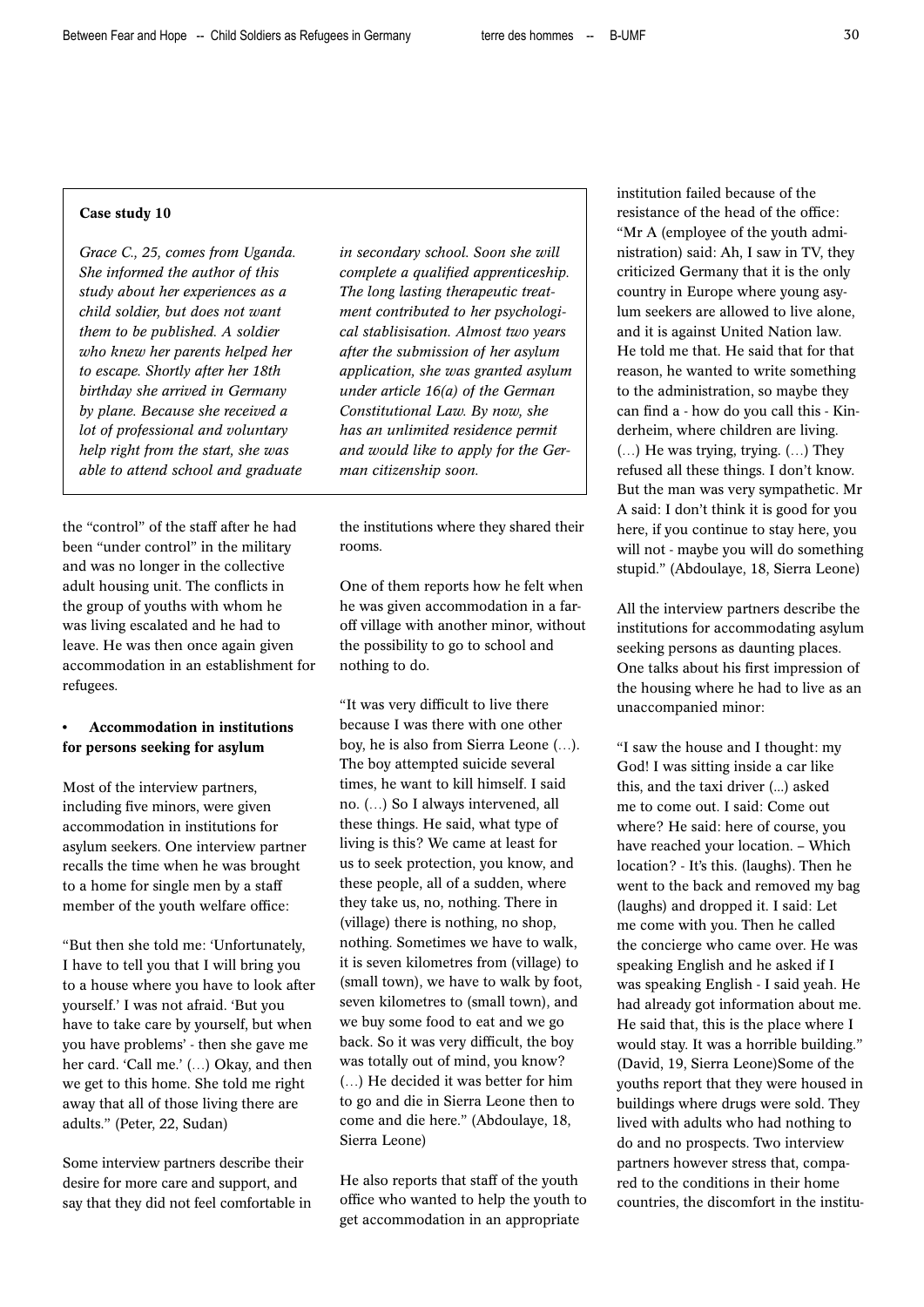#### Case study 10

*Grace C., 25, comes from Uganda. She informed the author of this study about her experiences as a child soldier, but does not want them to be published. A soldier who knew her parents helped her to escape. Shortly after her 18th birthday she arrived in Germany by plane. Because she received a lot of professional and voluntary help right from the start, she was able to attend school and graduate* 

the "control" of the staff after he had been "under control" in the military and was no longer in the collective adult housing unit. The conflicts in the group of youths with whom he was living escalated and he had to leave. He was then once again given accommodation in an establishment for refugees.

# • Accommodation in institutions for persons seeking for asylum

Most of the interview partners, including five minors, were given accommodation in institutions for asylum seekers. One interview partner recalls the time when he was brought to a home for single men by a staff member of the youth welfare office:

"But then she told me: 'Unfortunately, I have to tell you that I will bring you to a house where you have to look after yourself.' I was not afraid. 'But you have to take care by yourself, but when you have problems' - then she gave me her card. 'Call me.' (…) Okay, and then we get to this home. She told me right away that all of those living there are adults." (Peter, 22, Sudan)

Some interview partners describe their desire for more care and support, and say that they did not feel comfortable in *in secondary school. Soon she will complete a qualified apprenticeship. The long lasting therapeutic treatment contributed to her psychological stablisisation. Almost two years after the submission of her asylum application, she was granted asylum under article 16(a) of the German Constitutional Law. By now, she has an unlimited residence permit and would like to apply for the German citizenship soon.*

the institutions where they shared their rooms.

One of them reports how he felt when he was given accommodation in a faroff village with another minor, without the possibility to go to school and nothing to do.

"It was very difficult to live there because I was there with one other boy, he is also from Sierra Leone (…). The boy attempted suicide several times, he want to kill himself. I said no. (…) So I always intervened, all these things. He said, what type of living is this? We came at least for us to seek protection, you know, and these people, all of a sudden, where they take us, no, nothing. There in (village) there is nothing, no shop, nothing. Sometimes we have to walk, it is seven kilometres from (village) to (small town), we have to walk by foot, seven kilometres to (small town), and we buy some food to eat and we go back. So it was very difficult, the boy was totally out of mind, you know? (…) He decided it was better for him to go and die in Sierra Leone then to come and die here." (Abdoulaye, 18, Sierra Leone)

He also reports that staff of the youth office who wanted to help the youth to get accommodation in an appropriate

institution failed because of the resistance of the head of the office: "Mr A (employee of the youth administration) said: Ah, I saw in TV, they criticized Germany that it is the only country in Europe where young asylum seekers are allowed to live alone, and it is against United Nation law. He told me that. He said that for that reason, he wanted to write something to the administration, so maybe they can find a - how do you call this - Kinderheim, where children are living. (…) He was trying, trying. (…) They refused all these things. I don't know. But the man was very sympathetic. Mr A said: I don't think it is good for you here, if you continue to stay here, you will not - maybe you will do something stupid." (Abdoulaye, 18, Sierra Leone)

All the interview partners describe the institutions for accommodating asylum seeking persons as daunting places. One talks about his first impression of the housing where he had to live as an unaccompanied minor:

"I saw the house and I thought: my God! I was sitting inside a car like this, and the taxi driver (...) asked me to come out. I said: Come out where? He said: here of course, you have reached your location. – Which location? - It's this. (laughs). Then he went to the back and removed my bag (laughs) and dropped it. I said: Let me come with you. Then he called the concierge who came over. He was speaking English and he asked if I was speaking English - I said yeah. He had already got information about me. He said that, this is the place where I would stay. It was a horrible building." (David, 19, Sierra Leone)Some of the youths report that they were housed in buildings where drugs were sold. They lived with adults who had nothing to do and no prospects. Two interview partners however stress that, compared to the conditions in their home countries, the discomfort in the institu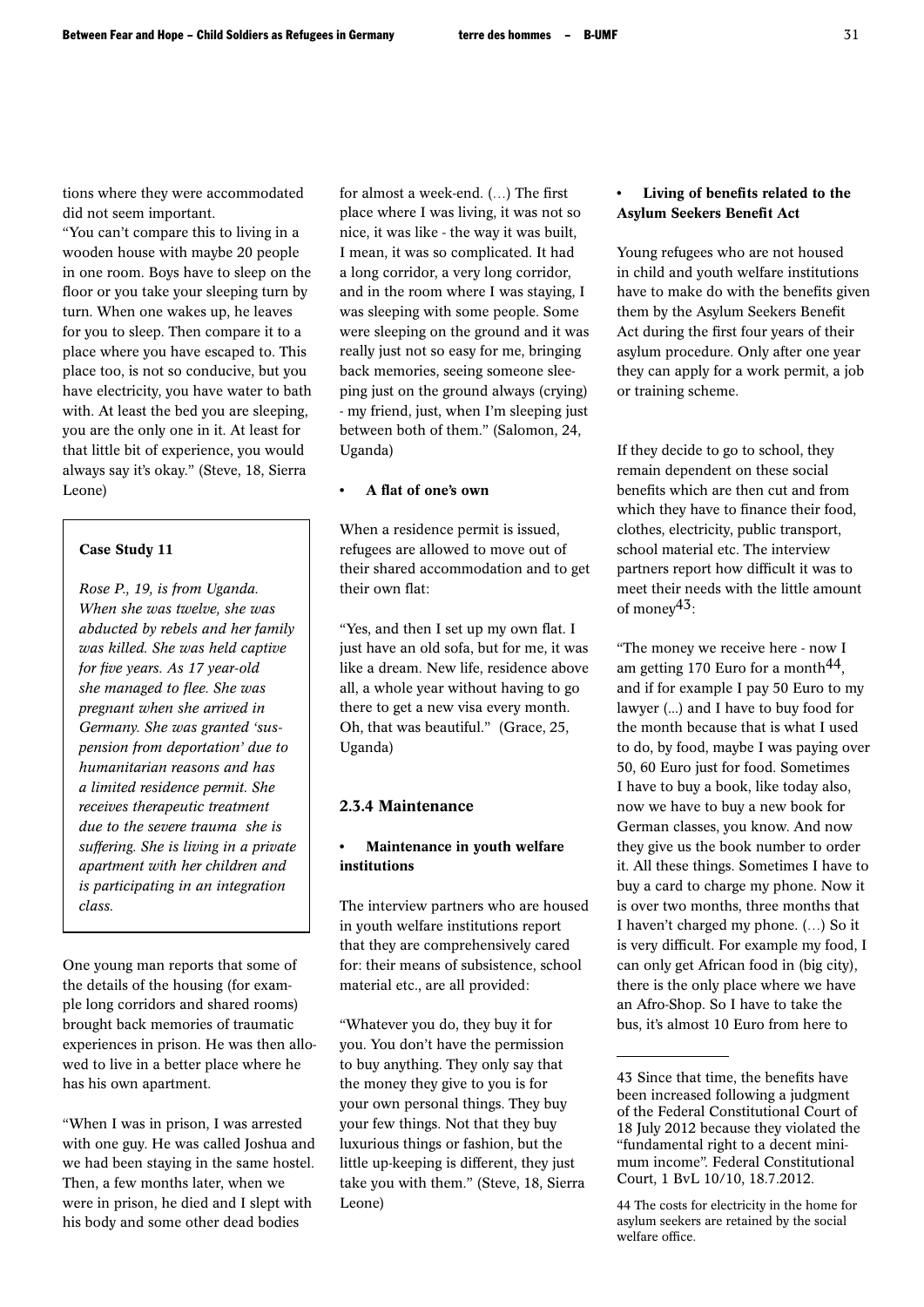tions where they were accommodated did not seem important.

"You can't compare this to living in a wooden house with maybe 20 people in one room. Boys have to sleep on the floor or you take your sleeping turn by turn. When one wakes up, he leaves for you to sleep. Then compare it to a place where you have escaped to. This place too, is not so conducive, but you have electricity, you have water to bath with. At least the bed you are sleeping, you are the only one in it. At least for that little bit of experience, you would always say it's okay." (Steve, 18, Sierra Leone)

#### Case Study 11

*Rose P., 19, is from Uganda. When she was twelve, she was abducted by rebels and her family was killed. She was held captive for five years. As 17 year-old she managed to flee. She was pregnant when she arrived in Germany. She was granted 'suspension from deportation' due to humanitarian reasons and has a limited residence permit. She receives therapeutic treatment due to the severe trauma she is suffering. She is living in a private apartment with her children and is participating in an integration class.*

One young man reports that some of the details of the housing (for example long corridors and shared rooms) brought back memories of traumatic experiences in prison. He was then allowed to live in a better place where he has his own apartment.

"When I was in prison, I was arrested with one guy. He was called Joshua and we had been staying in the same hostel. Then, a few months later, when we were in prison, he died and I slept with his body and some other dead bodies

for almost a week-end. (…) The first place where I was living, it was not so nice, it was like - the way it was built, I mean, it was so complicated. It had a long corridor, a very long corridor, and in the room where I was staying, I was sleeping with some people. Some were sleeping on the ground and it was really just not so easy for me, bringing back memories, seeing someone sleeping just on the ground always (crying) - my friend, just, when I'm sleeping just between both of them." (Salomon, 24, Uganda)

#### • A flat of one's own

When a residence permit is issued, refugees are allowed to move out of their shared accommodation and to get their own flat:

"Yes, and then I set up my own flat. I just have an old sofa, but for me, it was like a dream. New life, residence above all, a whole year without having to go there to get a new visa every month. Oh, that was beautiful." (Grace, 25, Uganda)

### 2.3.4 Maintenance

#### Maintenance in youth welfare institutions

The interview partners who are housed in youth welfare institutions report that they are comprehensively cared for: their means of subsistence, school material etc., are all provided:

"Whatever you do, they buy it for you. You don't have the permission to buy anything. They only say that the money they give to you is for your own personal things. They buy your few things. Not that they buy luxurious things or fashion, but the little up-keeping is different, they just take you with them." (Steve, 18, Sierra Leone)

#### Living of benefits related to the Asylum Seekers Benefit Act

Young refugees who are not housed in child and youth welfare institutions have to make do with the benefits given them by the Asylum Seekers Benefit Act during the first four years of their asylum procedure. Only after one year they can apply for a work permit, a job or training scheme.

If they decide to go to school, they remain dependent on these social benefits which are then cut and from which they have to finance their food, clothes, electricity, public transport, school material etc. The interview partners report how difficult it was to meet their needs with the little amount of mone $x^{43}$ :

"The money we receive here - now I am getting 170 Euro for a month $44$ . and if for example I pay 50 Euro to my lawyer (...) and I have to buy food for the month because that is what I used to do, by food, maybe I was paying over 50, 60 Euro just for food. Sometimes I have to buy a book, like today also, now we have to buy a new book for German classes, you know. And now they give us the book number to order it. All these things. Sometimes I have to buy a card to charge my phone. Now it is over two months, three months that I haven't charged my phone. (…) So it is very difficult. For example my food, I can only get African food in (big city), there is the only place where we have an Afro-Shop. So I have to take the bus, it's almost 10 Euro from here to

<sup>43</sup> Since that time, the benefits have been increased following a judgment of the Federal Constitutional Court of 18 July 2012 because they violated the "fundamental right to a decent minimum income". Federal Constitutional Court, 1 BvL 10/10, 18.7.2012.

<sup>44</sup> The costs for electricity in the home for asylum seekers are retained by the social welfare office.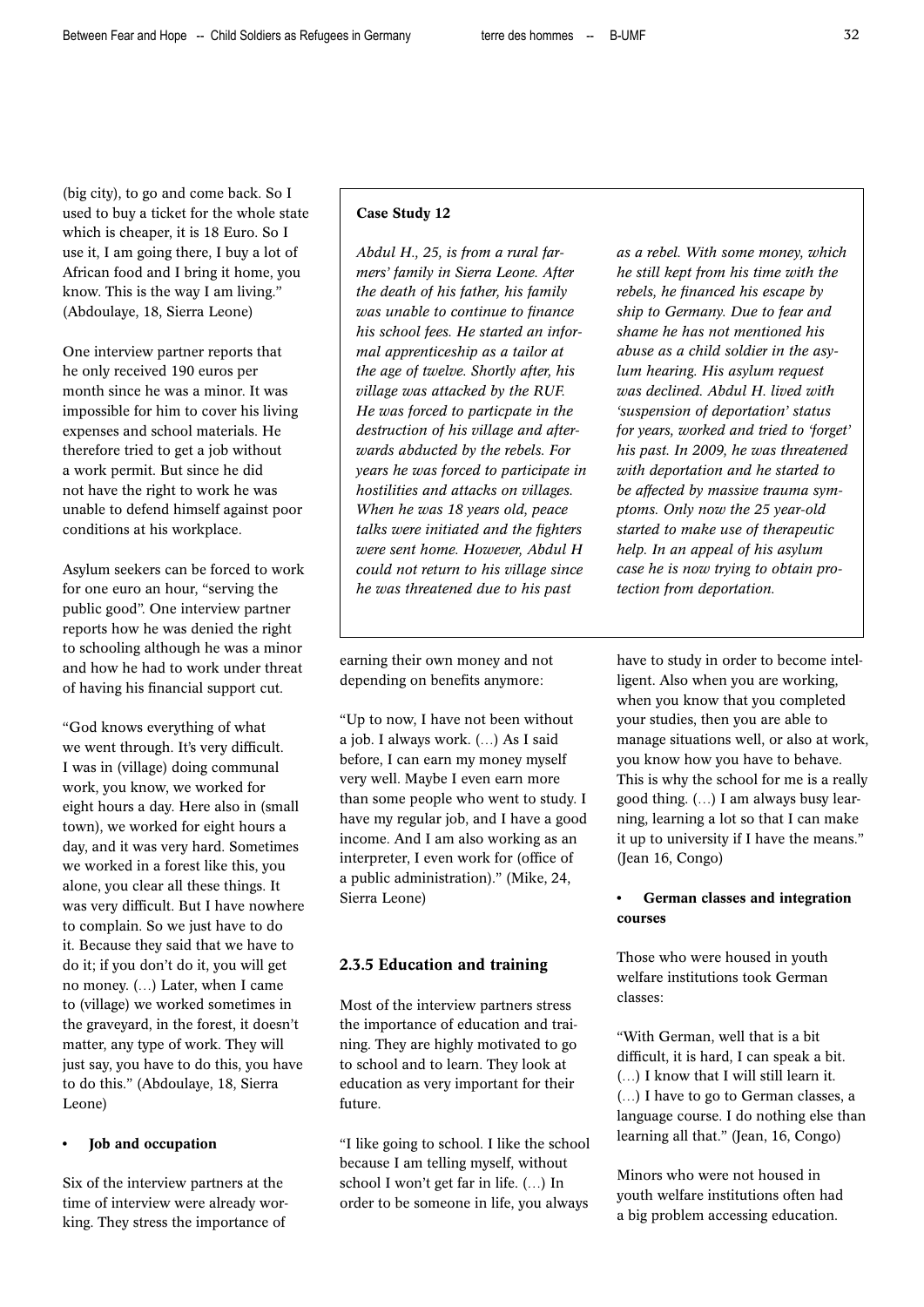(big city), to go and come back. So I used to buy a ticket for the whole state which is cheaper, it is 18 Euro. So I use it, I am going there, I buy a lot of African food and I bring it home, you know. This is the way I am living." (Abdoulaye, 18, Sierra Leone)

One interview partner reports that he only received 190 euros per month since he was a minor. It was impossible for him to cover his living expenses and school materials. He therefore tried to get a job without a work permit. But since he did not have the right to work he was unable to defend himself against poor conditions at his workplace.

Asylum seekers can be forced to work for one euro an hour, "serving the public good". One interview partner reports how he was denied the right to schooling although he was a minor and how he had to work under threat of having his financial support cut.

"God knows everything of what we went through. It's very difficult. I was in (village) doing communal work, you know, we worked for eight hours a day. Here also in (small town), we worked for eight hours a day, and it was very hard. Sometimes we worked in a forest like this, you alone, you clear all these things. It was very difficult. But I have nowhere to complain. So we just have to do it. Because they said that we have to do it; if you don't do it, you will get no money. (…) Later, when I came to (village) we worked sometimes in the graveyard, in the forest, it doesn't matter, any type of work. They will just say, you have to do this, you have to do this." (Abdoulaye, 18, Sierra Leone)

#### • Job and occupation

Six of the interview partners at the time of interview were already working. They stress the importance of

#### Case Study 12

*Abdul H., 25, is from a rural farmers' family in Sierra Leone. After the death of his father, his family was unable to continue to finance his school fees. He started an informal apprenticeship as a tailor at the age of twelve. Shortly after, his village was attacked by the RUF. He was forced to particpate in the destruction of his village and afterwards abducted by the rebels. For years he was forced to participate in hostilities and attacks on villages. When he was 18 years old, peace talks were initiated and the fighters were sent home. However, Abdul H could not return to his village since he was threatened due to his past* 

earning their own money and not depending on benefits anymore:

"Up to now, I have not been without a job. I always work. (…) As I said before, I can earn my money myself very well. Maybe I even earn more than some people who went to study. I have my regular job, and I have a good income. And I am also working as an interpreter, I even work for (office of a public administration)." (Mike, 24, Sierra Leone)

### 2.3.5 Education and training

Most of the interview partners stress the importance of education and training. They are highly motivated to go to school and to learn. They look at education as very important for their future.

"I like going to school. I like the school because I am telling myself, without school I won't get far in life. (…) In order to be someone in life, you always

*as a rebel. With some money, which he still kept from his time with the rebels, he financed his escape by ship to Germany. Due to fear and shame he has not mentioned his abuse as a child soldier in the asylum hearing. His asylum request was declined. Abdul H. lived with 'suspension of deportation' status for years, worked and tried to 'forget' his past. In 2009, he was threatened with deportation and he started to be affected by massive trauma symptoms. Only now the 25 year-old started to make use of therapeutic help. In an appeal of his asylum case he is now trying to obtain protection from deportation.* 

have to study in order to become intelligent. Also when you are working, when you know that you completed your studies, then you are able to manage situations well, or also at work, you know how you have to behave. This is why the school for me is a really good thing. (…) I am always busy learning, learning a lot so that I can make it up to university if I have the means." (Jean 16, Congo)

# • German classes and integration courses

Those who were housed in youth welfare institutions took German classes:

"With German, well that is a bit difficult, it is hard, I can speak a bit. (…) I know that I will still learn it. (…) I have to go to German classes, a language course. I do nothing else than learning all that." (Jean, 16, Congo)

Minors who were not housed in youth welfare institutions often had a big problem accessing education.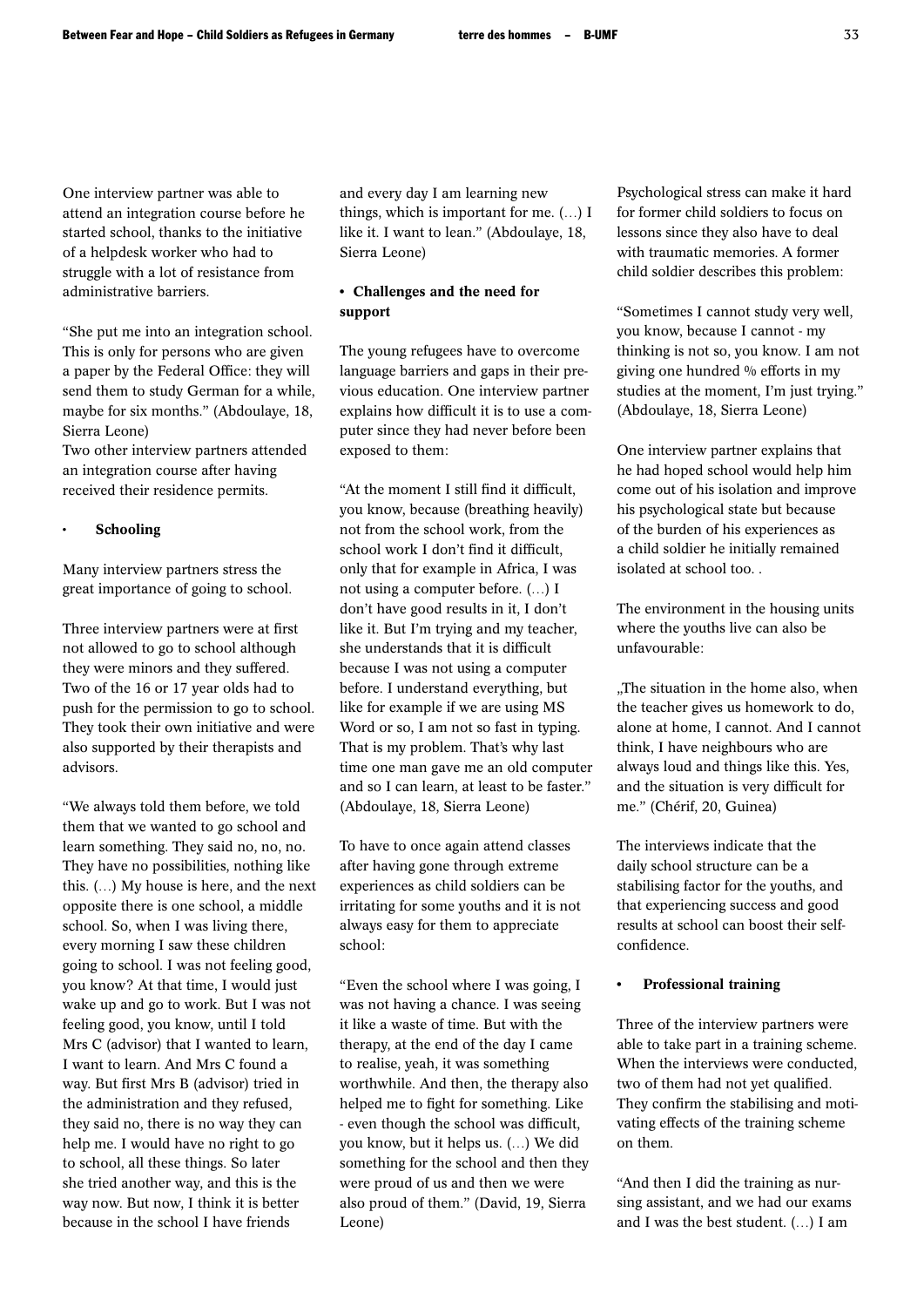One interview partner was able to attend an integration course before he started school, thanks to the initiative of a helpdesk worker who had to struggle with a lot of resistance from administrative barriers.

"She put me into an integration school. This is only for persons who are given a paper by the Federal Office: they will send them to study German for a while, maybe for six months." (Abdoulaye, 18, Sierra Leone)

Two other interview partners attended an integration course after having received their residence permits.

#### **Schooling**

Many interview partners stress the great importance of going to school.

Three interview partners were at first not allowed to go to school although they were minors and they suffered. Two of the 16 or 17 year olds had to push for the permission to go to school. They took their own initiative and were also supported by their therapists and advisors.

"We always told them before, we told them that we wanted to go school and learn something. They said no, no, no. They have no possibilities, nothing like this. (…) My house is here, and the next opposite there is one school, a middle school. So, when I was living there, every morning I saw these children going to school. I was not feeling good, you know? At that time, I would just wake up and go to work. But I was not feeling good, you know, until I told Mrs C (advisor) that I wanted to learn, I want to learn. And Mrs C found a way. But first Mrs B (advisor) tried in the administration and they refused, they said no, there is no way they can help me. I would have no right to go to school, all these things. So later she tried another way, and this is the way now. But now, I think it is better because in the school I have friends

and every day I am learning new things, which is important for me. (…) I like it. I want to lean." (Abdoulaye, 18, Sierra Leone)

## • Challenges and the need for support

The young refugees have to overcome language barriers and gaps in their previous education. One interview partner explains how difficult it is to use a computer since they had never before been exposed to them:

"At the moment I still find it difficult, you know, because (breathing heavily) not from the school work, from the school work I don't find it difficult, only that for example in Africa, I was not using a computer before. (…) I don't have good results in it, I don't like it. But I'm trying and my teacher, she understands that it is difficult because I was not using a computer before. I understand everything, but like for example if we are using MS Word or so. I am not so fast in typing. That is my problem. That's why last time one man gave me an old computer and so I can learn, at least to be faster." (Abdoulaye, 18, Sierra Leone)

To have to once again attend classes after having gone through extreme experiences as child soldiers can be irritating for some youths and it is not always easy for them to appreciate school:

"Even the school where I was going, I was not having a chance. I was seeing it like a waste of time. But with the therapy, at the end of the day I came to realise, yeah, it was something worthwhile. And then, the therapy also helped me to fight for something. Like - even though the school was difficult, you know, but it helps us. (…) We did something for the school and then they were proud of us and then we were also proud of them." (David, 19, Sierra Leone)

Psychological stress can make it hard for former child soldiers to focus on lessons since they also have to deal with traumatic memories. A former child soldier describes this problem:

"Sometimes I cannot study very well, you know, because I cannot - my thinking is not so, you know. I am not giving one hundred % efforts in my studies at the moment, I'm just trying." (Abdoulaye, 18, Sierra Leone)

One interview partner explains that he had hoped school would help him come out of his isolation and improve his psychological state but because of the burden of his experiences as a child soldier he initially remained isolated at school too. .

The environment in the housing units where the youths live can also be unfavourable:

"The situation in the home also, when the teacher gives us homework to do, alone at home, I cannot. And I cannot think, I have neighbours who are always loud and things like this. Yes, and the situation is very difficult for me." (Chérif, 20, Guinea)

The interviews indicate that the daily school structure can be a stabilising factor for the youths, and that experiencing success and good results at school can boost their selfconfidence.

#### • Professional training

Three of the interview partners were able to take part in a training scheme. When the interviews were conducted, two of them had not yet qualified. They confirm the stabilising and motivating effects of the training scheme on them.

"And then I did the training as nursing assistant, and we had our exams and I was the best student. (…) I am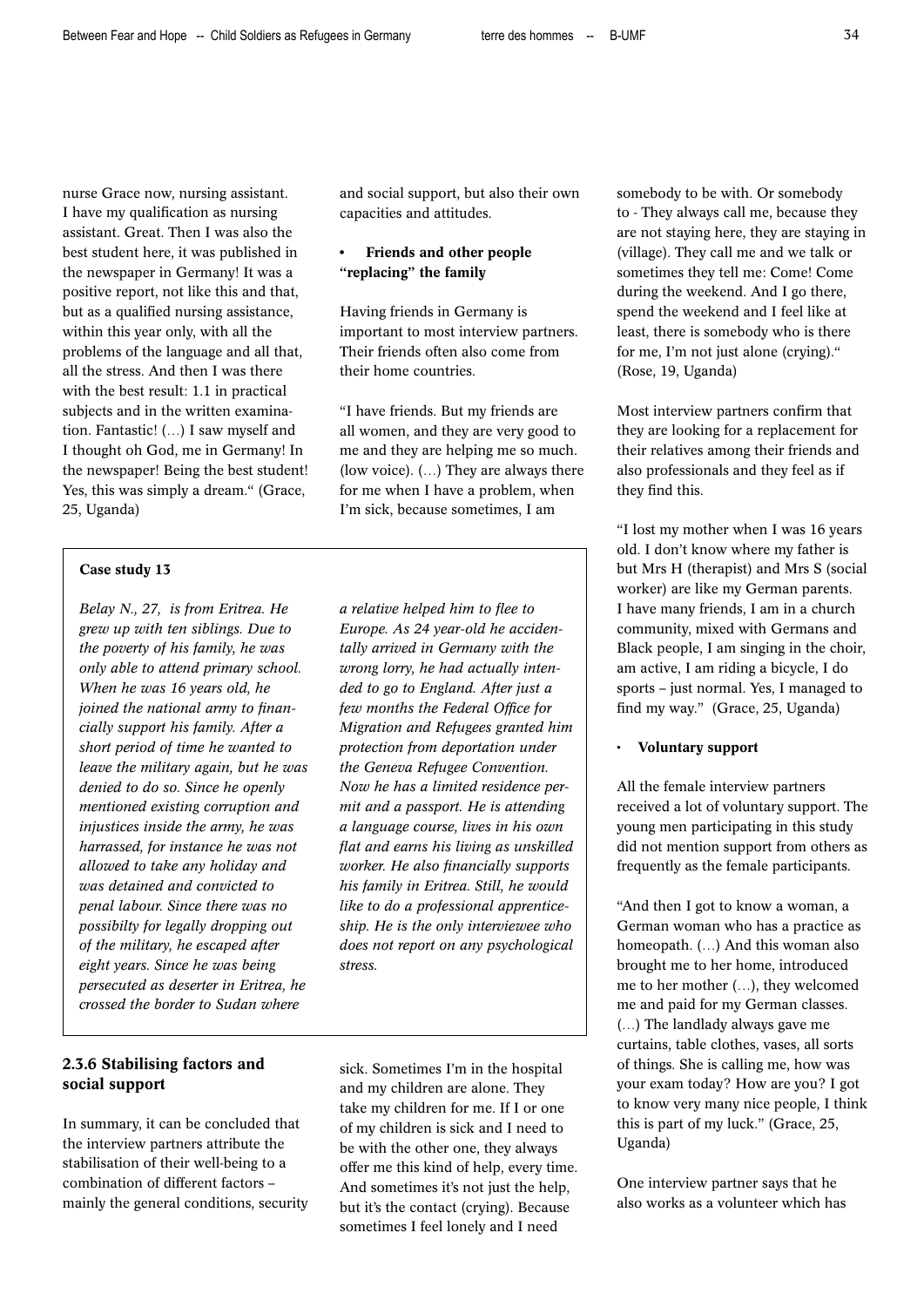nurse Grace now, nursing assistant. I have my qualification as nursing assistant. Great. Then I was also the best student here, it was published in the newspaper in Germany! It was a positive report, not like this and that, but as a qualified nursing assistance, within this year only, with all the problems of the language and all that, all the stress. And then I was there with the best result: 1.1 in practical subjects and in the written examination. Fantastic! (…) I saw myself and I thought oh God, me in Germany! In the newspaper! Being the best student! Yes, this was simply a dream." (Grace, 25, Uganda)

### Case study 13

*Belay N., 27, is from Eritrea. He grew up with ten siblings. Due to the poverty of his family, he was only able to attend primary school. When he was 16 years old, he joined the national army to financially support his family. After a short period of time he wanted to leave the military again, but he was denied to do so. Since he openly mentioned existing corruption and injustices inside the army, he was harrassed, for instance he was not allowed to take any holiday and was detained and convicted to penal labour. Since there was no possibilty for legally dropping out of the military, he escaped after eight years. Since he was being persecuted as deserter in Eritrea, he crossed the border to Sudan where* 

# 2.3.6 Stabilising factors and social support

In summary, it can be concluded that the interview partners attribute the stabilisation of their well-being to a combination of different factors – mainly the general conditions, security and social support, but also their own capacities and attitudes.

### • Friends and other people "replacing" the family

Having friends in Germany is important to most interview partners. Their friends often also come from their home countries.

"I have friends. But my friends are all women, and they are very good to me and they are helping me so much. (low voice). (…) They are always there for me when I have a problem, when I'm sick, because sometimes, I am

*a relative helped him to flee to Europe. As 24 year-old he accidentally arrived in Germany with the wrong lorry, he had actually intended to go to England. After just a few months the Federal Office for Migration and Refugees granted him protection from deportation under the Geneva Refugee Convention. Now he has a limited residence permit and a passport. He is attending a language course, lives in his own flat and earns his living as unskilled worker. He also financially supports his family in Eritrea. Still, he would like to do a professional apprenticeship. He is the only interviewee who does not report on any psychological stress.* 

sick. Sometimes I'm in the hospital and my children are alone. They take my children for me. If I or one of my children is sick and I need to be with the other one, they always offer me this kind of help, every time. And sometimes it's not just the help, but it's the contact (crying). Because sometimes I feel lonely and I need

somebody to be with. Or somebody to - They always call me, because they are not staying here, they are staying in (village). They call me and we talk or sometimes they tell me: Come! Come during the weekend. And I go there, spend the weekend and I feel like at least, there is somebody who is there for me, I'm not just alone (crying)." (Rose, 19, Uganda)

Most interview partners confirm that they are looking for a replacement for their relatives among their friends and also professionals and they feel as if they find this.

"I lost my mother when I was 16 years old. I don't know where my father is but Mrs H (therapist) and Mrs S (social worker) are like my German parents. I have many friends, I am in a church community, mixed with Germans and Black people, I am singing in the choir, am active, I am riding a bicycle, I do sports – just normal. Yes, I managed to find my way." (Grace, 25, Uganda)

#### • Voluntary support

All the female interview partners received a lot of voluntary support. The young men participating in this study did not mention support from others as frequently as the female participants.

"And then I got to know a woman, a German woman who has a practice as homeopath. (…) And this woman also brought me to her home, introduced me to her mother (…), they welcomed me and paid for my German classes. (…) The landlady always gave me curtains, table clothes, vases, all sorts of things. She is calling me, how was your exam today? How are you? I got to know very many nice people, I think this is part of my luck." (Grace, 25, Uganda)

One interview partner says that he also works as a volunteer which has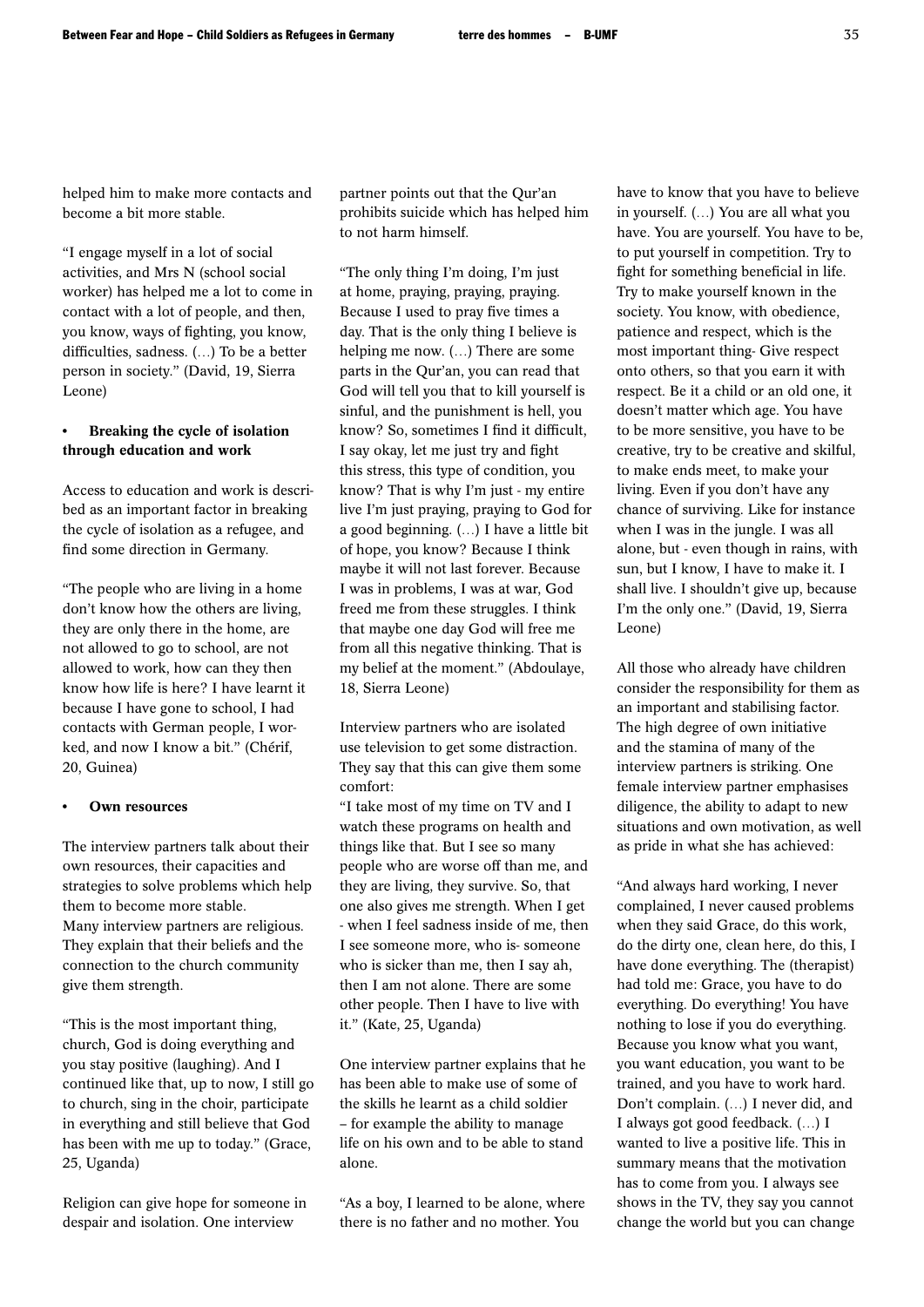helped him to make more contacts and become a bit more stable.

"I engage myself in a lot of social activities, and Mrs N (school social worker) has helped me a lot to come in contact with a lot of people, and then, you know, ways of fighting, you know, difficulties, sadness. (…) To be a better person in society." (David, 19, Sierra Leone)

# Breaking the cycle of isolation through education and work

Access to education and work is described as an important factor in breaking the cycle of isolation as a refugee, and find some direction in Germany.

"The people who are living in a home don't know how the others are living, they are only there in the home, are not allowed to go to school, are not allowed to work, how can they then know how life is here? I have learnt it because I have gone to school, I had contacts with German people, I worked, and now I know a bit." (Chérif, 20, Guinea)

#### Own resources

The interview partners talk about their own resources, their capacities and strategies to solve problems which help them to become more stable. Many interview partners are religious. They explain that their beliefs and the connection to the church community give them strength.

"This is the most important thing, church, God is doing everything and you stay positive (laughing). And I continued like that, up to now, I still go to church, sing in the choir, participate in everything and still believe that God has been with me up to today." (Grace, 25, Uganda)

Religion can give hope for someone in despair and isolation. One interview

partner points out that the Qur'an prohibits suicide which has helped him to not harm himself.

"The only thing I'm doing, I'm just at home, praying, praying, praying. Because I used to pray five times a day. That is the only thing I believe is helping me now. (…) There are some parts in the Qur'an, you can read that God will tell you that to kill yourself is sinful, and the punishment is hell, you know? So, sometimes I find it difficult, I say okay, let me just try and fight this stress, this type of condition, you know? That is why I'm just - my entire live I'm just praying, praying to God for a good beginning. (…) I have a little bit of hope, you know? Because I think maybe it will not last forever. Because I was in problems, I was at war, God freed me from these struggles. I think that maybe one day God will free me from all this negative thinking. That is my belief at the moment." (Abdoulaye, 18, Sierra Leone)

Interview partners who are isolated use television to get some distraction. They say that this can give them some comfort:

"I take most of my time on TV and I watch these programs on health and things like that. But I see so many people who are worse off than me, and they are living, they survive. So, that one also gives me strength. When I get - when I feel sadness inside of me, then I see someone more, who is- someone who is sicker than me, then I say ah, then I am not alone. There are some other people. Then I have to live with it." (Kate, 25, Uganda)

One interview partner explains that he has been able to make use of some of the skills he learnt as a child soldier – for example the ability to manage life on his own and to be able to stand alone.

"As a boy, I learned to be alone, where there is no father and no mother. You

have to know that you have to believe in yourself. (…) You are all what you have. You are yourself. You have to be, to put yourself in competition. Try to fight for something beneficial in life. Try to make yourself known in the society. You know, with obedience, patience and respect, which is the most important thing- Give respect onto others, so that you earn it with respect. Be it a child or an old one, it doesn't matter which age. You have to be more sensitive, you have to be creative, try to be creative and skilful, to make ends meet, to make your living. Even if you don't have any chance of surviving. Like for instance when I was in the jungle. I was all alone, but - even though in rains, with sun, but I know, I have to make it. I shall live. I shouldn't give up, because I'm the only one." (David, 19, Sierra Leone)

All those who already have children consider the responsibility for them as an important and stabilising factor. The high degree of own initiative and the stamina of many of the interview partners is striking. One female interview partner emphasises diligence, the ability to adapt to new situations and own motivation, as well as pride in what she has achieved:

"And always hard working, I never complained, I never caused problems when they said Grace, do this work, do the dirty one, clean here, do this, I have done everything. The (therapist) had told me: Grace, you have to do everything. Do everything! You have nothing to lose if you do everything. Because you know what you want, you want education, you want to be trained, and you have to work hard. Don't complain. (…) I never did, and I always got good feedback. (…) I wanted to live a positive life. This in summary means that the motivation has to come from you. I always see shows in the TV, they say you cannot change the world but you can change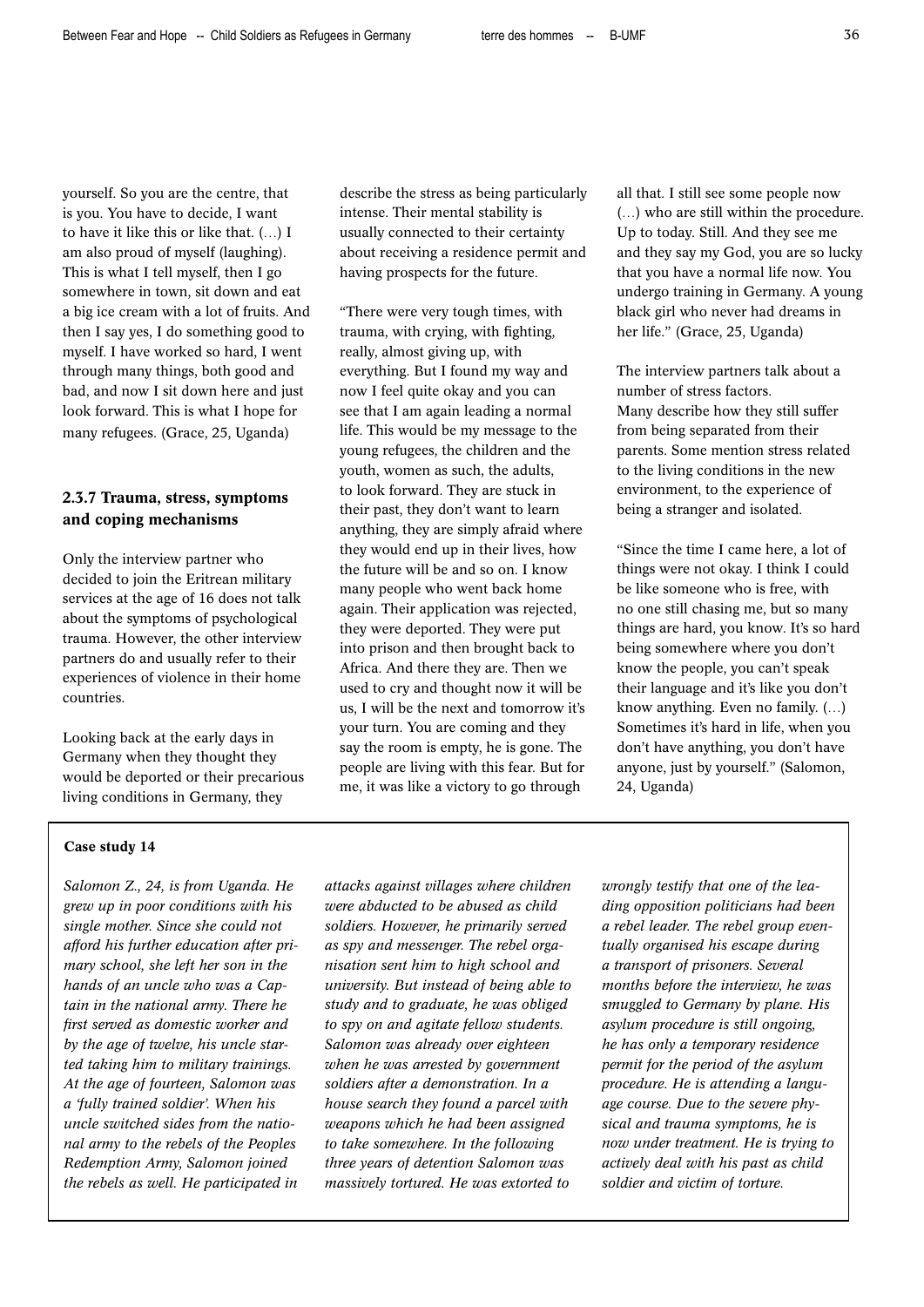yourself. So you are the centre, that is you. You have to decide, I want to have it like this or like that. (…) I am also proud of myself (laughing). This is what I tell myself, then I go somewhere in town, sit down and eat a big ice cream with a lot of fruits. And then I say yes, I do something good to myself. I have worked so hard, I went through many things, both good and bad, and now I sit down here and just look forward. This is what I hope for many refugees. (Grace, 25, Uganda)

# 2.3.7 Trauma, stress, symptoms and coping mechanisms

Only the interview partner who decided to join the Eritrean military services at the age of 16 does not talk about the symptoms of psychological trauma. However, the other interview partners do and usually refer to their experiences of violence in their home countries.

Looking back at the early days in Germany when they thought they would be deported or their precarious living conditions in Germany, they

describe the stress as being particularly intense. Their mental stability is usually connected to their certainty about receiving a residence permit and having prospects for the future.

"There were very tough times, with trauma, with crying, with fighting, really, almost giving up, with everything. But I found my way and now I feel quite okay and you can see that I am again leading a normal life. This would be my message to the young refugees, the children and the youth, women as such, the adults, to look forward. They are stuck in their past, they don't want to learn anything, they are simply afraid where they would end up in their lives, how the future will be and so on. I know many people who went back home again. Their application was rejected, they were deported. They were put into prison and then brought back to Africa. And there they are. Then we used to cry and thought now it will be us, I will be the next and tomorrow it's your turn. You are coming and they say the room is empty, he is gone. The people are living with this fear. But for me, it was like a victory to go through

all that. I still see some people now (…) who are still within the procedure. Up to today. Still. And they see me and they say my God, you are so lucky that you have a normal life now. You undergo training in Germany. A young black girl who never had dreams in her life." (Grace, 25, Uganda)

The interview partners talk about a number of stress factors. Many describe how they still suffer from being separated from their parents. Some mention stress related to the living conditions in the new environment, to the experience of being a stranger and isolated.

"Since the time I came here, a lot of things were not okay. I think I could be like someone who is free, with no one still chasing me, but so many things are hard, you know. It's so hard being somewhere where you don't know the people, you can't speak their language and it's like you don't know anything. Even no family. (…) Sometimes it's hard in life, when you don't have anything, you don't have anyone, just by yourself." (Salomon, 24, Uganda)

### Case study 14

*Salomon Z., 24, is from Uganda. He grew up in poor conditions with his single mother. Since she could not afford his further education after primary school, she left her son in the hands of an uncle who was a Captain in the national army. There he first served as domestic worker and by the age of twelve, his uncle started taking him to military trainings. At the age of fourteen, Salomon was a 'fully trained soldier'. When his uncle switched sides from the national army to the rebels of the Peoples Redemption Army, Salomon joined the rebels as well. He participated in* 

*attacks against villages where children were abducted to be abused as child soldiers. However, he primarily served as spy and messenger. The rebel organisation sent him to high school and university. But instead of being able to study and to graduate, he was obliged to spy on and agitate fellow students. Salomon was already over eighteen when he was arrested by government soldiers after a demonstration. In a house search they found a parcel with weapons which he had been assigned to take somewhere. In the following three years of detention Salomon was massively tortured. He was extorted to* 

*wrongly testify that one of the leading opposition politicians had been a rebel leader. The rebel group eventually organised his escape during a transport of prisoners. Several months before the interview, he was smuggled to Germany by plane. His asylum procedure is still ongoing, he has only a temporary residence permit for the period of the asylum procedure. He is attending a language course. Due to the severe physical and trauma symptoms, he is now under treatment. He is trying to actively deal with his past as child soldier and victim of torture.*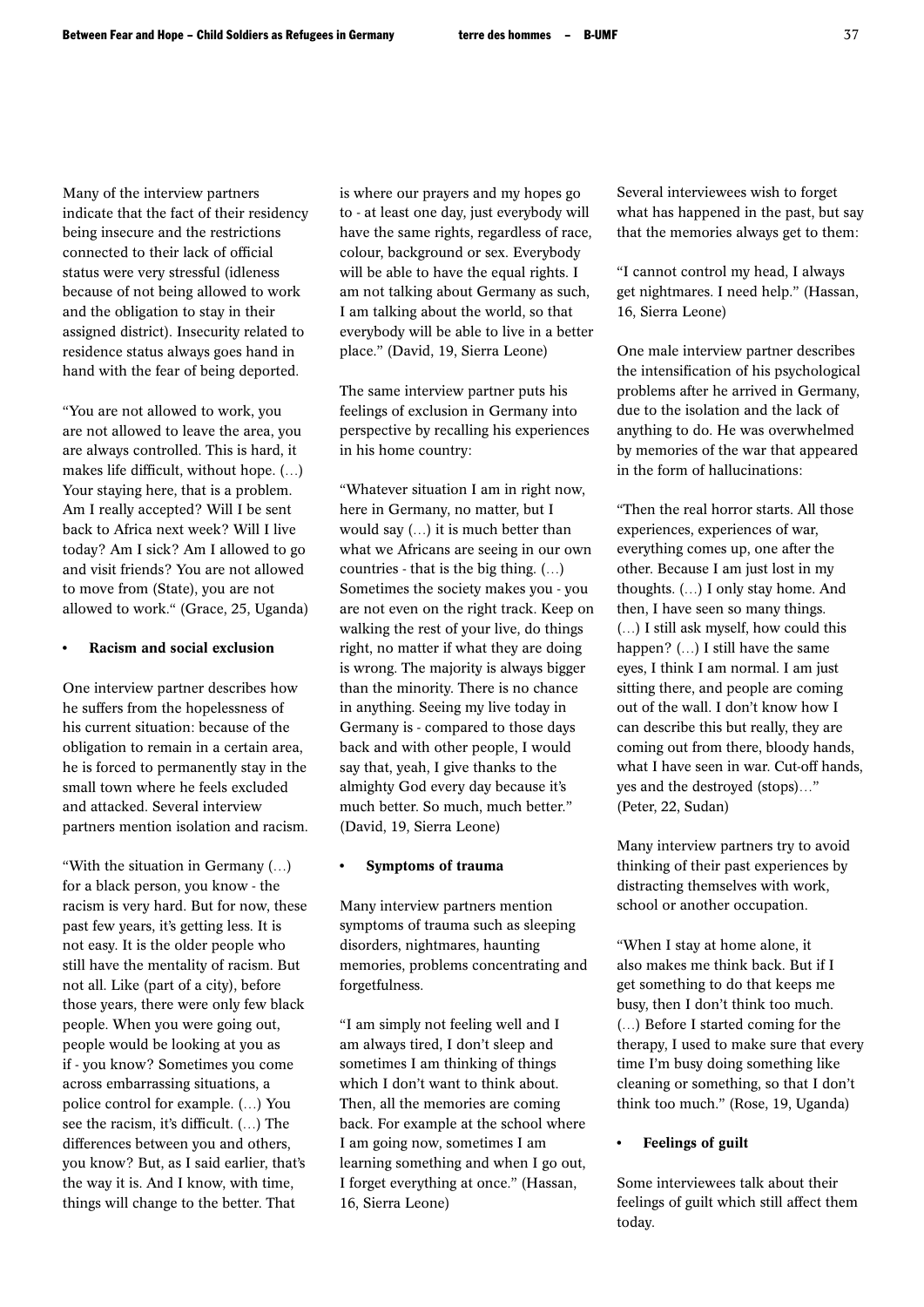Many of the interview partners indicate that the fact of their residency being insecure and the restrictions connected to their lack of official status were very stressful (idleness because of not being allowed to work and the obligation to stay in their assigned district). Insecurity related to residence status always goes hand in hand with the fear of being deported.

"You are not allowed to work, you are not allowed to leave the area, you are always controlled. This is hard, it makes life difficult, without hope. (…) Your staying here, that is a problem. Am I really accepted? Will I be sent back to Africa next week? Will I live today? Am I sick? Am I allowed to go and visit friends? You are not allowed to move from (State), you are not allowed to work." (Grace, 25, Uganda)

#### • Racism and social exclusion

One interview partner describes how he suffers from the hopelessness of his current situation: because of the obligation to remain in a certain area, he is forced to permanently stay in the small town where he feels excluded and attacked. Several interview partners mention isolation and racism.

"With the situation in Germany (…) for a black person, you know - the racism is very hard. But for now, these past few years, it's getting less. It is not easy. It is the older people who still have the mentality of racism. But not all. Like (part of a city), before those years, there were only few black people. When you were going out, people would be looking at you as if - you know? Sometimes you come across embarrassing situations, a police control for example. (…) You see the racism, it's difficult. (…) The differences between you and others, you know? But, as I said earlier, that's the way it is. And I know, with time, things will change to the better. That

is where our prayers and my hopes go to - at least one day, just everybody will have the same rights, regardless of race, colour, background or sex. Everybody will be able to have the equal rights. I am not talking about Germany as such, I am talking about the world, so that everybody will be able to live in a better place." (David, 19, Sierra Leone)

The same interview partner puts his feelings of exclusion in Germany into perspective by recalling his experiences in his home country:

"Whatever situation I am in right now, here in Germany, no matter, but I would say (…) it is much better than what we Africans are seeing in our own countries - that is the big thing. (…) Sometimes the society makes you - you are not even on the right track. Keep on walking the rest of your live, do things right, no matter if what they are doing is wrong. The majority is always bigger than the minority. There is no chance in anything. Seeing my live today in Germany is - compared to those days back and with other people, I would say that, yeah, I give thanks to the almighty God every day because it's much better. So much, much better." (David, 19, Sierra Leone)

#### • Symptoms of trauma

Many interview partners mention symptoms of trauma such as sleeping disorders, nightmares, haunting memories, problems concentrating and forgetfulness.

"I am simply not feeling well and I am always tired, I don't sleep and sometimes I am thinking of things which I don't want to think about. Then, all the memories are coming back. For example at the school where I am going now, sometimes I am learning something and when I go out, I forget everything at once." (Hassan, 16, Sierra Leone)

Several interviewees wish to forget what has happened in the past, but say that the memories always get to them:

"I cannot control my head, I always get nightmares. I need help." (Hassan, 16, Sierra Leone)

One male interview partner describes the intensification of his psychological problems after he arrived in Germany, due to the isolation and the lack of anything to do. He was overwhelmed by memories of the war that appeared in the form of hallucinations:

"Then the real horror starts. All those experiences, experiences of war, everything comes up, one after the other. Because I am just lost in my thoughts. (…) I only stay home. And then, I have seen so many things. (…) I still ask myself, how could this happen? (…) I still have the same eyes, I think I am normal. I am just sitting there, and people are coming out of the wall. I don't know how I can describe this but really, they are coming out from there, bloody hands, what I have seen in war. Cut-off hands, yes and the destroyed (stops)…" (Peter, 22, Sudan)

Many interview partners try to avoid thinking of their past experiences by distracting themselves with work, school or another occupation.

"When I stay at home alone, it also makes me think back. But if I get something to do that keeps me busy, then I don't think too much. (…) Before I started coming for the therapy, I used to make sure that every time I'm busy doing something like cleaning or something, so that I don't think too much." (Rose, 19, Uganda)

#### Feelings of guilt

Some interviewees talk about their feelings of guilt which still affect them today.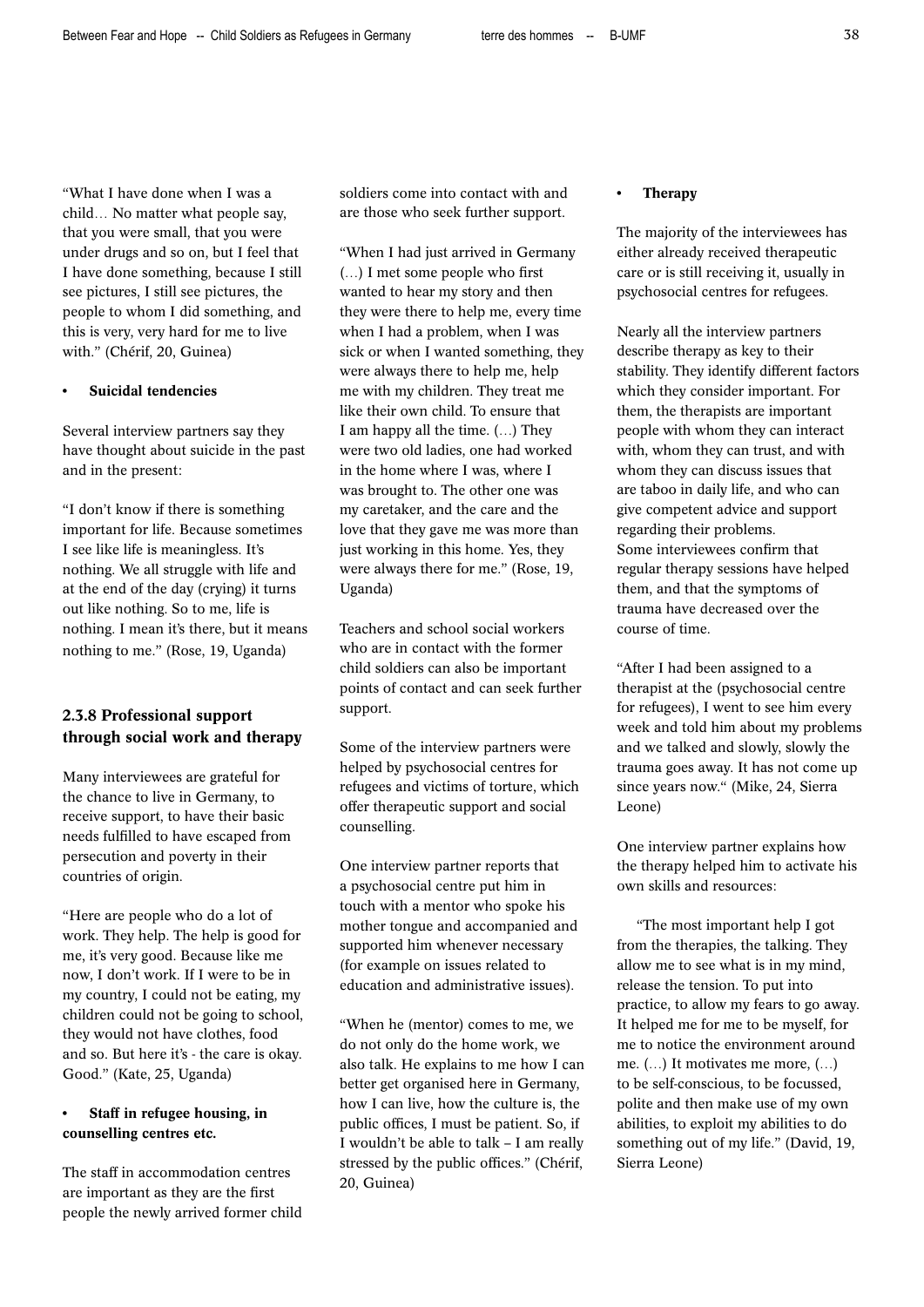"What I have done when I was a child… No matter what people say, that you were small, that you were under drugs and so on, but I feel that I have done something, because I still see pictures, I still see pictures, the people to whom I did something, and this is very, very hard for me to live with." (Chérif, 20, Guinea)

### • Suicidal tendencies

Several interview partners say they have thought about suicide in the past and in the present:

"I don't know if there is something important for life. Because sometimes I see like life is meaningless. It's nothing. We all struggle with life and at the end of the day (crying) it turns out like nothing. So to me, life is nothing. I mean it's there, but it means nothing to me." (Rose, 19, Uganda)

# 2.3.8 Professional support through social work and therapy

Many interviewees are grateful for the chance to live in Germany, to receive support, to have their basic needs fulfilled to have escaped from persecution and poverty in their countries of origin.

"Here are people who do a lot of work. They help. The help is good for me, it's very good. Because like me now, I don't work. If I were to be in my country, I could not be eating, my children could not be going to school, they would not have clothes, food and so. But here it's - the care is okay. Good." (Kate, 25, Uganda)

# Staff in refugee housing, in counselling centres etc.

The staff in accommodation centres are important as they are the first people the newly arrived former child soldiers come into contact with and are those who seek further support.

"When I had just arrived in Germany (…) I met some people who first wanted to hear my story and then they were there to help me, every time when I had a problem, when I was sick or when I wanted something, they were always there to help me, help me with my children. They treat me like their own child. To ensure that I am happy all the time. (…) They were two old ladies, one had worked in the home where I was, where I was brought to. The other one was my caretaker, and the care and the love that they gave me was more than just working in this home. Yes, they were always there for me." (Rose, 19, Uganda)

Teachers and school social workers who are in contact with the former child soldiers can also be important points of contact and can seek further support.

Some of the interview partners were helped by psychosocial centres for refugees and victims of torture, which offer therapeutic support and social counselling.

One interview partner reports that a psychosocial centre put him in touch with a mentor who spoke his mother tongue and accompanied and supported him whenever necessary (for example on issues related to education and administrative issues).

"When he (mentor) comes to me, we do not only do the home work, we also talk. He explains to me how I can better get organised here in Germany, how I can live, how the culture is, the public offices, I must be patient. So, if I wouldn't be able to talk – I am really stressed by the public offices." (Chérif, 20, Guinea)

#### **Therapy**

The majority of the interviewees has either already received therapeutic care or is still receiving it, usually in psychosocial centres for refugees.

Nearly all the interview partners describe therapy as key to their stability. They identify different factors which they consider important. For them, the therapists are important people with whom they can interact with, whom they can trust, and with whom they can discuss issues that are taboo in daily life, and who can give competent advice and support regarding their problems. Some interviewees confirm that regular therapy sessions have helped them, and that the symptoms of trauma have decreased over the course of time.

"After I had been assigned to a therapist at the (psychosocial centre for refugees), I went to see him every week and told him about my problems and we talked and slowly, slowly the trauma goes away. It has not come up since years now." (Mike, 24, Sierra Leone)

One interview partner explains how the therapy helped him to activate his own skills and resources:

"The most important help I got from the therapies, the talking. They allow me to see what is in my mind, release the tension. To put into practice, to allow my fears to go away. It helped me for me to be myself, for me to notice the environment around me. (…) It motivates me more, (…) to be self-conscious, to be focussed, polite and then make use of my own abilities, to exploit my abilities to do something out of my life." (David, 19, Sierra Leone)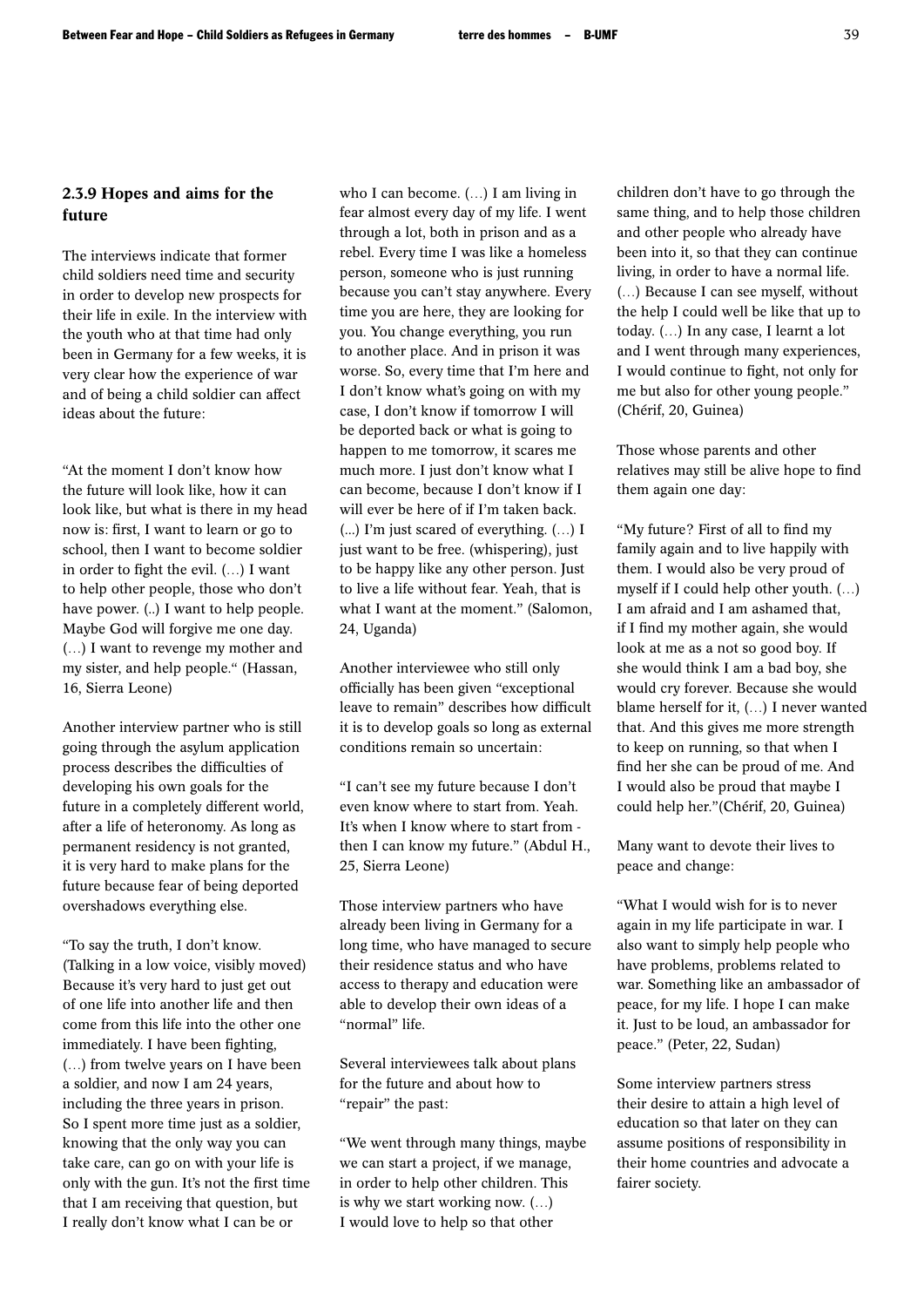# 2.3.9 Hopes and aims for the future

The interviews indicate that former child soldiers need time and security in order to develop new prospects for their life in exile. In the interview with the youth who at that time had only been in Germany for a few weeks, it is very clear how the experience of war and of being a child soldier can affect ideas about the future:

"At the moment I don't know how the future will look like, how it can look like, but what is there in my head now is: first, I want to learn or go to school, then I want to become soldier in order to fight the evil. (…) I want to help other people, those who don't have power. (..) I want to help people. Maybe God will forgive me one day. (…) I want to revenge my mother and my sister, and help people." (Hassan, 16, Sierra Leone)

Another interview partner who is still going through the asylum application process describes the difficulties of developing his own goals for the future in a completely different world, after a life of heteronomy. As long as permanent residency is not granted, it is very hard to make plans for the future because fear of being deported overshadows everything else.

"To say the truth, I don't know. (Talking in a low voice, visibly moved) Because it's very hard to just get out of one life into another life and then come from this life into the other one immediately. I have been fighting, (…) from twelve years on I have been a soldier, and now I am 24 years, including the three years in prison. So I spent more time just as a soldier, knowing that the only way you can take care, can go on with your life is only with the gun. It's not the first time that I am receiving that question, but I really don't know what I can be or

who I can become. (…) I am living in fear almost every day of my life. I went through a lot, both in prison and as a rebel. Every time I was like a homeless person, someone who is just running because you can't stay anywhere. Every time you are here, they are looking for you. You change everything, you run to another place. And in prison it was worse. So, every time that I'm here and I don't know what's going on with my case, I don't know if tomorrow I will be deported back or what is going to happen to me tomorrow, it scares me much more. I just don't know what I can become, because I don't know if I will ever be here of if I'm taken back. (...) I'm just scared of everything. (…) I just want to be free. (whispering), just to be happy like any other person. Just to live a life without fear. Yeah, that is what I want at the moment." (Salomon, 24, Uganda)

Another interviewee who still only officially has been given "exceptional leave to remain" describes how difficult it is to develop goals so long as external conditions remain so uncertain:

"I can't see my future because I don't even know where to start from. Yeah. It's when I know where to start from then I can know my future." (Abdul H., 25, Sierra Leone)

Those interview partners who have already been living in Germany for a long time, who have managed to secure their residence status and who have access to therapy and education were able to develop their own ideas of a "normal" life.

Several interviewees talk about plans for the future and about how to "repair" the past:

"We went through many things, maybe we can start a project, if we manage, in order to help other children. This is why we start working now. (…) I would love to help so that other

children don't have to go through the same thing, and to help those children and other people who already have been into it, so that they can continue living, in order to have a normal life. (…) Because I can see myself, without the help I could well be like that up to today. (…) In any case, I learnt a lot and I went through many experiences, I would continue to fight, not only for me but also for other young people." (Chérif, 20, Guinea)

Those whose parents and other relatives may still be alive hope to find them again one day:

"My future? First of all to find my family again and to live happily with them. I would also be very proud of myself if I could help other youth. (…) I am afraid and I am ashamed that, if I find my mother again, she would look at me as a not so good boy. If she would think I am a bad boy, she would cry forever. Because she would blame herself for it, (…) I never wanted that. And this gives me more strength to keep on running, so that when I find her she can be proud of me. And I would also be proud that maybe I could help her."(Chérif, 20, Guinea)

Many want to devote their lives to peace and change:

"What I would wish for is to never again in my life participate in war. I also want to simply help people who have problems, problems related to war. Something like an ambassador of peace, for my life. I hope I can make it. Just to be loud, an ambassador for peace." (Peter, 22, Sudan)

Some interview partners stress their desire to attain a high level of education so that later on they can assume positions of responsibility in their home countries and advocate a fairer society.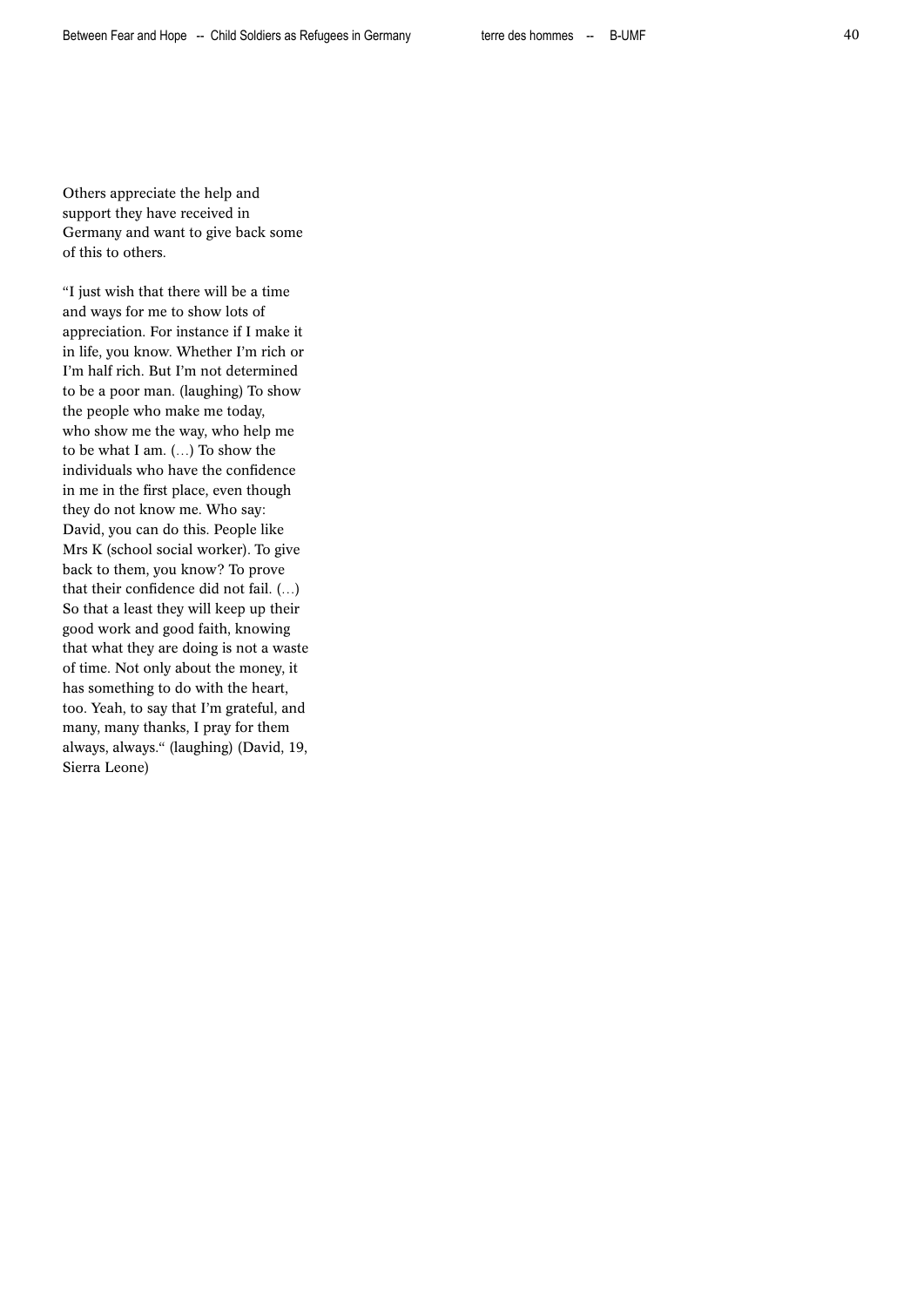Others appreciate the help and support they have received in Germany and want to give back some of this to others.

"I just wish that there will be a time and ways for me to show lots of appreciation. For instance if I make it in life, you know. Whether I'm rich or I'm half rich. But I'm not determined to be a poor man. (laughing) To show the people who make me today, who show me the way, who help me to be what I am. (…) To show the individuals who have the confidence in me in the first place, even though they do not know me. Who say: David, you can do this. People like Mrs K (school social worker). To give back to them, you know? To prove that their confidence did not fail. (…) So that a least they will keep up their good work and good faith, knowing that what they are doing is not a waste of time. Not only about the money, it has something to do with the heart, too. Yeah, to say that I'm grateful, and many, many thanks, I pray for them always, always." (laughing) (David, 19, Sierra Leone)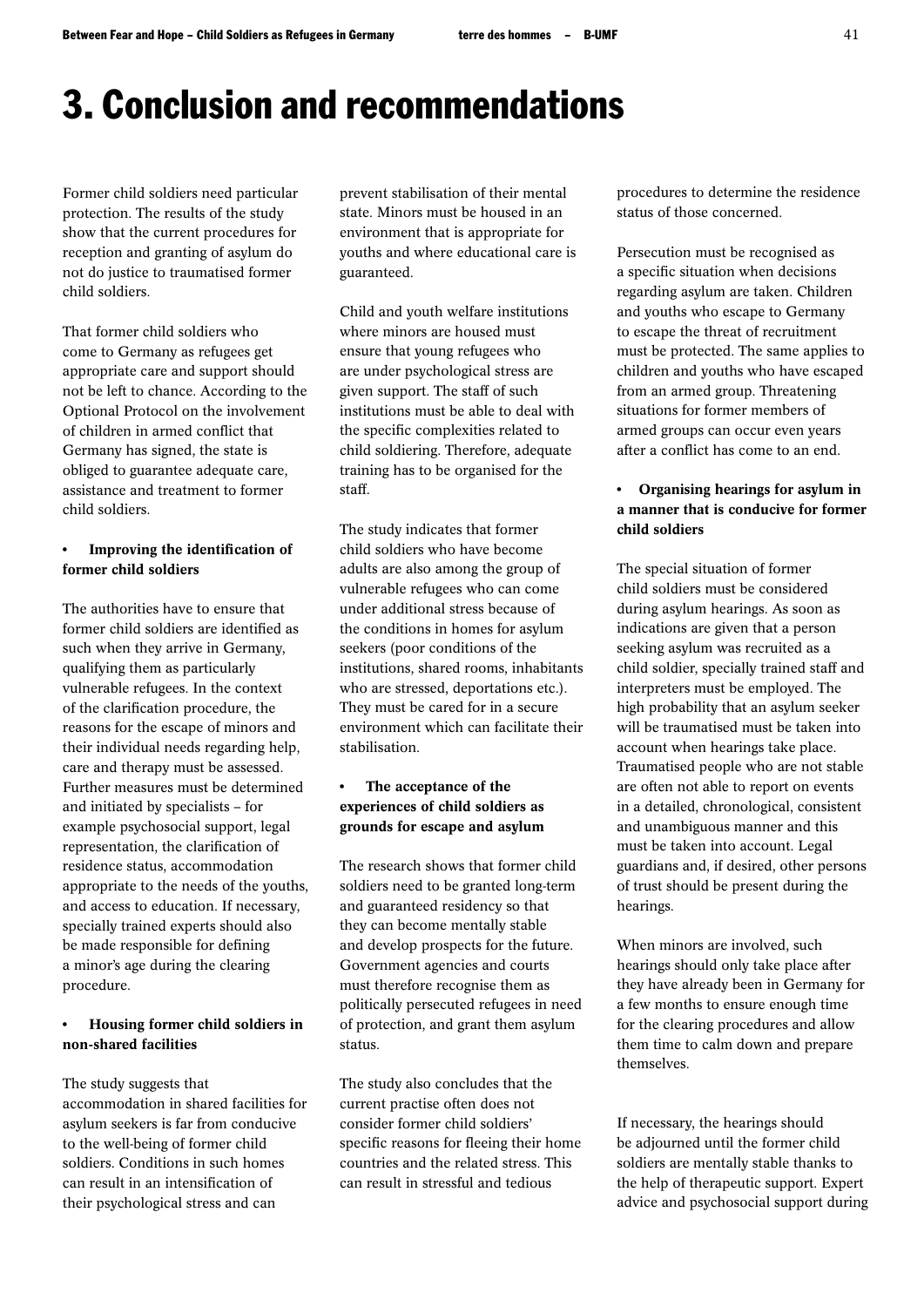# 3. Conclusion and recommendations

Former child soldiers need particular protection. The results of the study show that the current procedures for reception and granting of asylum do not do justice to traumatised former child soldiers.

That former child soldiers who come to Germany as refugees get appropriate care and support should not be left to chance. According to the Optional Protocol on the involvement of children in armed conflict that Germany has signed, the state is obliged to guarantee adequate care, assistance and treatment to former child soldiers.

# • Improving the identification of former child soldiers

The authorities have to ensure that former child soldiers are identified as such when they arrive in Germany, qualifying them as particularly vulnerable refugees. In the context of the clarification procedure, the reasons for the escape of minors and their individual needs regarding help, care and therapy must be assessed. Further measures must be determined and initiated by specialists – for example psychosocial support, legal representation, the clarification of residence status, accommodation appropriate to the needs of the youths, and access to education. If necessary, specially trained experts should also be made responsible for defining a minor's age during the clearing procedure.

# • Housing former child soldiers in non-shared facilities

The study suggests that accommodation in shared facilities for asylum seekers is far from conducive to the well-being of former child soldiers. Conditions in such homes can result in an intensification of their psychological stress and can

prevent stabilisation of their mental state. Minors must be housed in an environment that is appropriate for youths and where educational care is guaranteed.

Child and youth welfare institutions where minors are housed must ensure that young refugees who are under psychological stress are given support. The staff of such institutions must be able to deal with the specific complexities related to child soldiering. Therefore, adequate training has to be organised for the staff.

The study indicates that former child soldiers who have become adults are also among the group of vulnerable refugees who can come under additional stress because of the conditions in homes for asylum seekers (poor conditions of the institutions, shared rooms, inhabitants who are stressed, deportations etc.). They must be cared for in a secure environment which can facilitate their stabilisation.

# • The acceptance of the experiences of child soldiers as grounds for escape and asylum

The research shows that former child soldiers need to be granted long-term and guaranteed residency so that they can become mentally stable and develop prospects for the future. Government agencies and courts must therefore recognise them as politically persecuted refugees in need of protection, and grant them asylum status.

The study also concludes that the current practise often does not consider former child soldiers' specific reasons for fleeing their home countries and the related stress. This can result in stressful and tedious

procedures to determine the residence status of those concerned.

Persecution must be recognised as a specific situation when decisions regarding asylum are taken. Children and youths who escape to Germany to escape the threat of recruitment must be protected. The same applies to children and youths who have escaped from an armed group. Threatening situations for former members of armed groups can occur even years after a conflict has come to an end.

# • Organising hearings for asylum in a manner that is conducive for former child soldiers

The special situation of former child soldiers must be considered during asylum hearings. As soon as indications are given that a person seeking asylum was recruited as a child soldier, specially trained staff and interpreters must be employed. The high probability that an asylum seeker will be traumatised must be taken into account when hearings take place. Traumatised people who are not stable are often not able to report on events in a detailed, chronological, consistent and unambiguous manner and this must be taken into account. Legal guardians and, if desired, other persons of trust should be present during the hearings.

When minors are involved, such hearings should only take place after they have already been in Germany for a few months to ensure enough time for the clearing procedures and allow them time to calm down and prepare themselves.

If necessary, the hearings should be adjourned until the former child soldiers are mentally stable thanks to the help of therapeutic support. Expert advice and psychosocial support during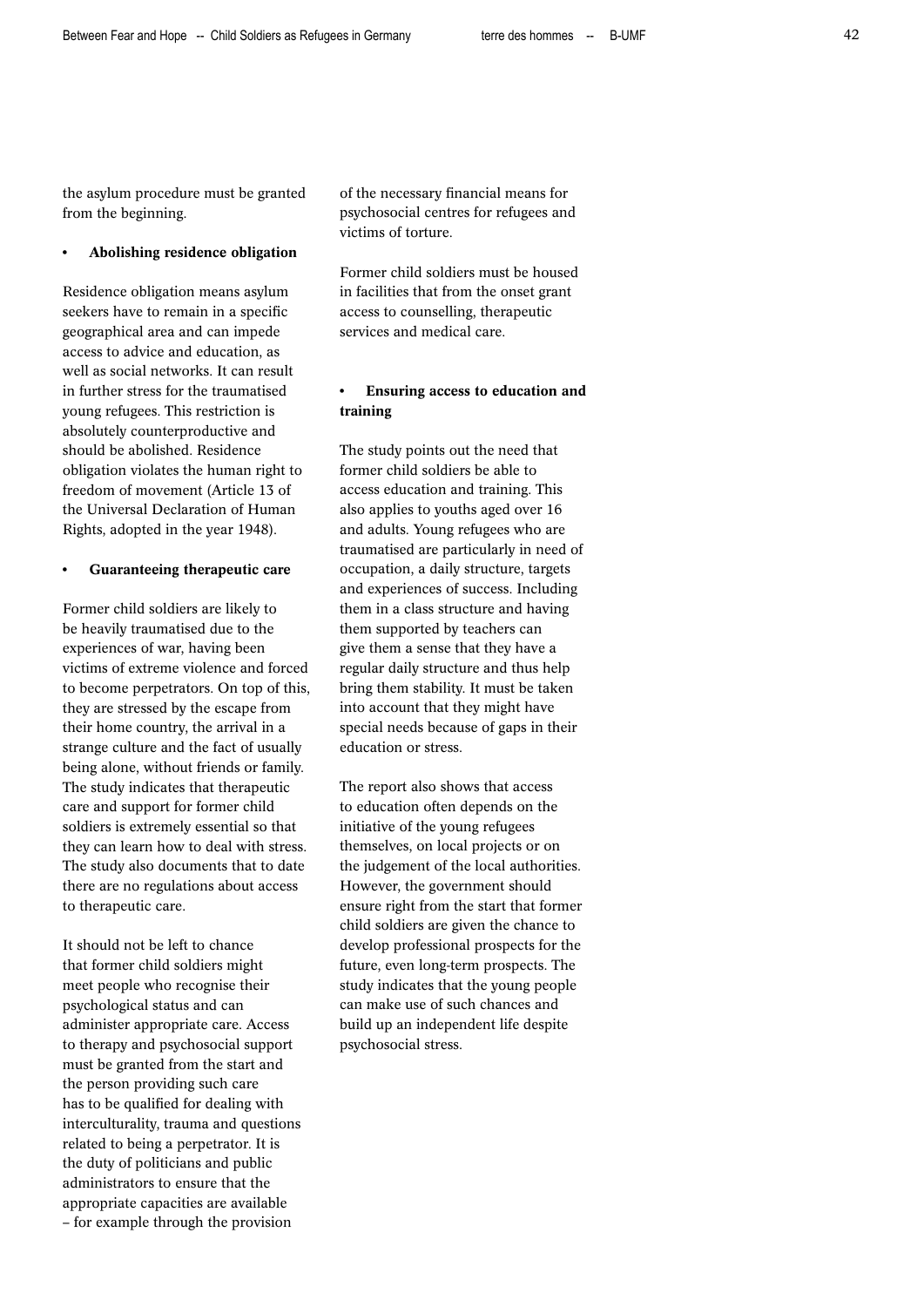the asylum procedure must be granted from the beginning.

#### • Abolishing residence obligation

Residence obligation means asylum seekers have to remain in a specific geographical area and can impede access to advice and education, as well as social networks. It can result in further stress for the traumatised young refugees. This restriction is absolutely counterproductive and should be abolished. Residence obligation violates the human right to freedom of movement (Article 13 of the Universal Declaration of Human Rights, adopted in the year 1948).

#### • Guaranteeing therapeutic care

Former child soldiers are likely to be heavily traumatised due to the experiences of war, having been victims of extreme violence and forced to become perpetrators. On top of this, they are stressed by the escape from their home country, the arrival in a strange culture and the fact of usually being alone, without friends or family. The study indicates that therapeutic care and support for former child soldiers is extremely essential so that they can learn how to deal with stress. The study also documents that to date there are no regulations about access to therapeutic care.

It should not be left to chance that former child soldiers might meet people who recognise their psychological status and can administer appropriate care. Access to therapy and psychosocial support must be granted from the start and the person providing such care has to be qualified for dealing with interculturality, trauma and questions related to being a perpetrator. It is the duty of politicians and public administrators to ensure that the appropriate capacities are available – for example through the provision

of the necessary financial means for psychosocial centres for refugees and victims of torture.

Former child soldiers must be housed in facilities that from the onset grant access to counselling, therapeutic services and medical care.

### • Ensuring access to education and training

The study points out the need that former child soldiers be able to access education and training. This also applies to youths aged over 16 and adults. Young refugees who are traumatised are particularly in need of occupation, a daily structure, targets and experiences of success. Including them in a class structure and having them supported by teachers can give them a sense that they have a regular daily structure and thus help bring them stability. It must be taken into account that they might have special needs because of gaps in their education or stress.

The report also shows that access to education often depends on the initiative of the young refugees themselves, on local projects or on the judgement of the local authorities. However, the government should ensure right from the start that former child soldiers are given the chance to develop professional prospects for the future, even long-term prospects. The study indicates that the young people can make use of such chances and build up an independent life despite psychosocial stress.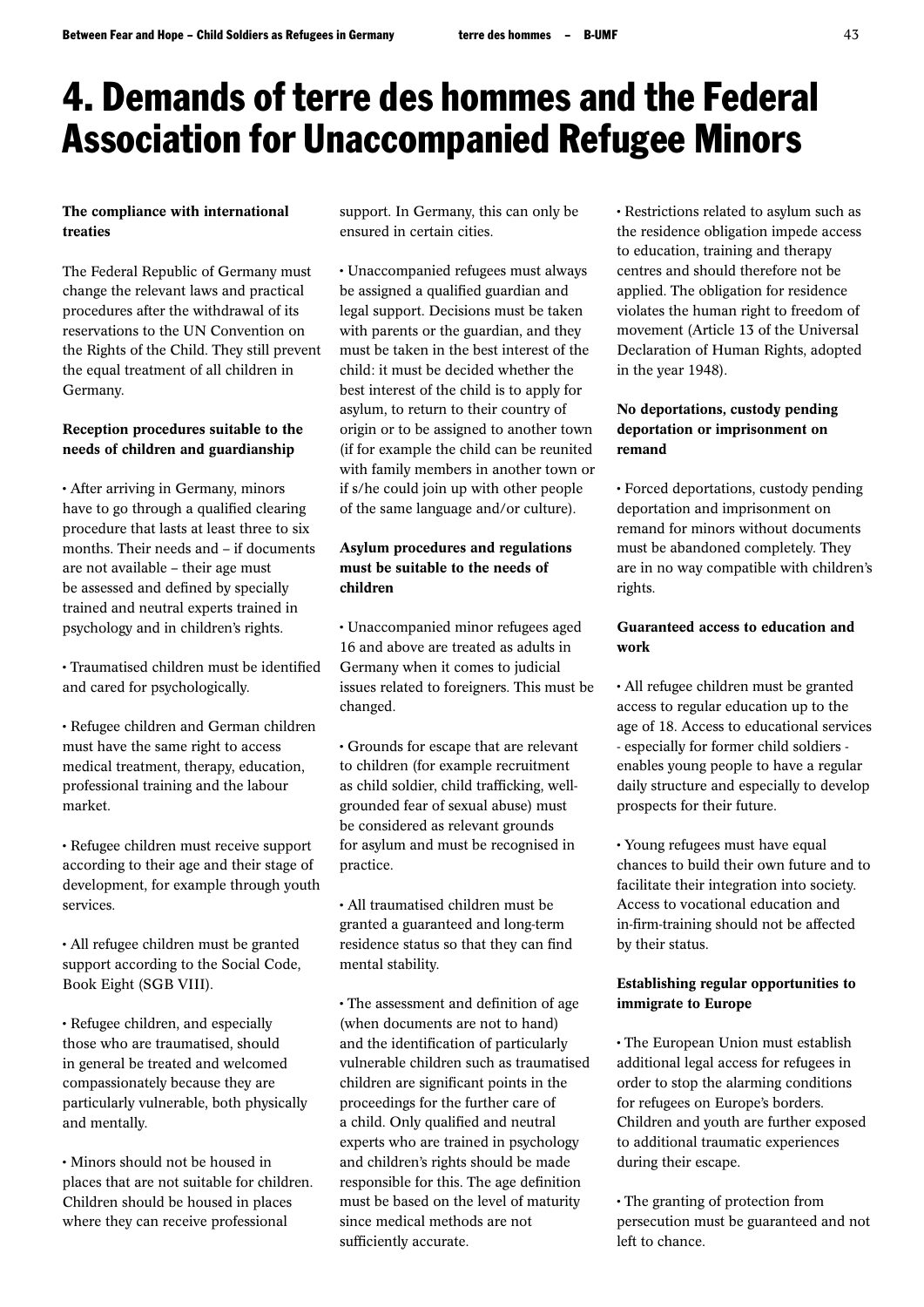# 4. Demands of terre des hommes and the Federal Association for Unaccompanied Refugee Minors

# The compliance with international treaties

The Federal Republic of Germany must change the relevant laws and practical procedures after the withdrawal of its reservations to the UN Convention on the Rights of the Child. They still prevent the equal treatment of all children in Germany.

# Reception procedures suitable to the needs of children and guardianship

• After arriving in Germany, minors have to go through a qualified clearing procedure that lasts at least three to six months. Their needs and – if documents are not available – their age must be assessed and defined by specially trained and neutral experts trained in psychology and in children's rights.

• Traumatised children must be identified and cared for psychologically.

• Refugee children and German children must have the same right to access medical treatment, therapy, education, professional training and the labour market.

• Refugee children must receive support according to their age and their stage of development, for example through youth services.

• All refugee children must be granted support according to the Social Code, Book Eight (SGB VIII).

• Refugee children, and especially those who are traumatised, should in general be treated and welcomed compassionately because they are particularly vulnerable, both physically and mentally.

• Minors should not be housed in places that are not suitable for children. Children should be housed in places where they can receive professional

support. In Germany, this can only be ensured in certain cities.

• Unaccompanied refugees must always be assigned a qualified guardian and legal support. Decisions must be taken with parents or the guardian, and they must be taken in the best interest of the child: it must be decided whether the best interest of the child is to apply for asylum, to return to their country of origin or to be assigned to another town (if for example the child can be reunited with family members in another town or if s/he could join up with other people of the same language and/or culture).

# Asylum procedures and regulations must be suitable to the needs of children

• Unaccompanied minor refugees aged 16 and above are treated as adults in Germany when it comes to judicial issues related to foreigners. This must be changed.

• Grounds for escape that are relevant to children (for example recruitment as child soldier, child trafficking, wellgrounded fear of sexual abuse) must be considered as relevant grounds for asylum and must be recognised in practice.

• All traumatised children must be granted a guaranteed and long-term residence status so that they can find mental stability.

• The assessment and definition of age (when documents are not to hand) and the identification of particularly vulnerable children such as traumatised children are significant points in the proceedings for the further care of a child. Only qualified and neutral experts who are trained in psychology and children's rights should be made responsible for this. The age definition must be based on the level of maturity since medical methods are not sufficiently accurate.

• Restrictions related to asylum such as the residence obligation impede access to education, training and therapy centres and should therefore not be applied. The obligation for residence violates the human right to freedom of movement (Article 13 of the Universal Declaration of Human Rights, adopted in the year 1948).

# No deportations, custody pending deportation or imprisonment on remand

• Forced deportations, custody pending deportation and imprisonment on remand for minors without documents must be abandoned completely. They are in no way compatible with children's rights.

# Guaranteed access to education and work

• All refugee children must be granted access to regular education up to the age of 18. Access to educational services - especially for former child soldiers enables young people to have a regular daily structure and especially to develop prospects for their future.

• Young refugees must have equal chances to build their own future and to facilitate their integration into society. Access to vocational education and in-firm-training should not be affected by their status.

# Establishing regular opportunities to immigrate to Europe

• The European Union must establish additional legal access for refugees in order to stop the alarming conditions for refugees on Europe's borders. Children and youth are further exposed to additional traumatic experiences during their escape.

• The granting of protection from persecution must be guaranteed and not left to chance.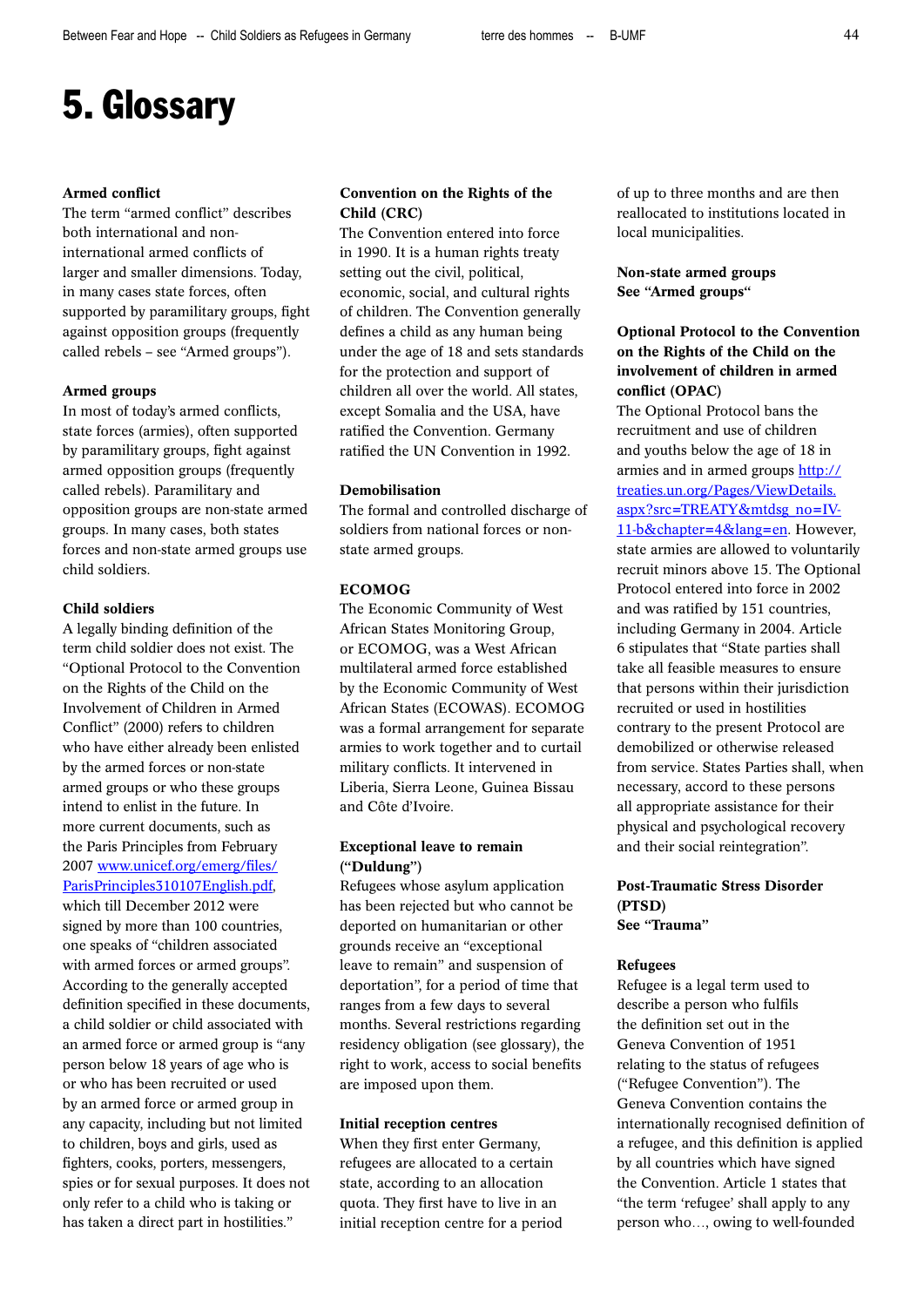# 5. Glossary

#### Armed conflict

The term "armed conflict" describes both international and noninternational armed conflicts of larger and smaller dimensions. Today, in many cases state forces, often supported by paramilitary groups, fight against opposition groups (frequently called rebels – see "Armed groups").

#### Armed groups

In most of today's armed conflicts, state forces (armies), often supported by paramilitary groups, fight against armed opposition groups (frequently called rebels). Paramilitary and opposition groups are non-state armed groups. In many cases, both states forces and non-state armed groups use child soldiers.

#### Child soldiers

A legally binding definition of the term child soldier does not exist. The "Optional Protocol to the Convention on the Rights of the Child on the Involvement of Children in Armed Conflict" (2000) refers to children who have either already been enlisted by the armed forces or non-state armed groups or who these groups intend to enlist in the future. In more current documents, such as the Paris Principles from February 2007 www.unicef.org/emerg/files/ [ParisPrinciples310107English.pdf,](www.unicef.org/emerg/files/ParisPrinciples310107English.pdf)  which till December 2012 were signed by more than 100 countries, one speaks of "children associated with armed forces or armed groups". According to the generally accepted definition specified in these documents, a child soldier or child associated with an armed force or armed group is "any person below 18 years of age who is or who has been recruited or used by an armed force or armed group in any capacity, including but not limited to children, boys and girls, used as fighters, cooks, porters, messengers, spies or for sexual purposes. It does not only refer to a child who is taking or has taken a direct part in hostilities."

# Convention on the Rights of the Child (CRC)

The Convention entered into force in 1990. It is a human rights treaty setting out the civil, political, economic, social, and cultural rights of children. The Convention generally defines a child as any human being under the age of 18 and sets standards for the protection and support of children all over the world. All states, except Somalia and the USA, have ratified the Convention. Germany ratified the UN Convention in 1992.

#### Demobilisation

The formal and controlled discharge of soldiers from national forces or nonstate armed groups.

#### ECOMOG

The Economic Community of West African States Monitoring Group, or ECOMOG, was a West African multilateral armed force established by the Economic Community of West African States (ECOWAS). ECOMOG was a formal arrangement for separate armies to work together and to curtail military conflicts. It intervened in Liberia, Sierra Leone, Guinea Bissau and Côte d'Ivoire.

### Exceptional leave to remain ("Duldung")

Refugees whose asylum application has been rejected but who cannot be deported on humanitarian or other grounds receive an "exceptional leave to remain" and suspension of deportation", for a period of time that ranges from a few days to several months. Several restrictions regarding residency obligation (see glossary), the right to work, access to social benefits are imposed upon them.

#### Initial reception centres

When they first enter Germany, refugees are allocated to a certain state, according to an allocation quota. They first have to live in an initial reception centre for a period of up to three months and are then reallocated to institutions located in local municipalities.

### Non-state armed groups See "Armed groups"

# Optional Protocol to the Convention on the Rights of the Child on the involvement of children in armed conflict (OPAC)

The Optional Protocol bans the recruitment and use of children and youths below the age of 18 in [armies and in armed groups http://](http://treaties.un.org/Pages/ViewDetails.aspx?src=TREATY&mtdsg_no=IV-11-b&chapter=4&lang=en) treaties.un.org/Pages/ViewDetails. aspx?src=TREATY&mtdsg\_no=IV-11-b&chapter=4&lang=en. However, state armies are allowed to voluntarily recruit minors above 15. The Optional Protocol entered into force in 2002 and was ratified by 151 countries, including Germany in 2004. Article 6 stipulates that "State parties shall take all feasible measures to ensure that persons within their jurisdiction recruited or used in hostilities contrary to the present Protocol are demobilized or otherwise released from service. States Parties shall, when necessary, accord to these persons all appropriate assistance for their physical and psychological recovery and their social reintegration".

## Post-Traumatic Stress Disorder (PTSD) See "Trauma"

# Refugees

Refugee is a legal term used to describe a person who fulfils the definition set out in the Geneva Convention of 1951 relating to the status of refugees ("Refugee Convention"). The Geneva Convention contains the internationally recognised definition of a refugee, and this definition is applied by all countries which have signed the Convention. Article 1 states that "the term 'refugee' shall apply to any person who…, owing to well-founded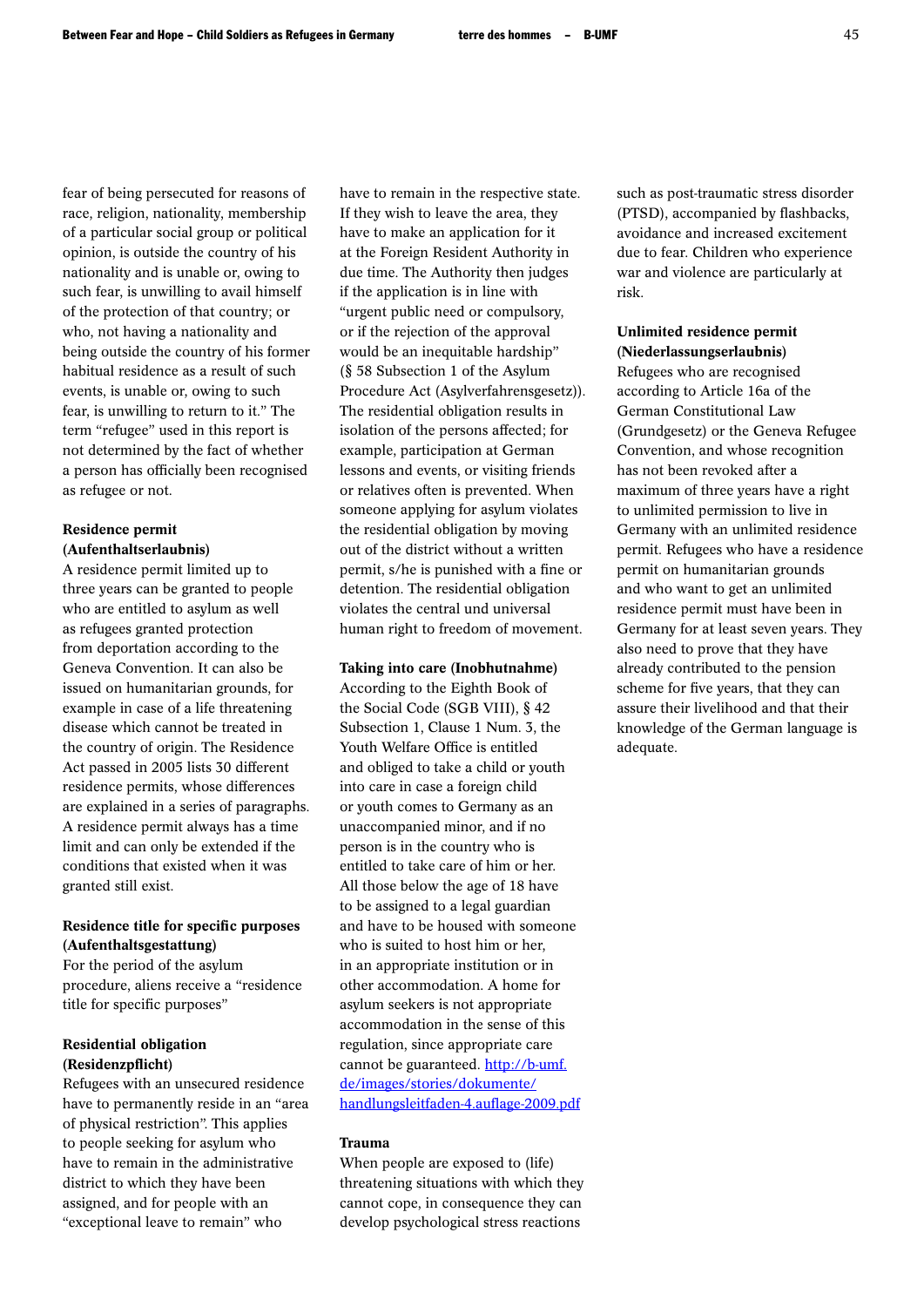fear of being persecuted for reasons of race, religion, nationality, membership of a particular social group or political opinion, is outside the country of his nationality and is unable or, owing to such fear, is unwilling to avail himself of the protection of that country; or who, not having a nationality and being outside the country of his former habitual residence as a result of such events, is unable or, owing to such fear, is unwilling to return to it." The term "refugee" used in this report is not determined by the fact of whether a person has officially been recognised as refugee or not.

# Residence permit (Aufenthaltserlaubnis)

A residence permit limited up to three years can be granted to people who are entitled to asylum as well as refugees granted protection from deportation according to the Geneva Convention. It can also be issued on humanitarian grounds, for example in case of a life threatening disease which cannot be treated in the country of origin. The Residence Act passed in 2005 lists 30 different residence permits, whose differences are explained in a series of paragraphs. A residence permit always has a time limit and can only be extended if the conditions that existed when it was granted still exist.

#### Residence title for specific purposes (Aufenthaltsgestattung)

For the period of the asylum procedure, aliens receive a "residence title for specific purposes"

# Residential obligation (Residenzpflicht)

Refugees with an unsecured residence have to permanently reside in an "area of physical restriction". This applies to people seeking for asylum who have to remain in the administrative district to which they have been assigned, and for people with an "exceptional leave to remain" who

have to remain in the respective state. If they wish to leave the area, they have to make an application for it at the Foreign Resident Authority in due time. The Authority then judges if the application is in line with "urgent public need or compulsory, or if the rejection of the approval would be an inequitable hardship" (§ 58 Subsection 1 of the Asylum Procedure Act (Asylverfahrensgesetz)). The residential obligation results in isolation of the persons affected; for example, participation at German lessons and events, or visiting friends or relatives often is prevented. When someone applying for asylum violates the residential obligation by moving out of the district without a written permit, s/he is punished with a fine or detention. The residential obligation violates the central und universal human right to freedom of movement.

#### Taking into care (Inobhutnahme)

According to the Eighth Book of the Social Code (SGB VIII), § 42 Subsection 1, Clause 1 Num. 3, the Youth Welfare Office is entitled and obliged to take a child or youth into care in case a foreign child or youth comes to Germany as an unaccompanied minor, and if no person is in the country who is entitled to take care of him or her. All those below the age of 18 have to be assigned to a legal guardian and have to be housed with someone who is suited to host him or her, in an appropriate institution or in other accommodation. A home for asylum seekers is not appropriate accommodation in the sense of this regulation, since appropriate care cannot be guaranteed. http://b-umf. de/images/stories/dokumente/ [handlungsleitfaden-4.auflage-2009.pdf](http://b-umf.de/images/stories/dokumente/handlungsleitfaden-4.auflage-2009.pdf)

#### Trauma

When people are exposed to (life) threatening situations with which they cannot cope, in consequence they can develop psychological stress reactions

such as post-traumatic stress disorder (PTSD), accompanied by flashbacks, avoidance and increased excitement due to fear. Children who experience war and violence are particularly at risk.

# Unlimited residence permit (Niederlassungserlaubnis)

Refugees who are recognised according to Article 16a of the German Constitutional Law (Grundgesetz) or the Geneva Refugee Convention, and whose recognition has not been revoked after a maximum of three years have a right to unlimited permission to live in Germany with an unlimited residence permit. Refugees who have a residence permit on humanitarian grounds and who want to get an unlimited residence permit must have been in Germany for at least seven years. They also need to prove that they have already contributed to the pension scheme for five years, that they can assure their livelihood and that their knowledge of the German language is adequate.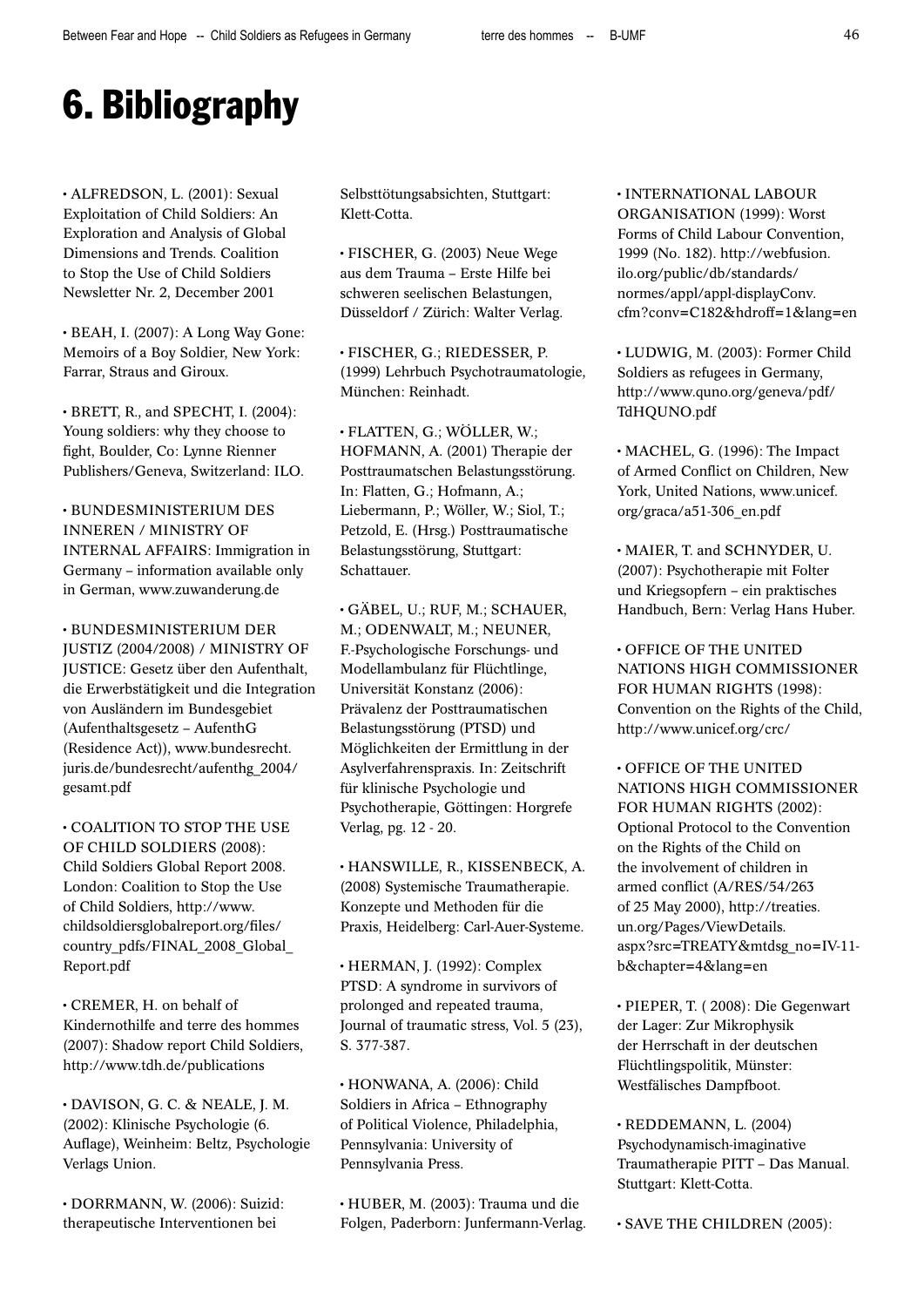# 6. Bibliography

• ALFREDSON, L. (2001): Sexual Exploitation of Child Soldiers: An Exploration and Analysis of Global Dimensions and Trends. Coalition to Stop the Use of Child Soldiers Newsletter Nr. 2, December 2001

• BEAH, I. (2007): A Long Way Gone: Memoirs of a Boy Soldier, New York: Farrar, Straus and Giroux.

• BRETT, R., and SPECHT, I. (2004): Young soldiers: why they choose to fight, Boulder, Co: Lynne Rienner Publishers/Geneva, Switzerland: ILO.

• BUNDESMINISTERIUM DES INNEREN / MINISTRY OF INTERNAL AFFAIRS: Immigration in Germany – information available only in German, www.zuwanderung.de

• BUNDESMINISTERIUM DER JUSTIZ (2004/2008) / MINISTRY OF JUSTICE: Gesetz über den Aufenthalt, die Erwerbstätigkeit und die Integration von Ausländern im Bundesgebiet (Aufenthaltsgesetz – AufenthG (Residence Act)), www.bundesrecht. [juris.de/bundesrecht/aufenthg\\_2004/](www.bundesrecht.juris.de/bundesrecht/aufenthg_2004/gesamt.pdf) gesamt.pdf

• COALITION TO STOP THE USE OF CHILD SOLDIERS (2008): Child Soldiers Global Report 2008. London: Coalition to Stop the Use of Child Soldiers, http://www. childsoldiersglobalreport.org/files/ country\_pdfs/FINAL\_2008\_Global Report.pdf

• CREMER, H. on behalf of Kindernothilfe and terre des hommes (2007): Shadow report Child Soldiers, http://www.tdh.de/publications

• DAVISON, G. C. & NEALE, J. M. (2002): Klinische Psychologie (6. Auflage), Weinheim: Beltz, Psychologie Verlags Union.

• DORRMANN, W. (2006): Suizid: therapeutische Interventionen bei

Selbsttötungsabsichten, Stuttgart: Klett-Cotta.

• FISCHER, G. (2003) Neue Wege aus dem Trauma – Erste Hilfe bei schweren seelischen Belastungen, Düsseldorf / Zürich: Walter Verlag.

• FISCHER, G.; RIEDESSER, P. (1999) Lehrbuch Psychotraumatologie, München: Reinhadt.

• FLATTEN, G.; WÖLLER, W.; HOFMANN, A. (2001) Therapie der Posttraumatschen Belastungsstörung. In: Flatten, G.; Hofmann, A.; Liebermann, P.; Wöller, W.; Siol, T.; Petzold, E. (Hrsg.) Posttraumatische Belastungsstörung, Stuttgart: Schattauer.

• GÄBEL, U.; RUF, M.; SCHAUER, M.; ODENWALT, M.; NEUNER, F.-Psychologische Forschungs- und Modellambulanz für Flüchtlinge, Universität Konstanz (2006): Prävalenz der Posttraumatischen Belastungsstörung (PTSD) und Möglichkeiten der Ermittlung in der Asylverfahrenspraxis. In: Zeitschrift für klinische Psychologie und Psychotherapie, Göttingen: Horgrefe Verlag, pg. 12 - 20.

• HANSWILLE, R., KISSENBECK, A. (2008) Systemische Traumatherapie. Konzepte und Methoden für die Praxis, Heidelberg: Carl-Auer-Systeme.

• HERMAN, J. (1992): Complex PTSD: A syndrome in survivors of prolonged and repeated trauma, Journal of traumatic stress, Vol. 5 (23), S. 377-387.

• HONWANA, A. (2006): Child Soldiers in Africa – Ethnography of Political Violence, Philadelphia, Pennsylvania: University of Pennsylvania Press.

• HUBER, M. (2003): Trauma und die Folgen, Paderborn: Junfermann-Verlag.

# • INTERNATIONAL LABOUR ORGANISATION (1999): Worst Forms of Child Labour Convention, 1999 (No. 182). http://webfusion. ilo.org/public/db/standards/ normes/appl/appl-displayConv. [cfm?conv=C182&hdroff=1&lang=en](http://webfusion.ilo.org/public/db/standards/normes/appl/appl-displayConv.cfm?conv=C182&hdroff=1&lang=en)

• LUDWIG, M. (2003): Former Child Soldiers as refugees in Germany, [http://www.quno.org/geneva/pdf/](http://www.quno.org/geneva/pdf/TdHQUNO.pdf) TdHQUNO.pdf

• MACHEL, G. (1996): The Impact of Armed Conflict on Children, New [York, United Nations, www.unicef.](www.unicef.org/graca/a51-306_en.pdf) org/graca/a51-306\_en.pdf

• MAIER, T. and SCHNYDER, U. (2007): Psychotherapie mit Folter und Kriegsopfern – ein praktisches Handbuch, Bern: Verlag Hans Huber.

• OFFICE OF THE UNITED NATIONS HIGH COMMISSIONER FOR HUMAN RIGHTS (1998): Convention on the Rights of the Child, http://www.unicef.org/crc/

• OFFICE OF THE UNITED NATIONS HIGH COMMISSIONER FOR HUMAN RIGHTS (2002): Optional Protocol to the Convention on the Rights of the Child on the involvement of children in armed conflict (A/RES/54/263 of 25 May 2000), http://treaties. un.org/Pages/ViewDetails. [aspx?src=TREATY&mtdsg\\_no=IV-11](http://treaties.un.org/Pages/ViewDetails.aspx?src=TREATY&mtdsg_no=IV-11-b&chapter=4&lang=en) b&chapter=4&lang=en

• PIEPER, T. ( 2008): Die Gegenwart der Lager: Zur Mikrophysik der Herrschaft in der deutschen Flüchtlingspolitik, Münster: Westfälisches Dampfboot.

• REDDEMANN, L. (2004) Psychodynamisch-imaginative Traumatherapie PITT – Das Manual. Stuttgart: Klett-Cotta.

• SAVE THE CHILDREN (2005):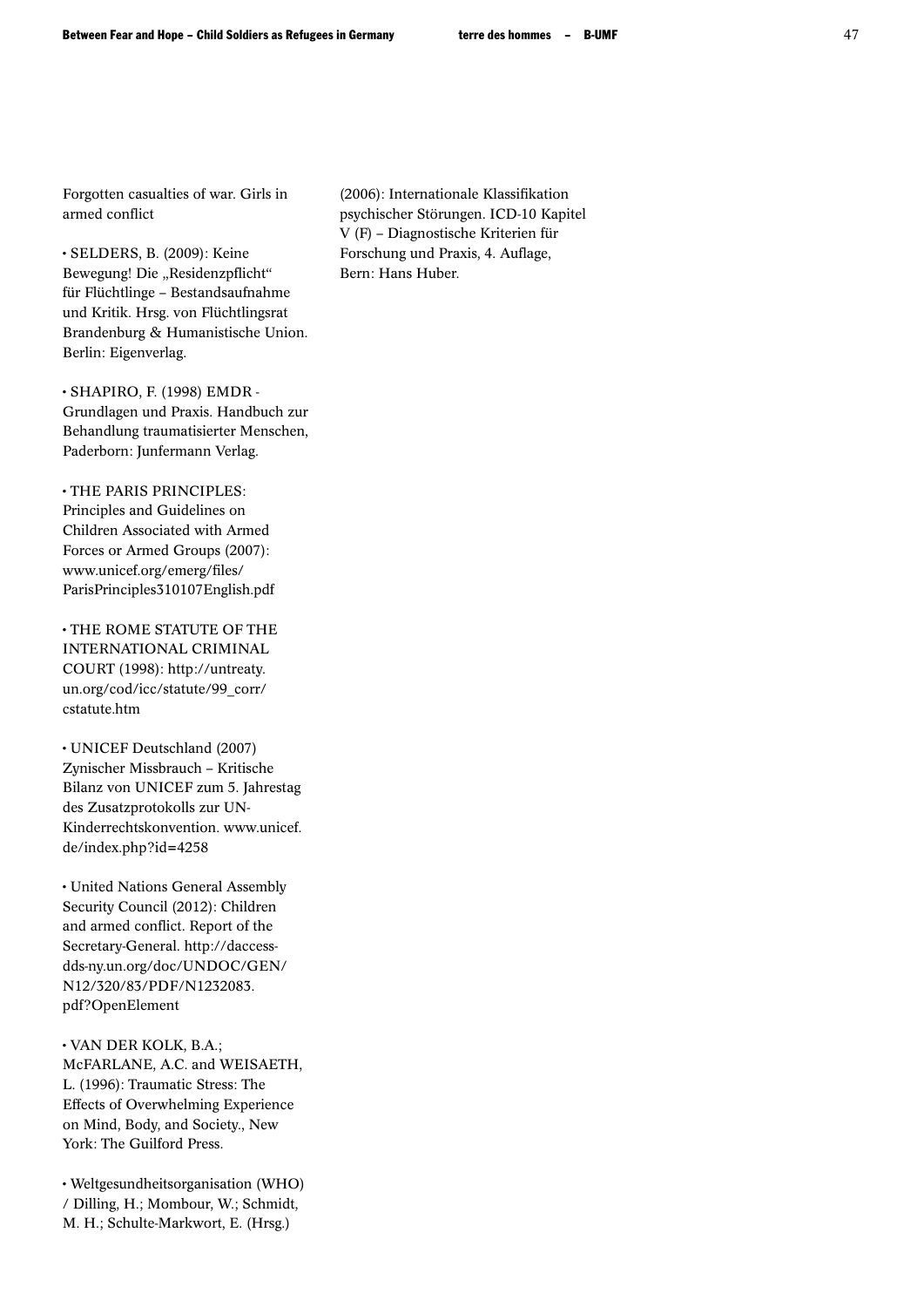Forgotten casualties of war. Girls in armed conflict

• SELDERS, B. (2009): Keine Bewegung! Die "Residenzpflicht" für Flüchtlinge – Bestandsaufnahme und Kritik. Hrsg. von Flüchtlingsrat Brandenburg & Humanistische Union. Berlin: Eigenverlag.

• SHAPIRO, F. (1998) EMDR - Grundlagen und Praxis. Handbuch zur Behandlung traumatisierter Menschen, Paderborn: Junfermann Verlag.

• THE PARIS PRINCIPLES: Principles and Guidelines on Children Associated with Armed Forces or Armed Groups (2007): www.unicef.org/emerg/files/ [ParisPrinciples310107English.pdf](http://www.unicef.org/emerg/files/ParisPrinciples310107English.pdf)

• THE ROME STATUTE OF THE INTERNATIONAL CRIMINAL COURT (1998): http://untreaty. [un.org/cod/icc/statute/99\\_corr/](http://untreaty.un.org/cod/icc/statute/99_corr/cstatute.htm) cstatute.htm

• UNICEF Deutschland (2007) Zynischer Missbrauch – Kritische Bilanz von UNICEF zum 5. Jahrestag des Zusatzprotokolls zur UN-[Kinderrechtskonvention. www.unicef.](www.unicef.de/index.php?id=4258) de/index.php?id=4258

• United Nations General Assembly Security Council (2012): Children and armed conflict. Report of the Secretary-General. http://daccess[dds-ny.un.org/doc/UNDOC/GEN/](http://daccess-dds-ny.un.org/doc/UNDOC/GEN/N12/320/83/PDF/N1232083.pdf?OpenElement) N12/320/83/PDF/N1232083. pdf?OpenElement

• VAN DER KOLK, B.A.; McFARLANE, A.C. and WEISAETH, L. (1996): Traumatic Stress: The Effects of Overwhelming Experience on Mind, Body, and Society., New York: The Guilford Press.

• Weltgesundheitsorganisation (WHO) / Dilling, H.; Mombour, W.; Schmidt, M. H.; Schulte-Markwort, E. (Hrsg.)

(2006): Internationale Klassifikation psychischer Störungen. ICD-10 Kapitel V (F) – Diagnostische Kriterien für Forschung und Praxis, 4. Auflage, Bern: Hans Huber.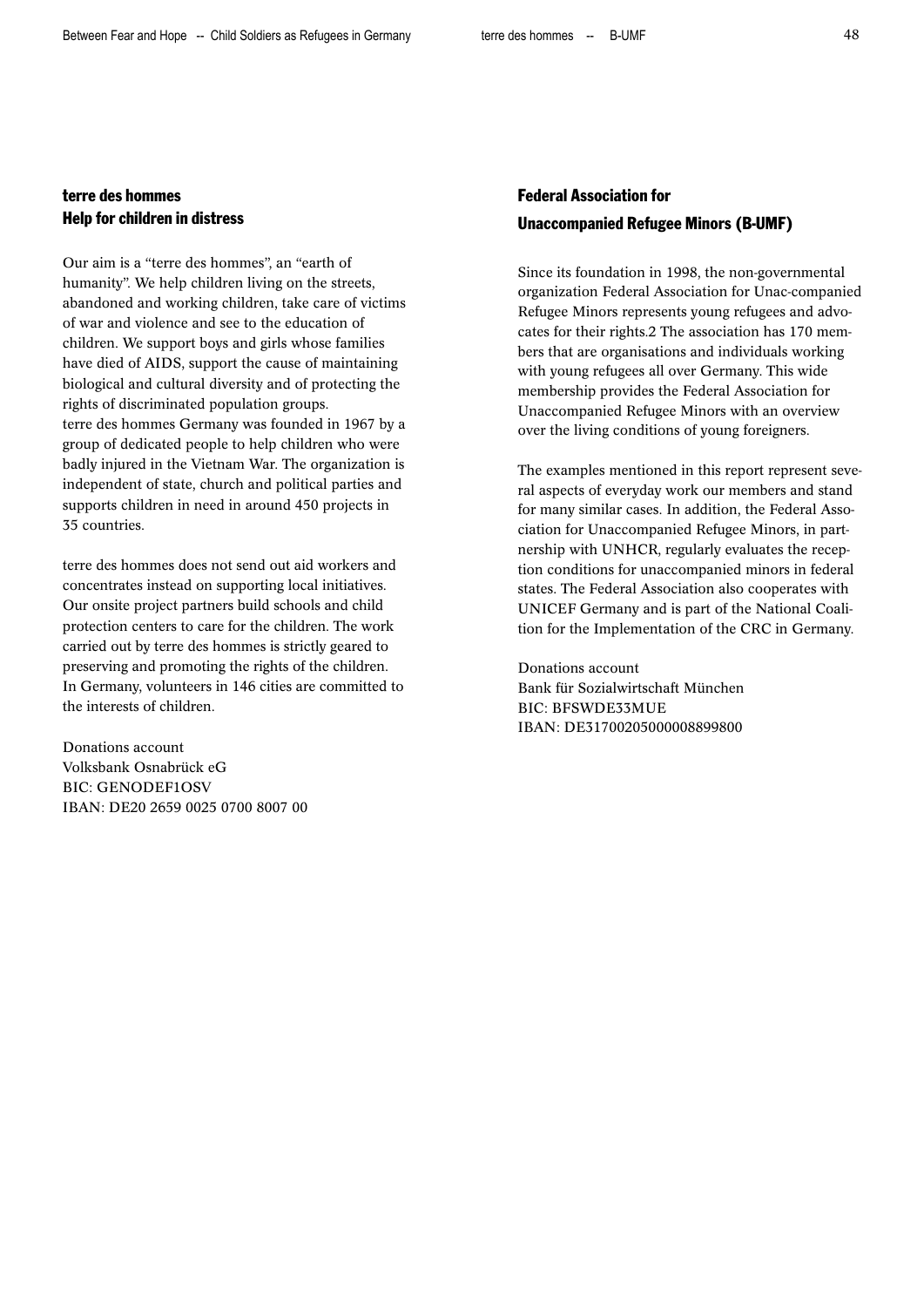# terre des hommes Help for children in distress

Our aim is a "terre des hommes", an "earth of humanity". We help children living on the streets, abandoned and working children, take care of victims of war and violence and see to the education of children. We support boys and girls whose families have died of AIDS, support the cause of maintaining biological and cultural diversity and of protecting the rights of discriminated population groups. terre des hommes Germany was founded in 1967 by a group of dedicated people to help children who were badly injured in the Vietnam War. The organization is independent of state, church and political parties and supports children in need in around 450 projects in 35 countries.

terre des hommes does not send out aid workers and concentrates instead on supporting local initiatives. Our onsite project partners build schools and child protection centers to care for the children. The work carried out by terre des hommes is strictly geared to preserving and promoting the rights of the children. In Germany, volunteers in 146 cities are committed to the interests of children.

Donations account Volksbank Osnabrück eG BIC: GENODEF1OSV IBAN: DE20 2659 0025 0700 8007 00

# Federal Association for Unaccompanied Refugee Minors (B-UMF)

Since its foundation in 1998, the non-governmental organization Federal Association for Unac-companied Refugee Minors represents young refugees and advocates for their rights.2 The association has 170 members that are organisations and individuals working with young refugees all over Germany. This wide membership provides the Federal Association for Unaccompanied Refugee Minors with an overview over the living conditions of young foreigners.

The examples mentioned in this report represent several aspects of everyday work our members and stand for many similar cases. In addition, the Federal Association for Unaccompanied Refugee Minors, in partnership with UNHCR, regularly evaluates the reception conditions for unaccompanied minors in federal states. The Federal Association also cooperates with UNICEF Germany and is part of the National Coalition for the Implementation of the CRC in Germany.

Donations account Bank für Sozialwirtschaft München BIC: BFSWDE33MUE IBAN: DE31700205000008899800